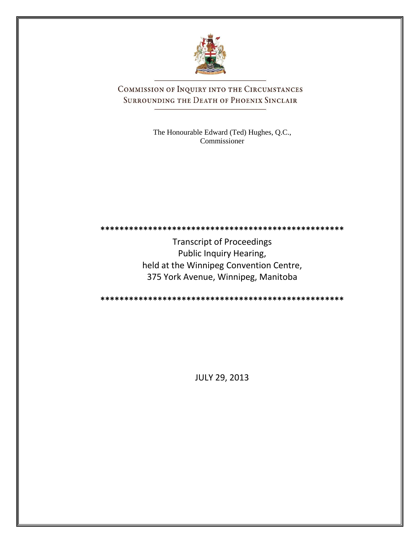

COMMISSION OF INQUIRY INTO THE CIRCUMSTANCES SURROUNDING THE DEATH OF PHOENIX SINCLAIR

> The Honourable Edward (Ted) Hughes, Q.C., Commissioner

**\*\*\*\*\*\*\*\*\*\*\*\*\*\*\*\*\*\*\*\*\*\*\*\*\*\*\*\*\*\*\*\*\*\*\*\*\*\*\*\*\*\*\*\*\*\*\*\*\*\*\***

Transcript of Proceedings Public Inquiry Hearing, held at the Winnipeg Convention Centre, 375 York Avenue, Winnipeg, Manitoba

**\*\*\*\*\*\*\*\*\*\*\*\*\*\*\*\*\*\*\*\*\*\*\*\*\*\*\*\*\*\*\*\*\*\*\*\*\*\*\*\*\*\*\*\*\*\*\*\*\*\*\***

JULY 29, 2013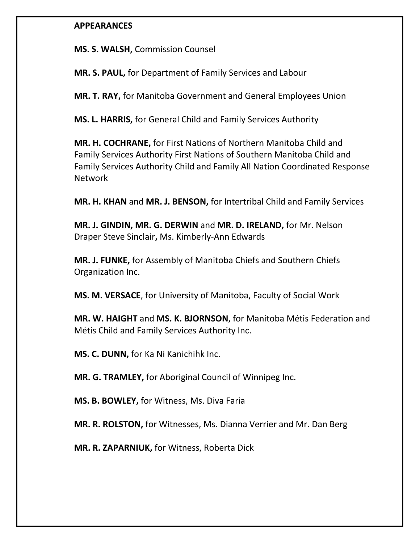# **APPEARANCES**

**MS. S. WALSH,** Commission Counsel

**MR. S. PAUL,** for Department of Family Services and Labour

**MR. T. RAY,** for Manitoba Government and General Employees Union

**MS. L. HARRIS,** for General Child and Family Services Authority

**MR. H. COCHRANE,** for First Nations of Northern Manitoba Child and Family Services Authority First Nations of Southern Manitoba Child and Family Services Authority Child and Family All Nation Coordinated Response Network

**MR. H. KHAN** and **MR. J. BENSON,** for Intertribal Child and Family Services

**MR. J. GINDIN, MR. G. DERWIN** and **MR. D. IRELAND,** for Mr. Nelson Draper Steve Sinclair**,** Ms. Kimberly-Ann Edwards

**MR. J. FUNKE,** for Assembly of Manitoba Chiefs and Southern Chiefs Organization Inc.

**MS. M. VERSACE**, for University of Manitoba, Faculty of Social Work

**MR. W. HAIGHT** and **MS. K. BJORNSON**, for Manitoba Métis Federation and Métis Child and Family Services Authority Inc.

**MS. C. DUNN,** for Ka Ni Kanichihk Inc.

**MR. G. TRAMLEY,** for Aboriginal Council of Winnipeg Inc.

**MS. B. BOWLEY,** for Witness, Ms. Diva Faria

**MR. R. ROLSTON,** for Witnesses, Ms. Dianna Verrier and Mr. Dan Berg

**MR. R. ZAPARNIUK,** for Witness, Roberta Dick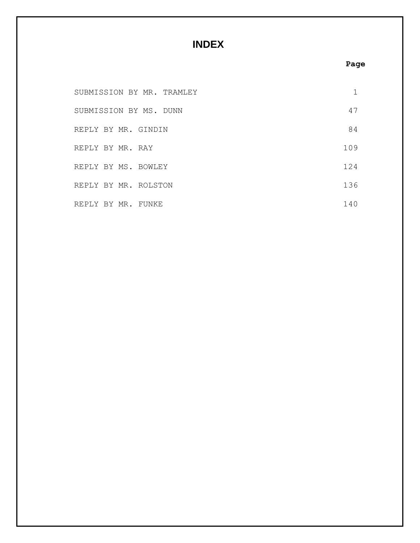# **INDEX**

# **Page**

| SUBMISSION BY MR. TRAMLEY |     |
|---------------------------|-----|
| SUBMISSION BY MS. DUNN    | 47  |
| REPLY BY MR. GINDIN       | 84  |
| REPLY BY MR. RAY          | 109 |
| REPLY BY MS. BOWLEY       | 124 |
| REPLY BY MR. ROLSTON      | 136 |
| REPLY BY MR. FUNKE        | 140 |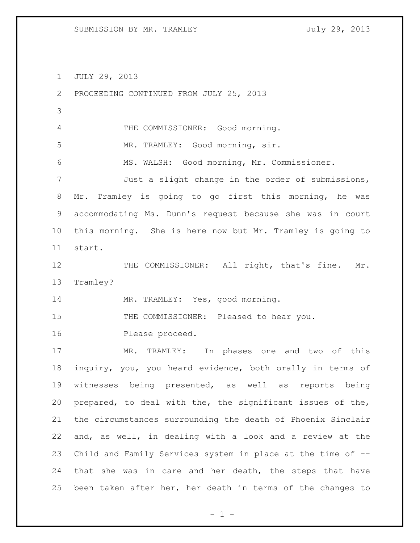JULY 29, 2013

| 2     | PROCEEDING CONTINUED FROM JULY 25, 2013                     |
|-------|-------------------------------------------------------------|
| 3     |                                                             |
| 4     | THE COMMISSIONER: Good morning.                             |
| 5     | MR. TRAMLEY: Good morning, sir.                             |
| 6     | MS. WALSH: Good morning, Mr. Commissioner.                  |
| 7     | Just a slight change in the order of submissions,           |
| $8\,$ | Mr. Tramley is going to go first this morning, he was       |
| 9     | accommodating Ms. Dunn's request because she was in court   |
| 10    | this morning. She is here now but Mr. Tramley is going to   |
| 11    | start.                                                      |
| 12    | THE COMMISSIONER: All right, that's fine.<br>Mr.            |
| 13    | Tramley?                                                    |
|       |                                                             |
| 14    | MR. TRAMLEY: Yes, good morning.                             |
| 15    | THE COMMISSIONER: Pleased to hear you.                      |
| 16    | Please proceed.                                             |
| 17    | TRAMLEY: In phases one and two of this<br>MR.               |
| 18    | inquiry, you, you heard evidence, both orally in terms of   |
| 19    | witnesses being presented, as well as<br>reports being      |
| 20    | prepared, to deal with the, the significant issues of the,  |
| 21    | the circumstances surrounding the death of Phoenix Sinclair |
| 22    | and, as well, in dealing with a look and a review at the    |
| 23    | Child and Family Services system in place at the time of -- |
| 24    | that she was in care and her death, the steps that have     |

 $- 1 -$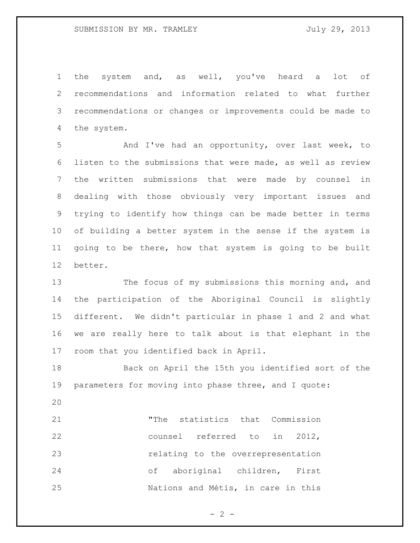the system and, as well, you've heard a lot of recommendations and information related to what further recommendations or changes or improvements could be made to the system.

 And I've had an opportunity, over last week, to listen to the submissions that were made, as well as review the written submissions that were made by counsel in dealing with those obviously very important issues and trying to identify how things can be made better in terms of building a better system in the sense if the system is going to be there, how that system is going to be built better.

 The focus of my submissions this morning and, and the participation of the Aboriginal Council is slightly different. We didn't particular in phase 1 and 2 and what we are really here to talk about is that elephant in the room that you identified back in April.

 Back on April the 15th you identified sort of the parameters for moving into phase three, and I quote:

 "The statistics that Commission counsel referred to in 2012, 23 relating to the overrepresentation of aboriginal children, First Nations and Métis, in care in this

 $- 2 -$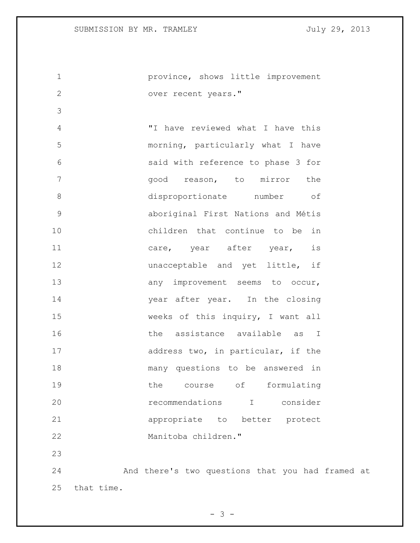province, shows little improvement over recent years." "I have reviewed what I have this morning, particularly what I have said with reference to phase 3 for 7 and good reason, to mirror the disproportionate number of aboriginal First Nations and Métis children that continue to be in 11 care, year after year, is **unacceptable** and yet little, if 13 any improvement seems to occur, 14 year after year. In the closing weeks of this inquiry, I want all 16 16 the assistance available as I 17 address two, in particular, if the many questions to be answered in 19 the course of formulating recommendations I consider appropriate to better protect Manitoba children." And there's two questions that you had framed at

that time.

 $- 3 -$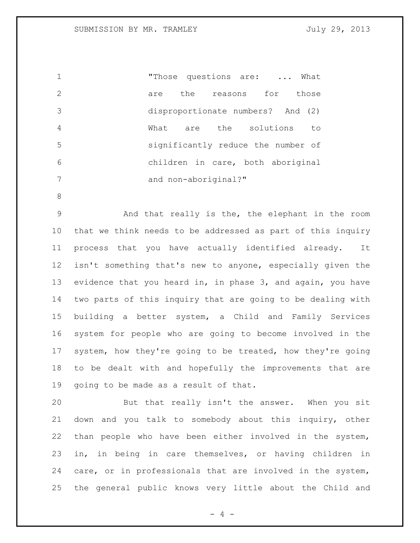1 Those questions are: ... What 2 are the reasons for those disproportionate numbers? And (2) What are the solutions to significantly reduce the number of children in care, both aboriginal 7 and non-aboriginal?"

 And that really is the, the elephant in the room that we think needs to be addressed as part of this inquiry process that you have actually identified already. It isn't something that's new to anyone, especially given the evidence that you heard in, in phase 3, and again, you have two parts of this inquiry that are going to be dealing with building a better system, a Child and Family Services system for people who are going to become involved in the system, how they're going to be treated, how they're going to be dealt with and hopefully the improvements that are going to be made as a result of that.

 But that really isn't the answer. When you sit down and you talk to somebody about this inquiry, other than people who have been either involved in the system, in, in being in care themselves, or having children in care, or in professionals that are involved in the system, the general public knows very little about the Child and

 $- 4 -$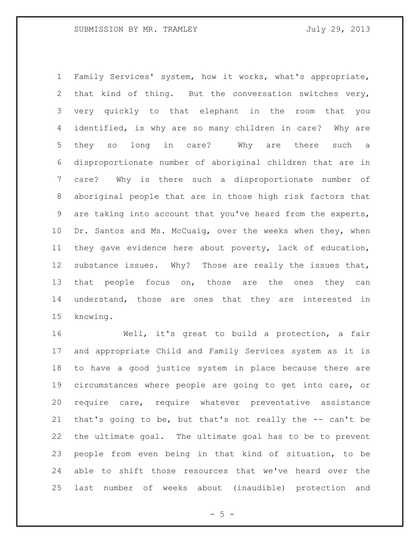Family Services' system, how it works, what's appropriate, that kind of thing. But the conversation switches very, very quickly to that elephant in the room that you identified, is why are so many children in care? Why are they so long in care? Why are there such a disproportionate number of aboriginal children that are in care? Why is there such a disproportionate number of aboriginal people that are in those high risk factors that are taking into account that you've heard from the experts, 10 Dr. Santos and Ms. McCuaig, over the weeks when they, when they gave evidence here about poverty, lack of education, substance issues. Why? Those are really the issues that, 13 that people focus on, those are the ones they can understand, those are ones that they are interested in knowing.

 Well, it's great to build a protection, a fair and appropriate Child and Family Services system as it is to have a good justice system in place because there are circumstances where people are going to get into care, or require care, require whatever preventative assistance that's going to be, but that's not really the -- can't be the ultimate goal. The ultimate goal has to be to prevent people from even being in that kind of situation, to be able to shift those resources that we've heard over the last number of weeks about (inaudible) protection and

 $- 5 -$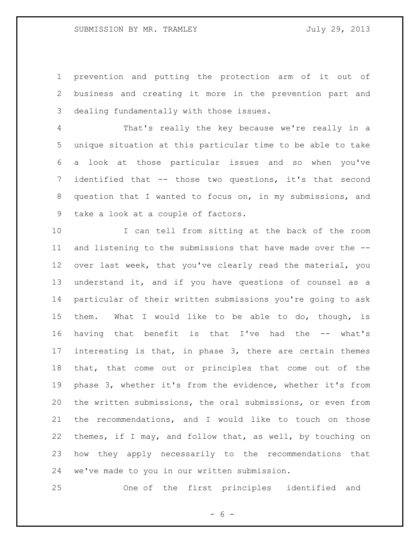prevention and putting the protection arm of it out of business and creating it more in the prevention part and dealing fundamentally with those issues.

 That's really the key because we're really in a unique situation at this particular time to be able to take a look at those particular issues and so when you've identified that -- those two questions, it's that second question that I wanted to focus on, in my submissions, and take a look at a couple of factors.

 I can tell from sitting at the back of the room and listening to the submissions that have made over the -- over last week, that you've clearly read the material, you understand it, and if you have questions of counsel as a particular of their written submissions you're going to ask them. What I would like to be able to do, though, is having that benefit is that I've had the -- what's interesting is that, in phase 3, there are certain themes that, that come out or principles that come out of the phase 3, whether it's from the evidence, whether it's from the written submissions, the oral submissions, or even from the recommendations, and I would like to touch on those themes, if I may, and follow that, as well, by touching on how they apply necessarily to the recommendations that we've made to you in our written submission.

One of the first principles identified and

 $- 6 -$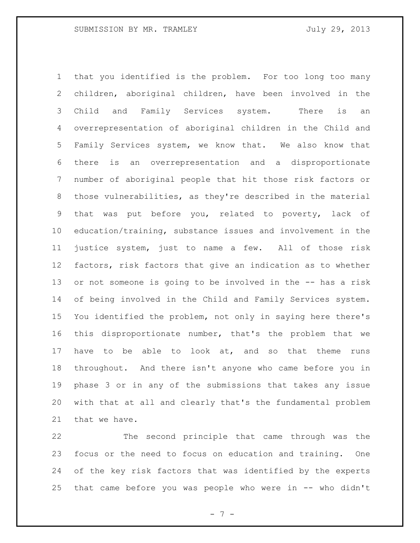that you identified is the problem. For too long too many children, aboriginal children, have been involved in the Child and Family Services system. There is an overrepresentation of aboriginal children in the Child and Family Services system, we know that. We also know that there is an overrepresentation and a disproportionate number of aboriginal people that hit those risk factors or those vulnerabilities, as they're described in the material that was put before you, related to poverty, lack of education/training, substance issues and involvement in the justice system, just to name a few. All of those risk factors, risk factors that give an indication as to whether or not someone is going to be involved in the -- has a risk of being involved in the Child and Family Services system. You identified the problem, not only in saying here there's this disproportionate number, that's the problem that we have to be able to look at, and so that theme runs throughout. And there isn't anyone who came before you in phase 3 or in any of the submissions that takes any issue with that at all and clearly that's the fundamental problem that we have.

 The second principle that came through was the focus or the need to focus on education and training. One of the key risk factors that was identified by the experts that came before you was people who were in -- who didn't

- 7 -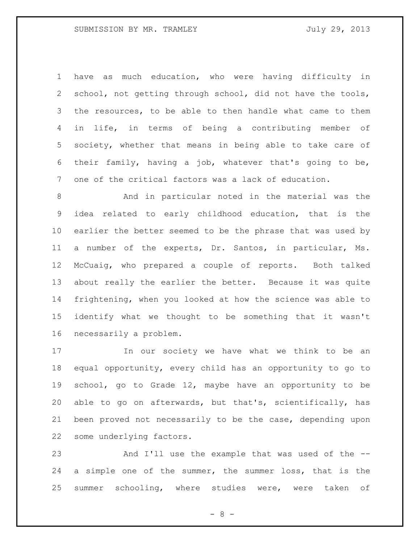have as much education, who were having difficulty in school, not getting through school, did not have the tools, the resources, to be able to then handle what came to them in life, in terms of being a contributing member of society, whether that means in being able to take care of their family, having a job, whatever that's going to be, one of the critical factors was a lack of education.

 And in particular noted in the material was the idea related to early childhood education, that is the earlier the better seemed to be the phrase that was used by a number of the experts, Dr. Santos, in particular, Ms. McCuaig, who prepared a couple of reports. Both talked about really the earlier the better. Because it was quite frightening, when you looked at how the science was able to identify what we thought to be something that it wasn't necessarily a problem.

 In our society we have what we think to be an equal opportunity, every child has an opportunity to go to school, go to Grade 12, maybe have an opportunity to be able to go on afterwards, but that's, scientifically, has been proved not necessarily to be the case, depending upon some underlying factors.

 And I'll use the example that was used of the -- a simple one of the summer, the summer loss, that is the summer schooling, where studies were, were taken of

- 8 -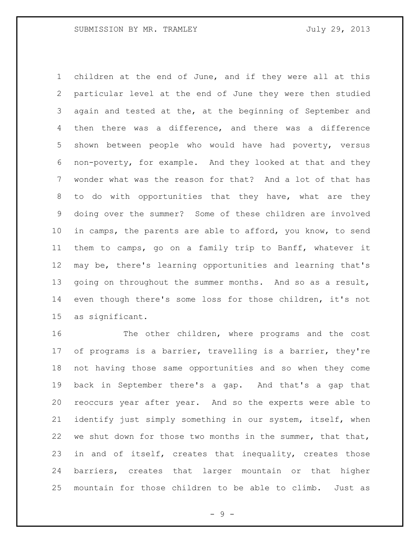children at the end of June, and if they were all at this particular level at the end of June they were then studied again and tested at the, at the beginning of September and then there was a difference, and there was a difference shown between people who would have had poverty, versus non-poverty, for example. And they looked at that and they wonder what was the reason for that? And a lot of that has to do with opportunities that they have, what are they doing over the summer? Some of these children are involved in camps, the parents are able to afford, you know, to send them to camps, go on a family trip to Banff, whatever it may be, there's learning opportunities and learning that's 13 going on throughout the summer months. And so as a result, even though there's some loss for those children, it's not as significant.

 The other children, where programs and the cost of programs is a barrier, travelling is a barrier, they're not having those same opportunities and so when they come back in September there's a gap. And that's a gap that reoccurs year after year. And so the experts were able to identify just simply something in our system, itself, when 22 we shut down for those two months in the summer, that that, 23 in and of itself, creates that inequality, creates those barriers, creates that larger mountain or that higher mountain for those children to be able to climb. Just as

- 9 -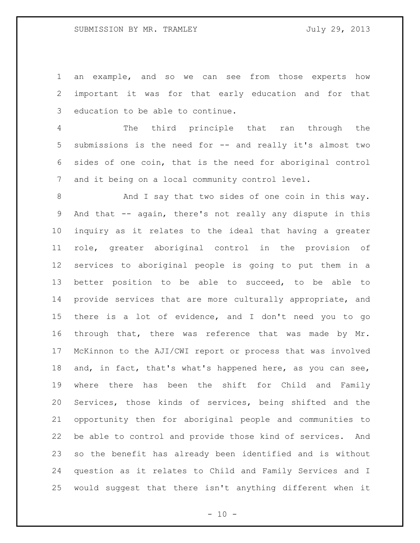an example, and so we can see from those experts how important it was for that early education and for that education to be able to continue.

 The third principle that ran through the submissions is the need for -- and really it's almost two sides of one coin, that is the need for aboriginal control and it being on a local community control level.

8 And I say that two sides of one coin in this way. And that -- again, there's not really any dispute in this inquiry as it relates to the ideal that having a greater role, greater aboriginal control in the provision of services to aboriginal people is going to put them in a better position to be able to succeed, to be able to provide services that are more culturally appropriate, and there is a lot of evidence, and I don't need you to go through that, there was reference that was made by Mr. McKinnon to the AJI/CWI report or process that was involved and, in fact, that's what's happened here, as you can see, where there has been the shift for Child and Family Services, those kinds of services, being shifted and the opportunity then for aboriginal people and communities to be able to control and provide those kind of services. And so the benefit has already been identified and is without question as it relates to Child and Family Services and I would suggest that there isn't anything different when it

 $- 10 -$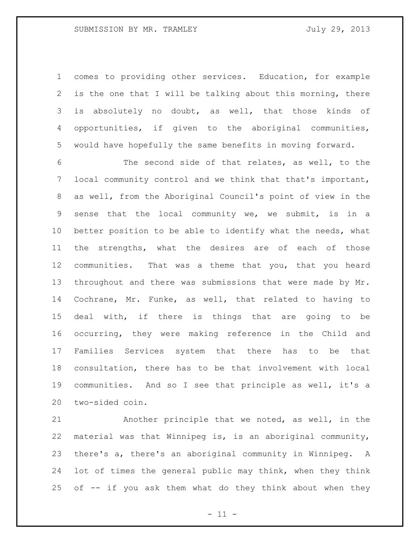### SUBMISSION BY MR. TRAMLEY FOR SUBMISSION BY MR. TRAMLEY

 comes to providing other services. Education, for example is the one that I will be talking about this morning, there is absolutely no doubt, as well, that those kinds of opportunities, if given to the aboriginal communities, would have hopefully the same benefits in moving forward.

 The second side of that relates, as well, to the local community control and we think that that's important, as well, from the Aboriginal Council's point of view in the sense that the local community we, we submit, is in a better position to be able to identify what the needs, what the strengths, what the desires are of each of those communities. That was a theme that you, that you heard throughout and there was submissions that were made by Mr. Cochrane, Mr. Funke, as well, that related to having to deal with, if there is things that are going to be occurring, they were making reference in the Child and Families Services system that there has to be that consultation, there has to be that involvement with local communities. And so I see that principle as well, it's a two-sided coin.

 Another principle that we noted, as well, in the material was that Winnipeg is, is an aboriginal community, there's a, there's an aboriginal community in Winnipeg. A lot of times the general public may think, when they think of -- if you ask them what do they think about when they

 $-11 -$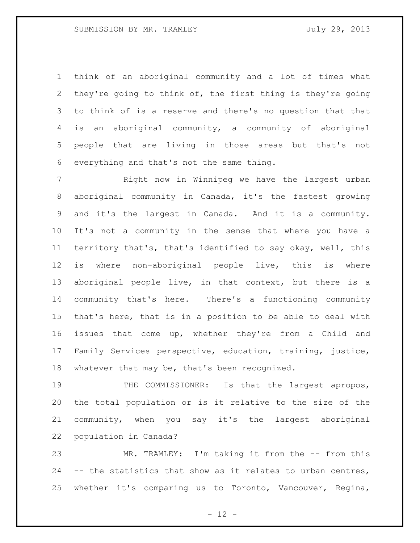think of an aboriginal community and a lot of times what they're going to think of, the first thing is they're going to think of is a reserve and there's no question that that is an aboriginal community, a community of aboriginal people that are living in those areas but that's not everything and that's not the same thing.

 Right now in Winnipeg we have the largest urban aboriginal community in Canada, it's the fastest growing and it's the largest in Canada. And it is a community. It's not a community in the sense that where you have a territory that's, that's identified to say okay, well, this is where non-aboriginal people live, this is where aboriginal people live, in that context, but there is a community that's here. There's a functioning community that's here, that is in a position to be able to deal with issues that come up, whether they're from a Child and Family Services perspective, education, training, justice, whatever that may be, that's been recognized.

19 THE COMMISSIONER: Is that the largest apropos, the total population or is it relative to the size of the community, when you say it's the largest aboriginal population in Canada?

 MR. TRAMLEY: I'm taking it from the -- from this -- the statistics that show as it relates to urban centres, whether it's comparing us to Toronto, Vancouver, Regina,

 $- 12 -$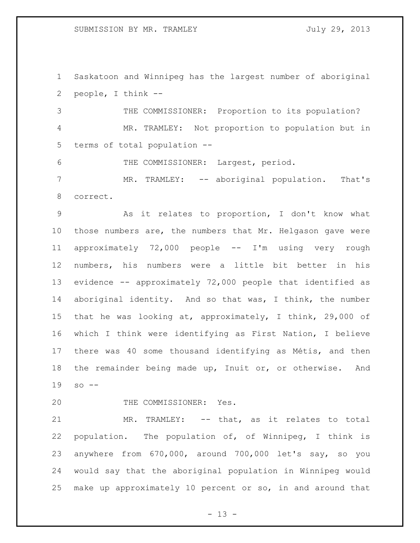SUBMISSION BY MR. TRAMLEY FOR SUBMISSION BY MR. TRAMLEY

 Saskatoon and Winnipeg has the largest number of aboriginal people, I think --

 THE COMMISSIONER: Proportion to its population? MR. TRAMLEY: Not proportion to population but in terms of total population --

THE COMMISSIONER: Largest, period.

 MR. TRAMLEY: -- aboriginal population. That's correct.

 As it relates to proportion, I don't know what those numbers are, the numbers that Mr. Helgason gave were approximately 72,000 people -- I'm using very rough numbers, his numbers were a little bit better in his evidence -- approximately 72,000 people that identified as aboriginal identity. And so that was, I think, the number that he was looking at, approximately, I think, 29,000 of which I think were identifying as First Nation, I believe there was 40 some thousand identifying as Métis, and then the remainder being made up, Inuit or, or otherwise. And so --

20 THE COMMISSIONER: Yes.

 MR. TRAMLEY: -- that, as it relates to total population. The population of, of Winnipeg, I think is anywhere from 670,000, around 700,000 let's say, so you would say that the aboriginal population in Winnipeg would make up approximately 10 percent or so, in and around that

 $- 13 -$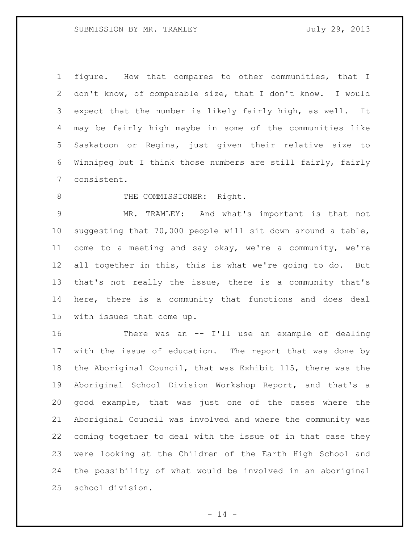figure. How that compares to other communities, that I don't know, of comparable size, that I don't know. I would expect that the number is likely fairly high, as well. It may be fairly high maybe in some of the communities like Saskatoon or Regina, just given their relative size to Winnipeg but I think those numbers are still fairly, fairly consistent.

8 THE COMMISSIONER: Right.

 MR. TRAMLEY: And what's important is that not suggesting that 70,000 people will sit down around a table, come to a meeting and say okay, we're a community, we're all together in this, this is what we're going to do. But that's not really the issue, there is a community that's here, there is a community that functions and does deal with issues that come up.

 There was an -- I'll use an example of dealing with the issue of education. The report that was done by the Aboriginal Council, that was Exhibit 115, there was the Aboriginal School Division Workshop Report, and that's a good example, that was just one of the cases where the Aboriginal Council was involved and where the community was coming together to deal with the issue of in that case they were looking at the Children of the Earth High School and the possibility of what would be involved in an aboriginal school division.

 $- 14 -$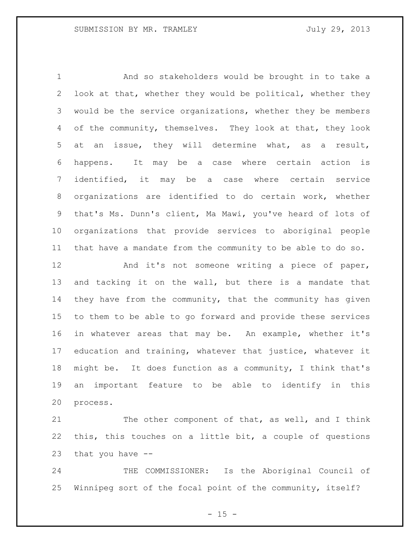And so stakeholders would be brought in to take a look at that, whether they would be political, whether they would be the service organizations, whether they be members 4 of the community, themselves. They look at that, they look at an issue, they will determine what, as a result, happens. It may be a case where certain action is identified, it may be a case where certain service organizations are identified to do certain work, whether that's Ms. Dunn's client, Ma Mawi, you've heard of lots of organizations that provide services to aboriginal people that have a mandate from the community to be able to do so.

12 And it's not someone writing a piece of paper, and tacking it on the wall, but there is a mandate that they have from the community, that the community has given to them to be able to go forward and provide these services in whatever areas that may be. An example, whether it's education and training, whatever that justice, whatever it might be. It does function as a community, I think that's an important feature to be able to identify in this process.

21 The other component of that, as well, and I think this, this touches on a little bit, a couple of questions that you have --

 THE COMMISSIONER: Is the Aboriginal Council of Winnipeg sort of the focal point of the community, itself?

 $- 15 -$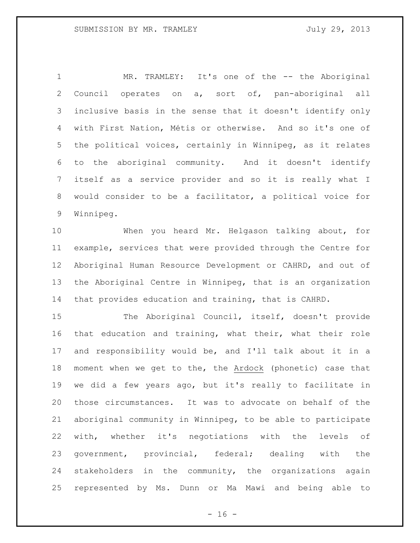1 MR. TRAMLEY: It's one of the -- the Aboriginal Council operates on a, sort of, pan-aboriginal all inclusive basis in the sense that it doesn't identify only with First Nation, Métis or otherwise. And so it's one of the political voices, certainly in Winnipeg, as it relates to the aboriginal community. And it doesn't identify itself as a service provider and so it is really what I would consider to be a facilitator, a political voice for Winnipeg.

 When you heard Mr. Helgason talking about, for example, services that were provided through the Centre for Aboriginal Human Resource Development or CAHRD, and out of the Aboriginal Centre in Winnipeg, that is an organization that provides education and training, that is CAHRD.

 The Aboriginal Council, itself, doesn't provide that education and training, what their, what their role and responsibility would be, and I'll talk about it in a moment when we get to the, the Ardock (phonetic) case that we did a few years ago, but it's really to facilitate in those circumstances. It was to advocate on behalf of the aboriginal community in Winnipeg, to be able to participate with, whether it's negotiations with the levels of government, provincial, federal; dealing with the stakeholders in the community, the organizations again represented by Ms. Dunn or Ma Mawi and being able to

 $- 16 -$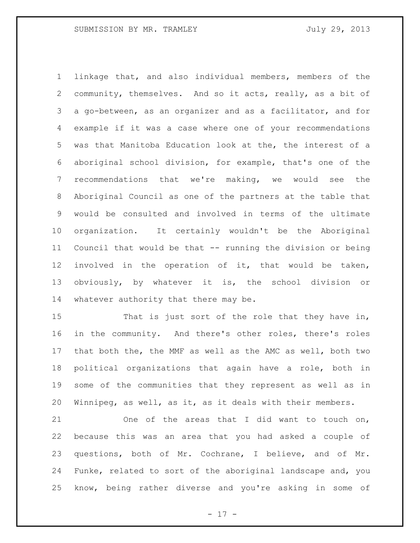linkage that, and also individual members, members of the community, themselves. And so it acts, really, as a bit of a go-between, as an organizer and as a facilitator, and for example if it was a case where one of your recommendations was that Manitoba Education look at the, the interest of a aboriginal school division, for example, that's one of the recommendations that we're making, we would see the Aboriginal Council as one of the partners at the table that would be consulted and involved in terms of the ultimate organization. It certainly wouldn't be the Aboriginal Council that would be that -- running the division or being involved in the operation of it, that would be taken, obviously, by whatever it is, the school division or whatever authority that there may be.

 That is just sort of the role that they have in, in the community. And there's other roles, there's roles that both the, the MMF as well as the AMC as well, both two political organizations that again have a role, both in some of the communities that they represent as well as in Winnipeg, as well, as it, as it deals with their members.

 One of the areas that I did want to touch on, because this was an area that you had asked a couple of questions, both of Mr. Cochrane, I believe, and of Mr. Funke, related to sort of the aboriginal landscape and, you know, being rather diverse and you're asking in some of

- 17 -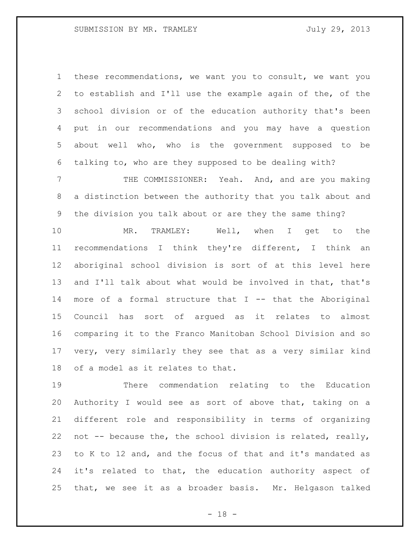these recommendations, we want you to consult, we want you to establish and I'll use the example again of the, of the school division or of the education authority that's been put in our recommendations and you may have a question about well who, who is the government supposed to be talking to, who are they supposed to be dealing with?

 THE COMMISSIONER: Yeah. And, and are you making a distinction between the authority that you talk about and the division you talk about or are they the same thing?

 MR. TRAMLEY: Well, when I get to the recommendations I think they're different, I think an aboriginal school division is sort of at this level here and I'll talk about what would be involved in that, that's more of a formal structure that I -- that the Aboriginal Council has sort of argued as it relates to almost comparing it to the Franco Manitoban School Division and so very, very similarly they see that as a very similar kind of a model as it relates to that.

 There commendation relating to the Education Authority I would see as sort of above that, taking on a different role and responsibility in terms of organizing not -- because the, the school division is related, really, to K to 12 and, and the focus of that and it's mandated as it's related to that, the education authority aspect of that, we see it as a broader basis. Mr. Helgason talked

 $- 18 -$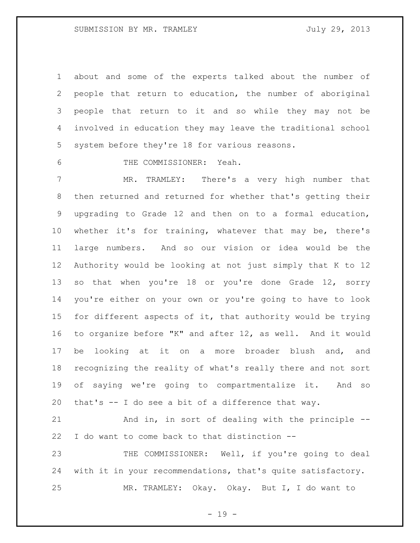about and some of the experts talked about the number of people that return to education, the number of aboriginal people that return to it and so while they may not be involved in education they may leave the traditional school system before they're 18 for various reasons.

THE COMMISSIONER: Yeah.

 MR. TRAMLEY: There's a very high number that then returned and returned for whether that's getting their upgrading to Grade 12 and then on to a formal education, whether it's for training, whatever that may be, there's large numbers. And so our vision or idea would be the Authority would be looking at not just simply that K to 12 13 so that when you're 18 or you're done Grade 12, sorry you're either on your own or you're going to have to look for different aspects of it, that authority would be trying to organize before "K" and after 12, as well. And it would be looking at it on a more broader blush and, and recognizing the reality of what's really there and not sort of saying we're going to compartmentalize it. And so that's -- I do see a bit of a difference that way.

 And in, in sort of dealing with the principle -- I do want to come back to that distinction --

 THE COMMISSIONER: Well, if you're going to deal with it in your recommendations, that's quite satisfactory. MR. TRAMLEY: Okay. Okay. But I, I do want to

- 19 -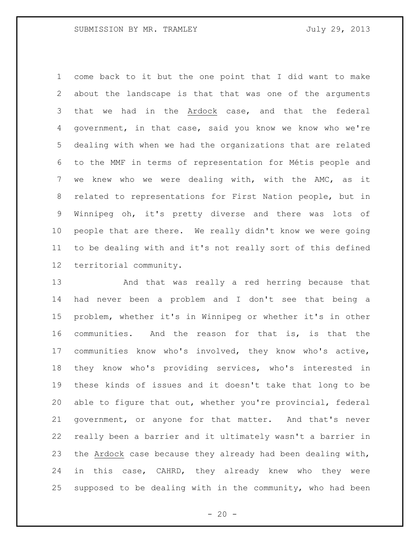come back to it but the one point that I did want to make about the landscape is that that was one of the arguments that we had in the Ardock case, and that the federal government, in that case, said you know we know who we're dealing with when we had the organizations that are related to the MMF in terms of representation for Métis people and we knew who we were dealing with, with the AMC, as it related to representations for First Nation people, but in Winnipeg oh, it's pretty diverse and there was lots of people that are there. We really didn't know we were going to be dealing with and it's not really sort of this defined territorial community.

 And that was really a red herring because that had never been a problem and I don't see that being a problem, whether it's in Winnipeg or whether it's in other communities. And the reason for that is, is that the communities know who's involved, they know who's active, they know who's providing services, who's interested in these kinds of issues and it doesn't take that long to be able to figure that out, whether you're provincial, federal government, or anyone for that matter. And that's never really been a barrier and it ultimately wasn't a barrier in the Ardock case because they already had been dealing with, in this case, CAHRD, they already knew who they were supposed to be dealing with in the community, who had been

 $- 20 -$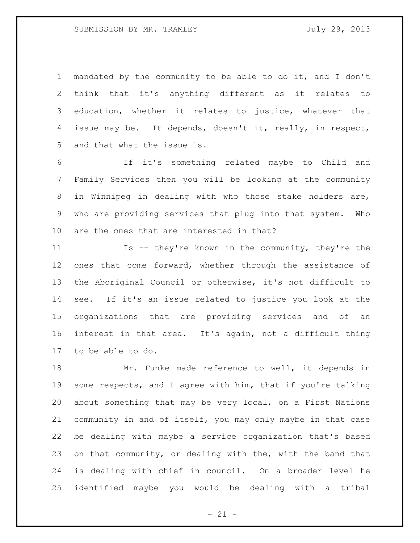### SUBMISSION BY MR. TRAMLEY FOR SUBMISSION BY MR. TRAMLEY

 mandated by the community to be able to do it, and I don't think that it's anything different as it relates to education, whether it relates to justice, whatever that issue may be. It depends, doesn't it, really, in respect, and that what the issue is.

 If it's something related maybe to Child and Family Services then you will be looking at the community in Winnipeg in dealing with who those stake holders are, who are providing services that plug into that system. Who are the ones that are interested in that?

 Is -- they're known in the community, they're the ones that come forward, whether through the assistance of the Aboriginal Council or otherwise, it's not difficult to see. If it's an issue related to justice you look at the organizations that are providing services and of an interest in that area. It's again, not a difficult thing to be able to do.

 Mr. Funke made reference to well, it depends in some respects, and I agree with him, that if you're talking about something that may be very local, on a First Nations community in and of itself, you may only maybe in that case be dealing with maybe a service organization that's based on that community, or dealing with the, with the band that is dealing with chief in council. On a broader level he identified maybe you would be dealing with a tribal

 $- 21 -$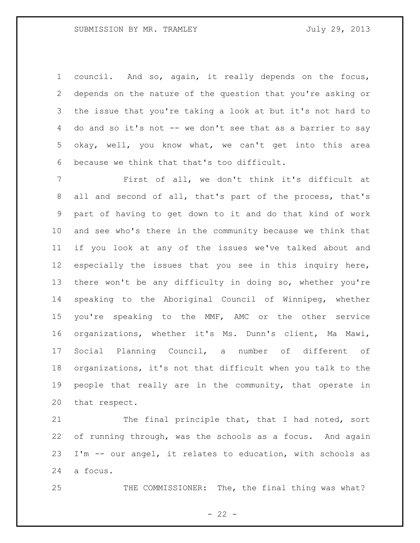council. And so, again, it really depends on the focus, depends on the nature of the question that you're asking or the issue that you're taking a look at but it's not hard to do and so it's not -- we don't see that as a barrier to say okay, well, you know what, we can't get into this area because we think that that's too difficult.

 First of all, we don't think it's difficult at all and second of all, that's part of the process, that's part of having to get down to it and do that kind of work and see who's there in the community because we think that if you look at any of the issues we've talked about and especially the issues that you see in this inquiry here, there won't be any difficulty in doing so, whether you're speaking to the Aboriginal Council of Winnipeg, whether you're speaking to the MMF, AMC or the other service organizations, whether it's Ms. Dunn's client, Ma Mawi, Social Planning Council, a number of different of organizations, it's not that difficult when you talk to the people that really are in the community, that operate in that respect.

21 The final principle that, that I had noted, sort of running through, was the schools as a focus. And again I'm -- our angel, it relates to education, with schools as a focus.

25 THE COMMISSIONER: The, the final thing was what?

 $- 22 -$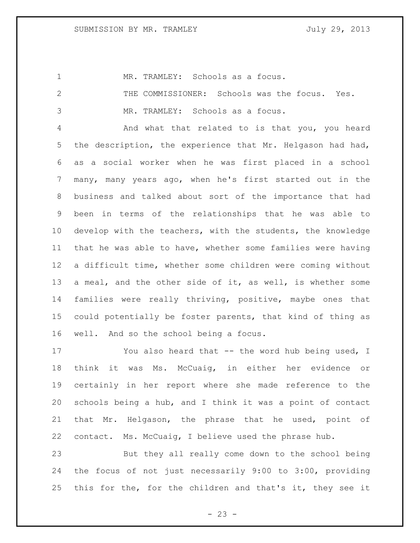MR. TRAMLEY: Schools as a focus.

 THE COMMISSIONER: Schools was the focus. Yes. MR. TRAMLEY: Schools as a focus.

 And what that related to is that you, you heard the description, the experience that Mr. Helgason had had, as a social worker when he was first placed in a school many, many years ago, when he's first started out in the business and talked about sort of the importance that had been in terms of the relationships that he was able to develop with the teachers, with the students, the knowledge that he was able to have, whether some families were having a difficult time, whether some children were coming without a meal, and the other side of it, as well, is whether some families were really thriving, positive, maybe ones that could potentially be foster parents, that kind of thing as well. And so the school being a focus.

 You also heard that -- the word hub being used, I think it was Ms. McCuaig, in either her evidence or certainly in her report where she made reference to the schools being a hub, and I think it was a point of contact that Mr. Helgason, the phrase that he used, point of contact. Ms. McCuaig, I believe used the phrase hub.

 But they all really come down to the school being the focus of not just necessarily 9:00 to 3:00, providing this for the, for the children and that's it, they see it

 $- 23 -$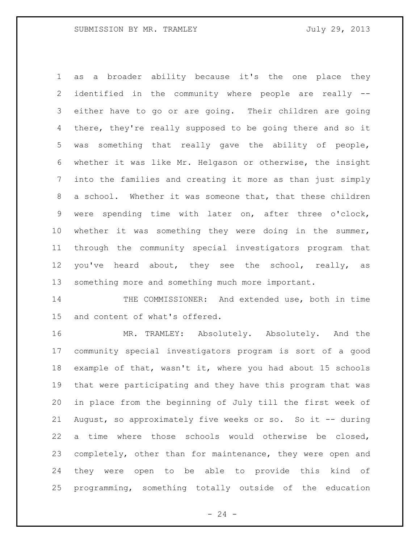as a broader ability because it's the one place they identified in the community where people are really -- either have to go or are going. Their children are going there, they're really supposed to be going there and so it was something that really gave the ability of people, whether it was like Mr. Helgason or otherwise, the insight into the families and creating it more as than just simply a school. Whether it was someone that, that these children were spending time with later on, after three o'clock, whether it was something they were doing in the summer, through the community special investigators program that 12 you've heard about, they see the school, really, as something more and something much more important.

14 THE COMMISSIONER: And extended use, both in time and content of what's offered.

 MR. TRAMLEY: Absolutely. Absolutely. And the community special investigators program is sort of a good example of that, wasn't it, where you had about 15 schools that were participating and they have this program that was in place from the beginning of July till the first week of August, so approximately five weeks or so. So it -- during a time where those schools would otherwise be closed, completely, other than for maintenance, they were open and they were open to be able to provide this kind of programming, something totally outside of the education

 $- 24 -$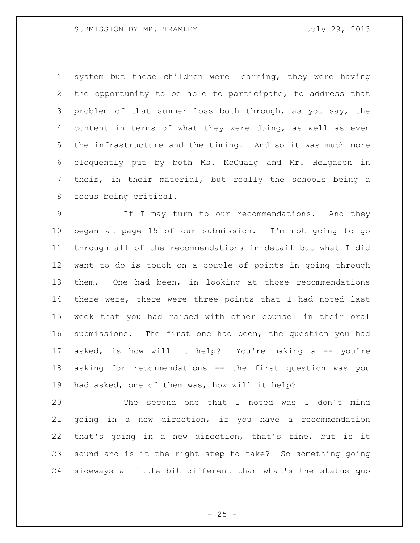system but these children were learning, they were having the opportunity to be able to participate, to address that problem of that summer loss both through, as you say, the content in terms of what they were doing, as well as even the infrastructure and the timing. And so it was much more eloquently put by both Ms. McCuaig and Mr. Helgason in their, in their material, but really the schools being a focus being critical.

 If I may turn to our recommendations. And they began at page 15 of our submission. I'm not going to go through all of the recommendations in detail but what I did want to do is touch on a couple of points in going through them. One had been, in looking at those recommendations there were, there were three points that I had noted last week that you had raised with other counsel in their oral submissions. The first one had been, the question you had asked, is how will it help? You're making a -- you're asking for recommendations -- the first question was you had asked, one of them was, how will it help?

 The second one that I noted was I don't mind going in a new direction, if you have a recommendation that's going in a new direction, that's fine, but is it sound and is it the right step to take? So something going sideways a little bit different than what's the status quo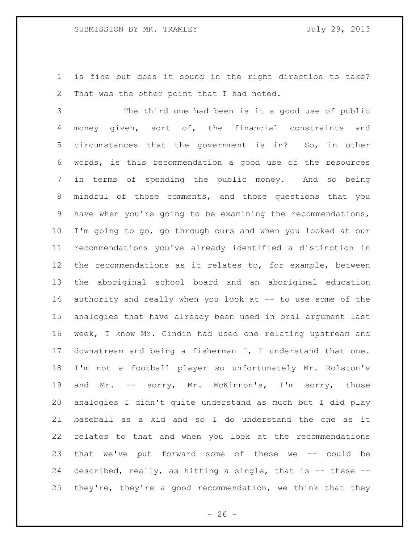is fine but does it sound in the right direction to take? That was the other point that I had noted.

 The third one had been is it a good use of public money given, sort of, the financial constraints and circumstances that the government is in? So, in other words, is this recommendation a good use of the resources in terms of spending the public money. And so being mindful of those comments, and those questions that you have when you're going to be examining the recommendations, I'm going to go, go through ours and when you looked at our recommendations you've already identified a distinction in the recommendations as it relates to, for example, between the aboriginal school board and an aboriginal education authority and really when you look at -- to use some of the analogies that have already been used in oral argument last week, I know Mr. Gindin had used one relating upstream and downstream and being a fisherman I, I understand that one. I'm not a football player so unfortunately Mr. Rolston's and Mr. -- sorry, Mr. McKinnon's, I'm sorry, those analogies I didn't quite understand as much but I did play baseball as a kid and so I do understand the one as it relates to that and when you look at the recommendations that we've put forward some of these we -- could be described, really, as hitting a single, that is -- these -- they're, they're a good recommendation, we think that they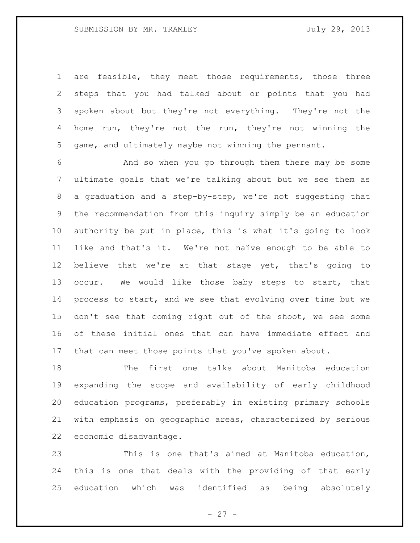are feasible, they meet those requirements, those three steps that you had talked about or points that you had spoken about but they're not everything. They're not the home run, they're not the run, they're not winning the game, and ultimately maybe not winning the pennant.

 And so when you go through them there may be some ultimate goals that we're talking about but we see them as a graduation and a step-by-step, we're not suggesting that the recommendation from this inquiry simply be an education authority be put in place, this is what it's going to look like and that's it. We're not naïve enough to be able to believe that we're at that stage yet, that's going to 13 occur. We would like those baby steps to start, that process to start, and we see that evolving over time but we don't see that coming right out of the shoot, we see some of these initial ones that can have immediate effect and that can meet those points that you've spoken about.

 The first one talks about Manitoba education expanding the scope and availability of early childhood education programs, preferably in existing primary schools with emphasis on geographic areas, characterized by serious economic disadvantage.

 This is one that's aimed at Manitoba education, this is one that deals with the providing of that early education which was identified as being absolutely

 $- 27 -$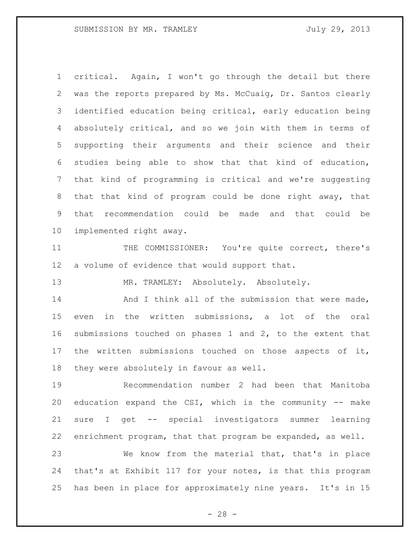critical. Again, I won't go through the detail but there was the reports prepared by Ms. McCuaig, Dr. Santos clearly identified education being critical, early education being absolutely critical, and so we join with them in terms of supporting their arguments and their science and their studies being able to show that that kind of education, that kind of programming is critical and we're suggesting that that kind of program could be done right away, that that recommendation could be made and that could be implemented right away.

 THE COMMISSIONER: You're quite correct, there's a volume of evidence that would support that.

MR. TRAMLEY: Absolutely. Absolutely.

14 And I think all of the submission that were made, even in the written submissions, a lot of the oral submissions touched on phases 1 and 2, to the extent that the written submissions touched on those aspects of it, they were absolutely in favour as well.

 Recommendation number 2 had been that Manitoba education expand the CSI, which is the community -- make sure I get -- special investigators summer learning enrichment program, that that program be expanded, as well.

 We know from the material that, that's in place that's at Exhibit 117 for your notes, is that this program has been in place for approximately nine years. It's in 15

 $- 28 -$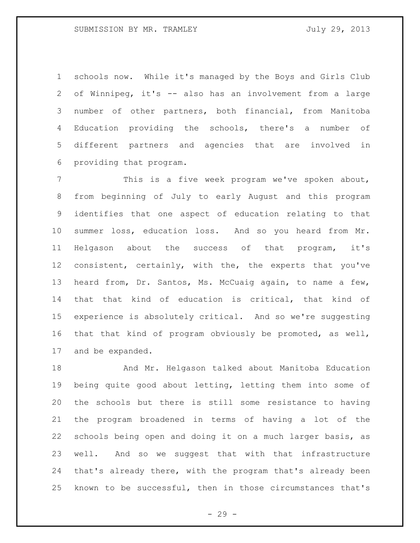schools now. While it's managed by the Boys and Girls Club of Winnipeg, it's -- also has an involvement from a large number of other partners, both financial, from Manitoba Education providing the schools, there's a number of different partners and agencies that are involved in providing that program.

 This is a five week program we've spoken about, from beginning of July to early August and this program identifies that one aspect of education relating to that summer loss, education loss. And so you heard from Mr. Helgason about the success of that program, it's consistent, certainly, with the, the experts that you've heard from, Dr. Santos, Ms. McCuaig again, to name a few, that that kind of education is critical, that kind of experience is absolutely critical. And so we're suggesting that that kind of program obviously be promoted, as well, and be expanded.

 And Mr. Helgason talked about Manitoba Education being quite good about letting, letting them into some of the schools but there is still some resistance to having the program broadened in terms of having a lot of the schools being open and doing it on a much larger basis, as well. And so we suggest that with that infrastructure that's already there, with the program that's already been known to be successful, then in those circumstances that's

- 29 -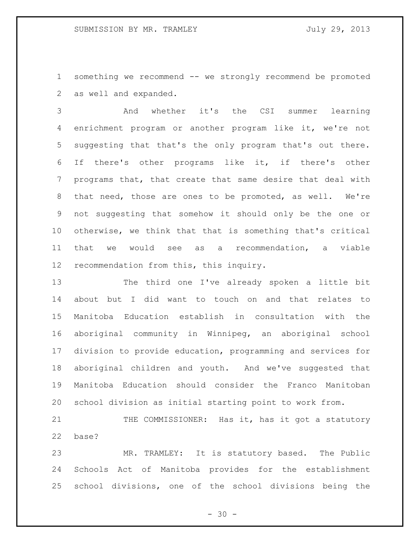something we recommend -- we strongly recommend be promoted as well and expanded.

 And whether it's the CSI summer learning enrichment program or another program like it, we're not suggesting that that's the only program that's out there. If there's other programs like it, if there's other programs that, that create that same desire that deal with that need, those are ones to be promoted, as well. We're not suggesting that somehow it should only be the one or otherwise, we think that that is something that's critical that we would see as a recommendation, a viable recommendation from this, this inquiry.

 The third one I've already spoken a little bit about but I did want to touch on and that relates to Manitoba Education establish in consultation with the aboriginal community in Winnipeg, an aboriginal school division to provide education, programming and services for aboriginal children and youth. And we've suggested that Manitoba Education should consider the Franco Manitoban school division as initial starting point to work from.

21 THE COMMISSIONER: Has it, has it got a statutory base?

 MR. TRAMLEY: It is statutory based. The Public Schools Act of Manitoba provides for the establishment school divisions, one of the school divisions being the

 $- 30 -$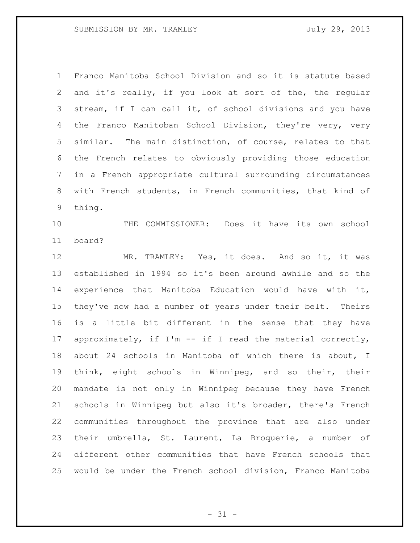Franco Manitoba School Division and so it is statute based and it's really, if you look at sort of the, the regular stream, if I can call it, of school divisions and you have the Franco Manitoban School Division, they're very, very similar. The main distinction, of course, relates to that the French relates to obviously providing those education in a French appropriate cultural surrounding circumstances with French students, in French communities, that kind of thing.

 THE COMMISSIONER: Does it have its own school board?

 MR. TRAMLEY: Yes, it does. And so it, it was established in 1994 so it's been around awhile and so the experience that Manitoba Education would have with it, they've now had a number of years under their belt. Theirs is a little bit different in the sense that they have approximately, if I'm -- if I read the material correctly, about 24 schools in Manitoba of which there is about, I think, eight schools in Winnipeg, and so their, their mandate is not only in Winnipeg because they have French schools in Winnipeg but also it's broader, there's French communities throughout the province that are also under their umbrella, St. Laurent, La Broquerie, a number of different other communities that have French schools that would be under the French school division, Franco Manitoba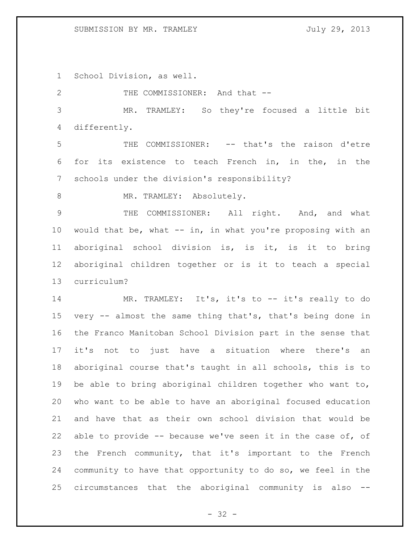## SUBMISSION BY MR. TRAMLEY July 29, 2013

School Division, as well.

2 THE COMMISSIONER: And that -- MR. TRAMLEY: So they're focused a little bit differently. THE COMMISSIONER: -- that's the raison d'etre for its existence to teach French in, in the, in the schools under the division's responsibility? 8 MR. TRAMLEY: Absolutely. 9 THE COMMISSIONER: All right. And, and what would that be, what -- in, in what you're proposing with an aboriginal school division is, is it, is it to bring aboriginal children together or is it to teach a special curriculum? MR. TRAMLEY: It's, it's to -- it's really to do very -- almost the same thing that's, that's being done in the Franco Manitoban School Division part in the sense that it's not to just have a situation where there's an aboriginal course that's taught in all schools, this is to be able to bring aboriginal children together who want to, who want to be able to have an aboriginal focused education and have that as their own school division that would be able to provide -- because we've seen it in the case of, of the French community, that it's important to the French community to have that opportunity to do so, we feel in the circumstances that the aboriginal community is also --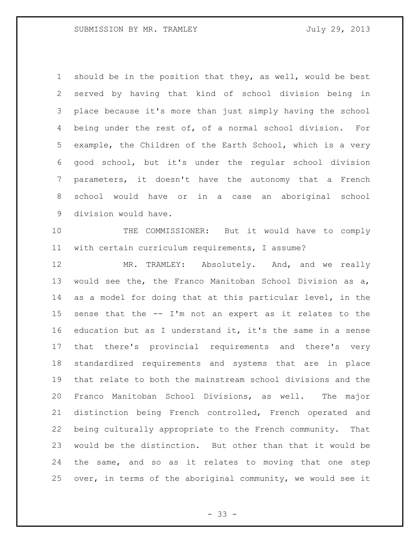should be in the position that they, as well, would be best served by having that kind of school division being in place because it's more than just simply having the school being under the rest of, of a normal school division. For example, the Children of the Earth School, which is a very good school, but it's under the regular school division parameters, it doesn't have the autonomy that a French school would have or in a case an aboriginal school division would have.

 THE COMMISSIONER: But it would have to comply with certain curriculum requirements, I assume?

 MR. TRAMLEY: Absolutely. And, and we really would see the, the Franco Manitoban School Division as a, as a model for doing that at this particular level, in the sense that the -- I'm not an expert as it relates to the education but as I understand it, it's the same in a sense that there's provincial requirements and there's very standardized requirements and systems that are in place that relate to both the mainstream school divisions and the Franco Manitoban School Divisions, as well. The major distinction being French controlled, French operated and being culturally appropriate to the French community. That would be the distinction. But other than that it would be the same, and so as it relates to moving that one step over, in terms of the aboriginal community, we would see it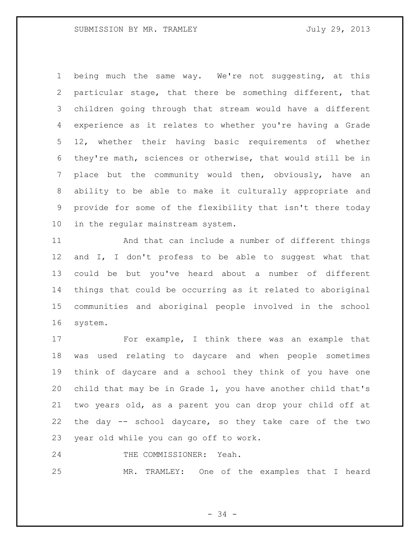being much the same way. We're not suggesting, at this particular stage, that there be something different, that children going through that stream would have a different experience as it relates to whether you're having a Grade 12, whether their having basic requirements of whether they're math, sciences or otherwise, that would still be in place but the community would then, obviously, have an ability to be able to make it culturally appropriate and provide for some of the flexibility that isn't there today in the regular mainstream system.

 And that can include a number of different things and I, I don't profess to be able to suggest what that could be but you've heard about a number of different things that could be occurring as it related to aboriginal communities and aboriginal people involved in the school system.

 For example, I think there was an example that was used relating to daycare and when people sometimes think of daycare and a school they think of you have one child that may be in Grade 1, you have another child that's two years old, as a parent you can drop your child off at the day -- school daycare, so they take care of the two year old while you can go off to work.

24 THE COMMISSIONER: Yeah.

MR. TRAMLEY: One of the examples that I heard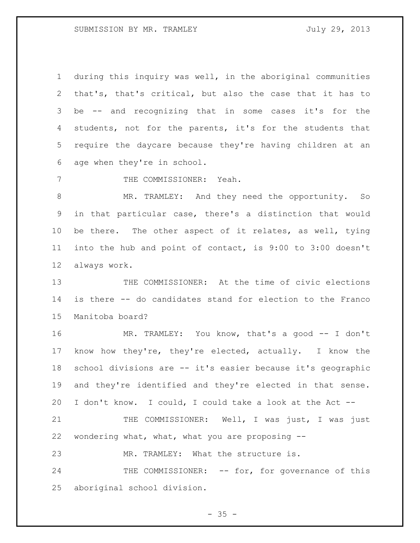during this inquiry was well, in the aboriginal communities that's, that's critical, but also the case that it has to be -- and recognizing that in some cases it's for the students, not for the parents, it's for the students that require the daycare because they're having children at an age when they're in school.

7 THE COMMISSIONER: Yeah.

 MR. TRAMLEY: And they need the opportunity. So in that particular case, there's a distinction that would be there. The other aspect of it relates, as well, tying into the hub and point of contact, is 9:00 to 3:00 doesn't always work.

 THE COMMISSIONER: At the time of civic elections is there -- do candidates stand for election to the Franco Manitoba board?

 MR. TRAMLEY: You know, that's a good -- I don't know how they're, they're elected, actually. I know the school divisions are -- it's easier because it's geographic and they're identified and they're elected in that sense. I don't know. I could, I could take a look at the Act --

21 THE COMMISSIONER: Well, I was just, I was just wondering what, what, what you are proposing --

MR. TRAMLEY: What the structure is.

24 THE COMMISSIONER: -- for, for governance of this aboriginal school division.

 $- 35 -$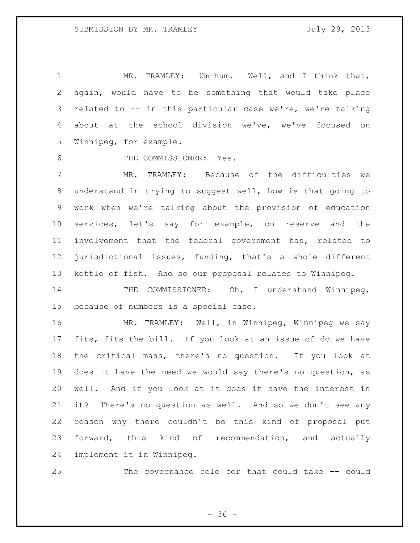MR. TRAMLEY: Um-hum. Well, and I think that, again, would have to be something that would take place related to -- in this particular case we're, we're talking about at the school division we've, we've focused on Winnipeg, for example.

THE COMMISSIONER: Yes.

 MR. TRAMLEY: Because of the difficulties we understand in trying to suggest well, how is that going to work when we're talking about the provision of education services, let's say for example, on reserve and the involvement that the federal government has, related to jurisdictional issues, funding, that's a whole different kettle of fish. And so our proposal relates to Winnipeg.

14 THE COMMISSIONER: Oh, I understand Winnipeg, because of numbers is a special case.

 MR. TRAMLEY: Well, in Winnipeg, Winnipeg we say fits, fits the bill. If you look at an issue of do we have the critical mass, there's no question. If you look at does it have the need we would say there's no question, as well. And if you look at it does it have the interest in it? There's no question as well. And so we don't see any reason why there couldn't be this kind of proposal put forward, this kind of recommendation, and actually implement it in Winnipeg.

The governance role for that could take -- could

 $- 36 -$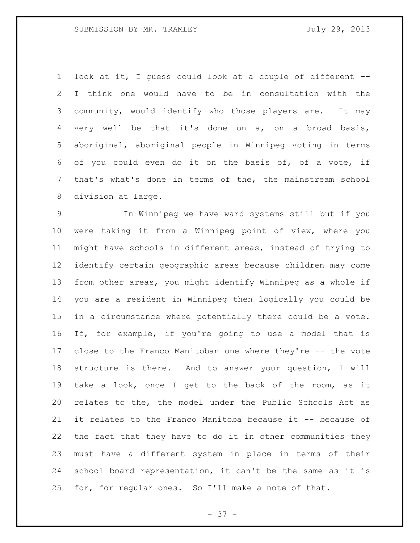look at it, I guess could look at a couple of different -- I think one would have to be in consultation with the community, would identify who those players are. It may very well be that it's done on a, on a broad basis, aboriginal, aboriginal people in Winnipeg voting in terms of you could even do it on the basis of, of a vote, if that's what's done in terms of the, the mainstream school division at large.

 In Winnipeg we have ward systems still but if you were taking it from a Winnipeg point of view, where you might have schools in different areas, instead of trying to identify certain geographic areas because children may come from other areas, you might identify Winnipeg as a whole if you are a resident in Winnipeg then logically you could be in a circumstance where potentially there could be a vote. If, for example, if you're going to use a model that is close to the Franco Manitoban one where they're -- the vote structure is there. And to answer your question, I will take a look, once I get to the back of the room, as it relates to the, the model under the Public Schools Act as it relates to the Franco Manitoba because it -- because of the fact that they have to do it in other communities they must have a different system in place in terms of their school board representation, it can't be the same as it is for, for regular ones. So I'll make a note of that.

- 37 -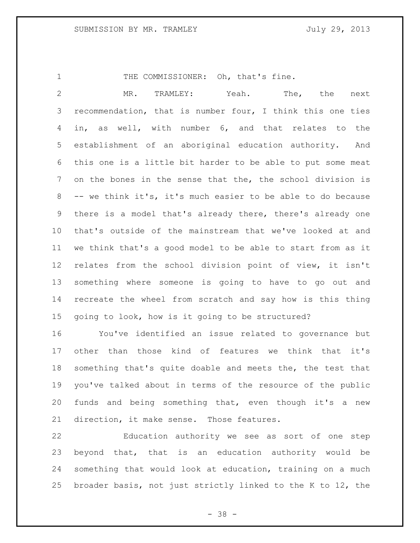1 THE COMMISSIONER: Oh, that's fine.

 MR. TRAMLEY: Yeah. The, the next recommendation, that is number four, I think this one ties in, as well, with number 6, and that relates to the establishment of an aboriginal education authority. And this one is a little bit harder to be able to put some meat on the bones in the sense that the, the school division is -- we think it's, it's much easier to be able to do because there is a model that's already there, there's already one that's outside of the mainstream that we've looked at and we think that's a good model to be able to start from as it relates from the school division point of view, it isn't something where someone is going to have to go out and recreate the wheel from scratch and say how is this thing going to look, how is it going to be structured?

 You've identified an issue related to governance but other than those kind of features we think that it's something that's quite doable and meets the, the test that you've talked about in terms of the resource of the public funds and being something that, even though it's a new direction, it make sense. Those features.

 Education authority we see as sort of one step beyond that, that is an education authority would be something that would look at education, training on a much broader basis, not just strictly linked to the K to 12, the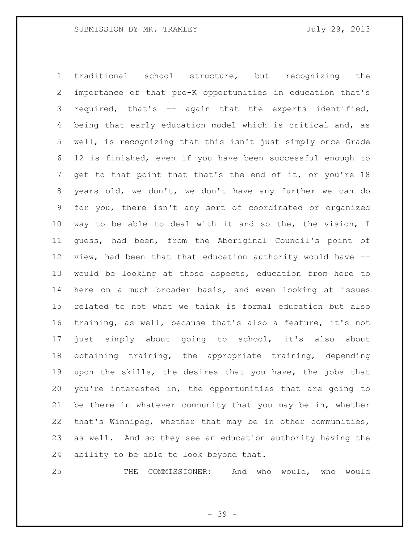traditional school structure, but recognizing the importance of that pre-K opportunities in education that's required, that's -- again that the experts identified, being that early education model which is critical and, as well, is recognizing that this isn't just simply once Grade 12 is finished, even if you have been successful enough to get to that point that that's the end of it, or you're 18 years old, we don't, we don't have any further we can do for you, there isn't any sort of coordinated or organized way to be able to deal with it and so the, the vision, I guess, had been, from the Aboriginal Council's point of view, had been that that education authority would have -- would be looking at those aspects, education from here to here on a much broader basis, and even looking at issues related to not what we think is formal education but also training, as well, because that's also a feature, it's not just simply about going to school, it's also about obtaining training, the appropriate training, depending upon the skills, the desires that you have, the jobs that you're interested in, the opportunities that are going to be there in whatever community that you may be in, whether that's Winnipeg, whether that may be in other communities, as well. And so they see an education authority having the ability to be able to look beyond that.

THE COMMISSIONER: And who would, who would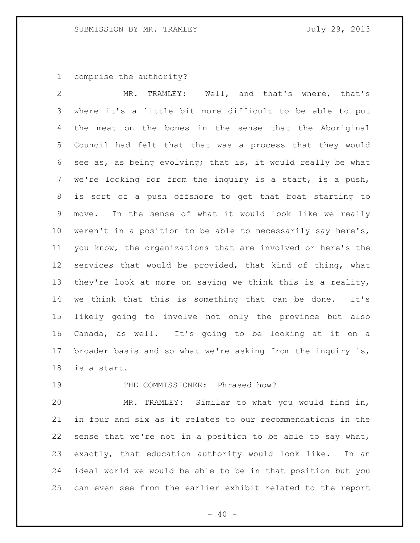comprise the authority?

 MR. TRAMLEY: Well, and that's where, that's where it's a little bit more difficult to be able to put the meat on the bones in the sense that the Aboriginal Council had felt that that was a process that they would see as, as being evolving; that is, it would really be what we're looking for from the inquiry is a start, is a push, is sort of a push offshore to get that boat starting to move. In the sense of what it would look like we really weren't in a position to be able to necessarily say here's, you know, the organizations that are involved or here's the services that would be provided, that kind of thing, what they're look at more on saying we think this is a reality, we think that this is something that can be done. It's likely going to involve not only the province but also Canada, as well. It's going to be looking at it on a broader basis and so what we're asking from the inquiry is, is a start.

# 19 THE COMMISSIONER: Phrased how?

 MR. TRAMLEY: Similar to what you would find in, in four and six as it relates to our recommendations in the sense that we're not in a position to be able to say what, exactly, that education authority would look like. In an ideal world we would be able to be in that position but you can even see from the earlier exhibit related to the report

 $- 40 -$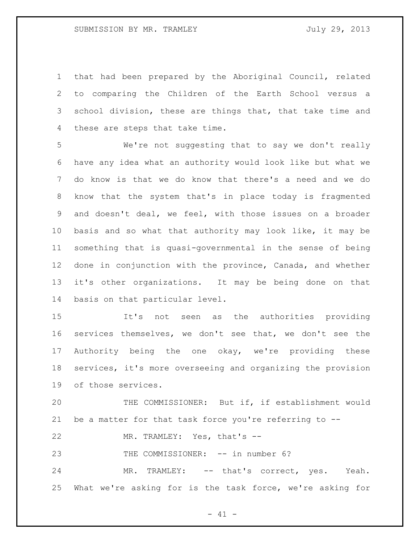that had been prepared by the Aboriginal Council, related to comparing the Children of the Earth School versus a school division, these are things that, that take time and these are steps that take time.

 We're not suggesting that to say we don't really have any idea what an authority would look like but what we do know is that we do know that there's a need and we do know that the system that's in place today is fragmented and doesn't deal, we feel, with those issues on a broader basis and so what that authority may look like, it may be something that is quasi-governmental in the sense of being done in conjunction with the province, Canada, and whether it's other organizations. It may be being done on that basis on that particular level.

 It's not seen as the authorities providing services themselves, we don't see that, we don't see the Authority being the one okay, we're providing these services, it's more overseeing and organizing the provision of those services.

 THE COMMISSIONER: But if, if establishment would be a matter for that task force you're referring to --

MR. TRAMLEY: Yes, that's --

23 THE COMMISSIONER: -- in number 6?

 MR. TRAMLEY: -- that's correct, yes. Yeah. What we're asking for is the task force, we're asking for

 $- 41 -$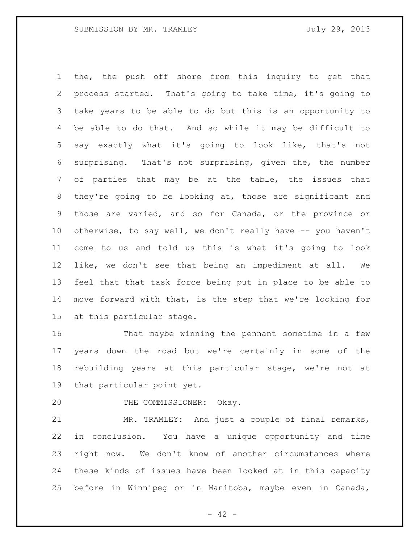the, the push off shore from this inquiry to get that process started. That's going to take time, it's going to take years to be able to do but this is an opportunity to be able to do that. And so while it may be difficult to say exactly what it's going to look like, that's not surprising. That's not surprising, given the, the number of parties that may be at the table, the issues that they're going to be looking at, those are significant and those are varied, and so for Canada, or the province or otherwise, to say well, we don't really have -- you haven't come to us and told us this is what it's going to look like, we don't see that being an impediment at all. We feel that that task force being put in place to be able to move forward with that, is the step that we're looking for at this particular stage.

 That maybe winning the pennant sometime in a few years down the road but we're certainly in some of the rebuilding years at this particular stage, we're not at that particular point yet.

20 THE COMMISSIONER: Okay.

 MR. TRAMLEY: And just a couple of final remarks, in conclusion. You have a unique opportunity and time right now. We don't know of another circumstances where these kinds of issues have been looked at in this capacity before in Winnipeg or in Manitoba, maybe even in Canada,

 $- 42 -$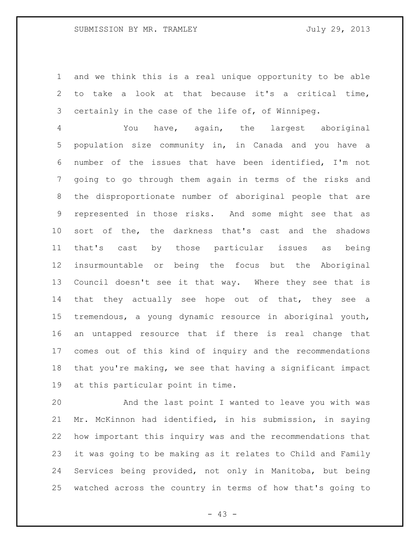# SUBMISSION BY MR. TRAMLEY FOR SUBMISSION BY MR. TRAMLEY

 and we think this is a real unique opportunity to be able to take a look at that because it's a critical time, certainly in the case of the life of, of Winnipeg.

 You have, again, the largest aboriginal population size community in, in Canada and you have a number of the issues that have been identified, I'm not going to go through them again in terms of the risks and the disproportionate number of aboriginal people that are represented in those risks. And some might see that as sort of the, the darkness that's cast and the shadows that's cast by those particular issues as being insurmountable or being the focus but the Aboriginal Council doesn't see it that way. Where they see that is that they actually see hope out of that, they see a tremendous, a young dynamic resource in aboriginal youth, an untapped resource that if there is real change that comes out of this kind of inquiry and the recommendations that you're making, we see that having a significant impact at this particular point in time.

 And the last point I wanted to leave you with was Mr. McKinnon had identified, in his submission, in saying how important this inquiry was and the recommendations that it was going to be making as it relates to Child and Family Services being provided, not only in Manitoba, but being watched across the country in terms of how that's going to

- 43 -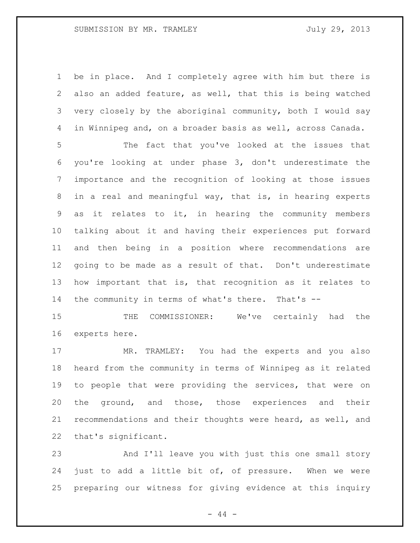# SUBMISSION BY MR. TRAMLEY FOR SUBMISSION BY MR. TRAMLEY

 be in place. And I completely agree with him but there is also an added feature, as well, that this is being watched very closely by the aboriginal community, both I would say in Winnipeg and, on a broader basis as well, across Canada.

 The fact that you've looked at the issues that you're looking at under phase 3, don't underestimate the importance and the recognition of looking at those issues in a real and meaningful way, that is, in hearing experts as it relates to it, in hearing the community members talking about it and having their experiences put forward and then being in a position where recommendations are going to be made as a result of that. Don't underestimate how important that is, that recognition as it relates to the community in terms of what's there. That's --

 THE COMMISSIONER: We've certainly had the experts here.

 MR. TRAMLEY: You had the experts and you also heard from the community in terms of Winnipeg as it related to people that were providing the services, that were on the ground, and those, those experiences and their recommendations and their thoughts were heard, as well, and that's significant.

 And I'll leave you with just this one small story just to add a little bit of, of pressure. When we were preparing our witness for giving evidence at this inquiry

- 44 -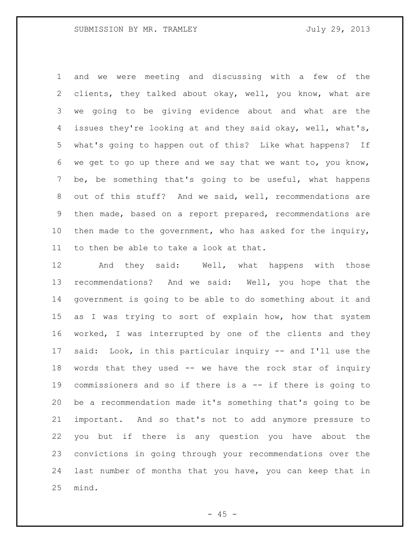and we were meeting and discussing with a few of the clients, they talked about okay, well, you know, what are we going to be giving evidence about and what are the issues they're looking at and they said okay, well, what's, what's going to happen out of this? Like what happens? If we get to go up there and we say that we want to, you know, be, be something that's going to be useful, what happens out of this stuff? And we said, well, recommendations are then made, based on a report prepared, recommendations are then made to the government, who has asked for the inquiry, to then be able to take a look at that.

 And they said: Well, what happens with those recommendations? And we said: Well, you hope that the government is going to be able to do something about it and 15 as I was trying to sort of explain how, how that system worked, I was interrupted by one of the clients and they said: Look, in this particular inquiry -- and I'll use the words that they used -- we have the rock star of inquiry commissioners and so if there is a -- if there is going to be a recommendation made it's something that's going to be important. And so that's not to add anymore pressure to you but if there is any question you have about the convictions in going through your recommendations over the last number of months that you have, you can keep that in mind.

 $- 45 -$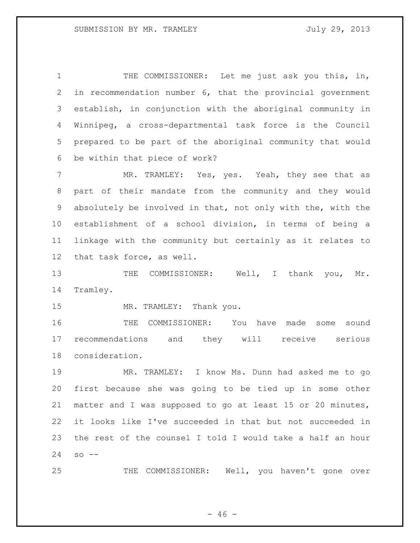THE COMMISSIONER: Let me just ask you this, in, in recommendation number 6, that the provincial government establish, in conjunction with the aboriginal community in Winnipeg, a cross-departmental task force is the Council prepared to be part of the aboriginal community that would be within that piece of work?

7 MR. TRAMLEY: Yes, yes. Yeah, they see that as part of their mandate from the community and they would absolutely be involved in that, not only with the, with the establishment of a school division, in terms of being a linkage with the community but certainly as it relates to that task force, as well.

 THE COMMISSIONER: Well, I thank you, Mr. Tramley.

15 MR. TRAMLEY: Thank you.

 THE COMMISSIONER: You have made some sound recommendations and they will receive serious consideration.

 MR. TRAMLEY: I know Ms. Dunn had asked me to go first because she was going to be tied up in some other matter and I was supposed to go at least 15 or 20 minutes, it looks like I've succeeded in that but not succeeded in the rest of the counsel I told I would take a half an hour so  $-$ 

THE COMMISSIONER: Well, you haven't gone over

 $- 46 -$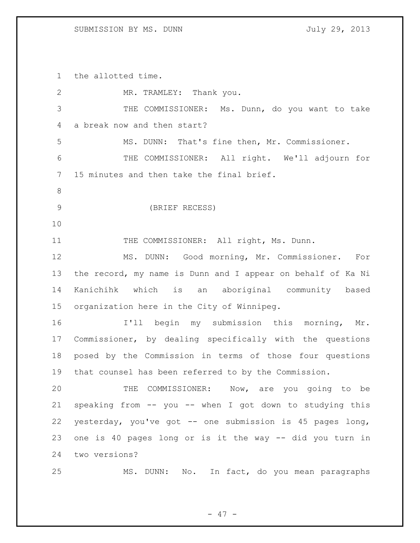the allotted time.

| $\mathbf{2}$   | MR. TRAMLEY: Thank you.                                     |
|----------------|-------------------------------------------------------------|
| 3              | THE COMMISSIONER: Ms. Dunn, do you want to take             |
| 4              | a break now and then start?                                 |
| 5              | MS. DUNN: That's fine then, Mr. Commissioner.               |
| 6              | THE COMMISSIONER: All right. We'll adjourn for              |
| $\overline{7}$ | 15 minutes and then take the final brief.                   |
| $\,8\,$        |                                                             |
| $\mathcal{G}$  | (BRIEF RECESS)                                              |
| 10             |                                                             |
| 11             | THE COMMISSIONER: All right, Ms. Dunn.                      |
| 12             | MS. DUNN: Good morning, Mr. Commissioner. For               |
| 13             | the record, my name is Dunn and I appear on behalf of Ka Ni |
| 14             | Kanichihk which is an aboriginal community based            |
| 15             | organization here in the City of Winnipeg.                  |
| 16             | I'll begin my submission this morning, Mr.                  |
| 17             | Commissioner, by dealing specifically with the questions    |
| 18             | posed by the Commission in terms of those four questions    |
| 19             | that counsel has been referred to by the Commission.        |
| 20             | THE<br>COMMISSIONER:<br>Now, are you going to be            |
| 21             | speaking from -- you -- when I got down to studying this    |
| 22             | yesterday, you've got -- one submission is 45 pages long,   |
| 23             | one is 40 pages long or is it the way -- did you turn in    |
| 24             | two versions?                                               |
| 25             | MS. DUNN: No. In fact, do you mean paragraphs               |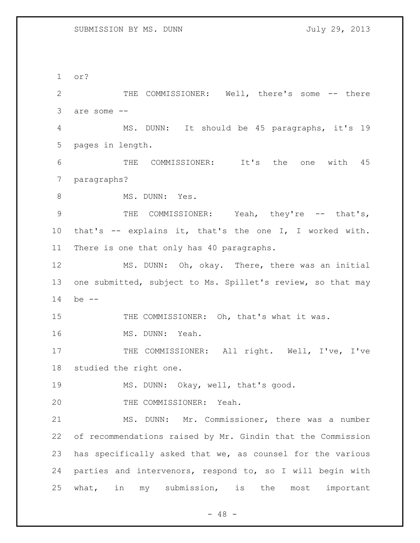or?

 THE COMMISSIONER: Well, there's some -- there are some -- MS. DUNN: It should be 45 paragraphs, it's 19 pages in length. THE COMMISSIONER: It's the one with 45 paragraphs? 8 MS. DUNN: Yes. 9 THE COMMISSIONER: Yeah, they're -- that's, that's -- explains it, that's the one I, I worked with. There is one that only has 40 paragraphs. MS. DUNN: Oh, okay. There, there was an initial one submitted, subject to Ms. Spillet's review, so that may be -- 15 THE COMMISSIONER: Oh, that's what it was. MS. DUNN: Yeah. 17 THE COMMISSIONER: All right. Well, I've, I've studied the right one. MS. DUNN: Okay, well, that's good. THE COMMISSIONER: Yeah. MS. DUNN: Mr. Commissioner, there was a number of recommendations raised by Mr. Gindin that the Commission has specifically asked that we, as counsel for the various parties and intervenors, respond to, so I will begin with what, in my submission, is the most important

 $- 48 -$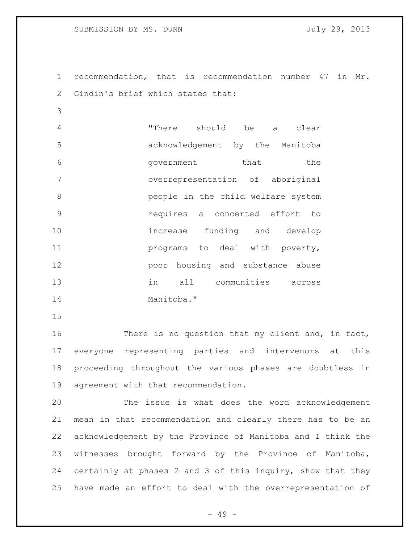recommendation, that is recommendation number 47 in Mr. 2 Gindin's brief which states that:

 "There should be a clear acknowledgement by the Manitoba 6 6 Government that the overrepresentation of aboriginal **b** people in the child welfare system requires a concerted effort to increase funding and develop **programs** to deal with poverty, poor housing and substance abuse in all communities across Manitoba."

16 There is no question that my client and, in fact, everyone representing parties and intervenors at this proceeding throughout the various phases are doubtless in agreement with that recommendation.

 The issue is what does the word acknowledgement mean in that recommendation and clearly there has to be an acknowledgement by the Province of Manitoba and I think the witnesses brought forward by the Province of Manitoba, certainly at phases 2 and 3 of this inquiry, show that they have made an effort to deal with the overrepresentation of

- 49 -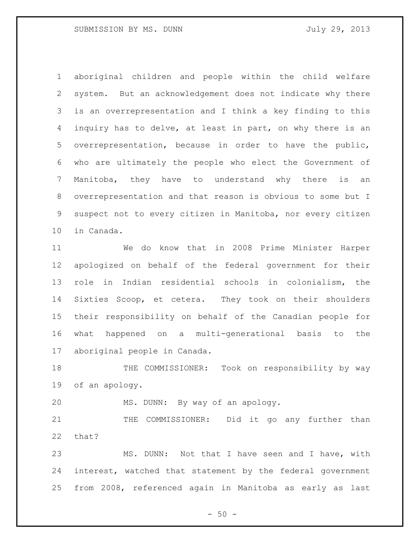aboriginal children and people within the child welfare system. But an acknowledgement does not indicate why there is an overrepresentation and I think a key finding to this inquiry has to delve, at least in part, on why there is an overrepresentation, because in order to have the public, who are ultimately the people who elect the Government of Manitoba, they have to understand why there is an overrepresentation and that reason is obvious to some but I suspect not to every citizen in Manitoba, nor every citizen in Canada.

 We do know that in 2008 Prime Minister Harper apologized on behalf of the federal government for their role in Indian residential schools in colonialism, the Sixties Scoop, et cetera. They took on their shoulders their responsibility on behalf of the Canadian people for what happened on a multi-generational basis to the aboriginal people in Canada.

18 THE COMMISSIONER: Took on responsibility by way of an apology.

MS. DUNN: By way of an apology.

21 THE COMMISSIONER: Did it go any further than that?

 MS. DUNN: Not that I have seen and I have, with interest, watched that statement by the federal government from 2008, referenced again in Manitoba as early as last

 $-50 -$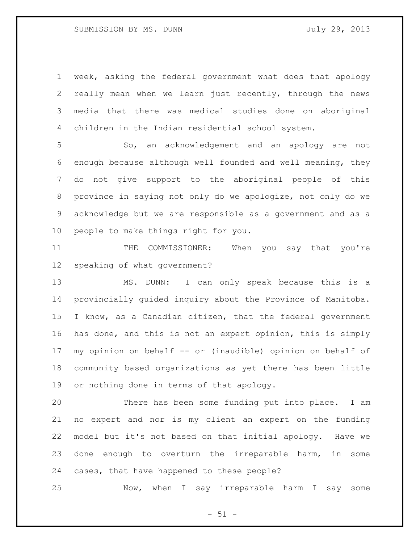week, asking the federal government what does that apology really mean when we learn just recently, through the news media that there was medical studies done on aboriginal children in the Indian residential school system.

 So, an acknowledgement and an apology are not enough because although well founded and well meaning, they do not give support to the aboriginal people of this province in saying not only do we apologize, not only do we acknowledge but we are responsible as a government and as a people to make things right for you.

 THE COMMISSIONER: When you say that you're speaking of what government?

 MS. DUNN: I can only speak because this is a provincially guided inquiry about the Province of Manitoba. I know, as a Canadian citizen, that the federal government has done, and this is not an expert opinion, this is simply my opinion on behalf -- or (inaudible) opinion on behalf of community based organizations as yet there has been little or nothing done in terms of that apology.

 There has been some funding put into place. I am no expert and nor is my client an expert on the funding model but it's not based on that initial apology. Have we done enough to overturn the irreparable harm, in some cases, that have happened to these people?

Now, when I say irreparable harm I say some

 $- 51 -$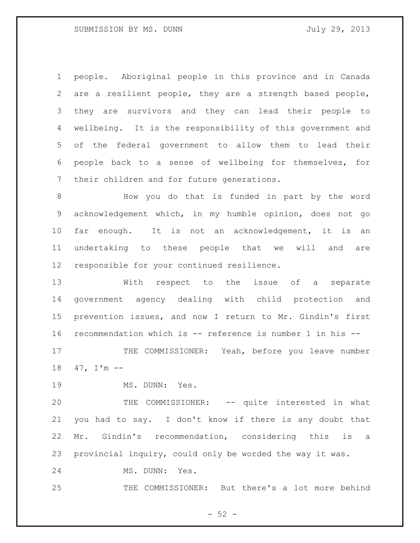people. Aboriginal people in this province and in Canada are a resilient people, they are a strength based people, they are survivors and they can lead their people to wellbeing. It is the responsibility of this government and of the federal government to allow them to lead their people back to a sense of wellbeing for themselves, for their children and for future generations.

 How you do that is funded in part by the word acknowledgement which, in my humble opinion, does not go far enough. It is not an acknowledgement, it is an undertaking to these people that we will and are responsible for your continued resilience.

 With respect to the issue of a separate government agency dealing with child protection and prevention issues, and now I return to Mr. Gindin's first recommendation which is -- reference is number 1 in his -- 17 THE COMMISSIONER: Yeah, before you leave number

47, I'm --

19 MS. DUNN: Yes.

 THE COMMISSIONER: -- quite interested in what you had to say. I don't know if there is any doubt that Mr. Gindin's recommendation, considering this is a provincial inquiry, could only be worded the way it was.

24 MS. DUNN: Yes.

THE COMMISSIONER: But there's a lot more behind

 $-52 -$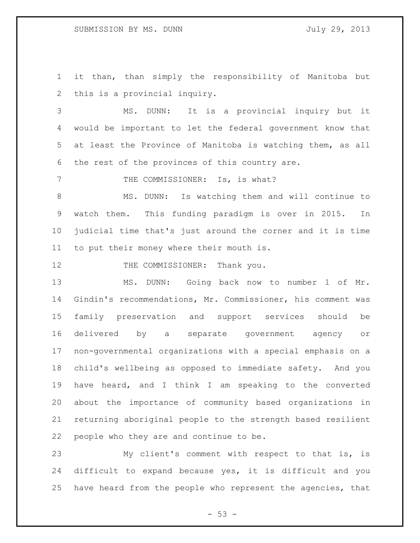it than, than simply the responsibility of Manitoba but this is a provincial inquiry.

 MS. DUNN: It is a provincial inquiry but it would be important to let the federal government know that at least the Province of Manitoba is watching them, as all the rest of the provinces of this country are.

7 THE COMMISSIONER: Is, is what?

 MS. DUNN: Is watching them and will continue to watch them. This funding paradigm is over in 2015. In judicial time that's just around the corner and it is time to put their money where their mouth is.

12 THE COMMISSIONER: Thank you.

 MS. DUNN: Going back now to number 1 of Mr. Gindin's recommendations, Mr. Commissioner, his comment was family preservation and support services should be delivered by a separate government agency or non-governmental organizations with a special emphasis on a child's wellbeing as opposed to immediate safety. And you have heard, and I think I am speaking to the converted about the importance of community based organizations in returning aboriginal people to the strength based resilient people who they are and continue to be.

 My client's comment with respect to that is, is difficult to expand because yes, it is difficult and you have heard from the people who represent the agencies, that

 $- 53 -$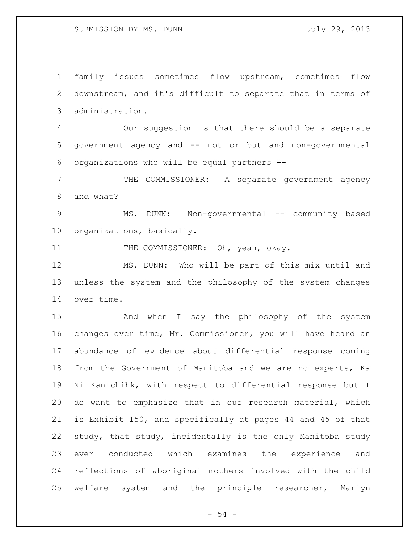family issues sometimes flow upstream, sometimes flow downstream, and it's difficult to separate that in terms of administration.

 Our suggestion is that there should be a separate government agency and -- not or but and non-governmental organizations who will be equal partners --

 THE COMMISSIONER: A separate government agency and what?

9 MS. DUNN: Non-governmental -- community based organizations, basically.

11 THE COMMISSIONER: Oh, yeah, okay.

 MS. DUNN: Who will be part of this mix until and unless the system and the philosophy of the system changes over time.

 And when I say the philosophy of the system changes over time, Mr. Commissioner, you will have heard an abundance of evidence about differential response coming from the Government of Manitoba and we are no experts, Ka Ni Kanichihk, with respect to differential response but I do want to emphasize that in our research material, which is Exhibit 150, and specifically at pages 44 and 45 of that study, that study, incidentally is the only Manitoba study ever conducted which examines the experience and reflections of aboriginal mothers involved with the child welfare system and the principle researcher, Marlyn

 $-54 -$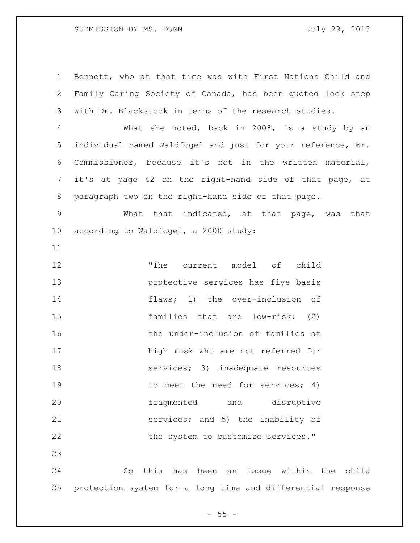# SUBMISSION BY MS. DUNN July 29, 2013

 Bennett, who at that time was with First Nations Child and Family Caring Society of Canada, has been quoted lock step with Dr. Blackstock in terms of the research studies.

 What she noted, back in 2008, is a study by an individual named Waldfogel and just for your reference, Mr. Commissioner, because it's not in the written material, it's at page 42 on the right-hand side of that page, at paragraph two on the right-hand side of that page.

 What that indicated, at that page, was that according to Waldfogel, a 2000 study:

 "The current model of child protective services has five basis flaws; 1) the over-inclusion of families that are low-risk; (2) 16 the under-inclusion of families at high risk who are not referred for 18 services; 3) inadequate resources 19 to meet the need for services; 4) fragmented and disruptive services; and 5) the inability of 22 the system to customize services."

 So this has been an issue within the child protection system for a long time and differential response

 $- 55 -$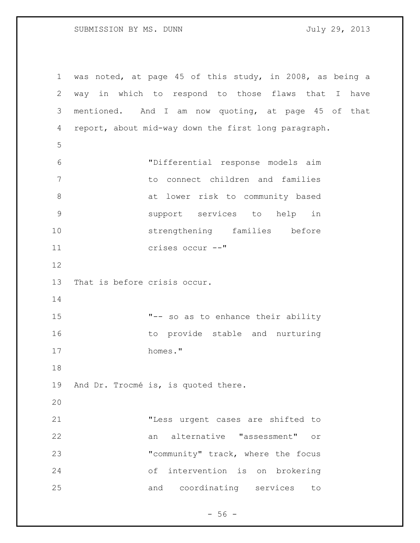# SUBMISSION BY MS. DUNN July 29, 2013

 was noted, at page 45 of this study, in 2008, as being a way in which to respond to those flaws that I have mentioned. And I am now quoting, at page 45 of that report, about mid-way down the first long paragraph. "Differential response models aim to connect children and families at lower risk to community based support services to help in strengthening families before crises occur --" That is before crisis occur. "-- so as to enhance their ability 16 to provide stable and nurturing homes." And Dr. Trocmé is, is quoted there. "Less urgent cases are shifted to an alternative "assessment" or 23 "community" track, where the focus of intervention is on brokering and coordinating services to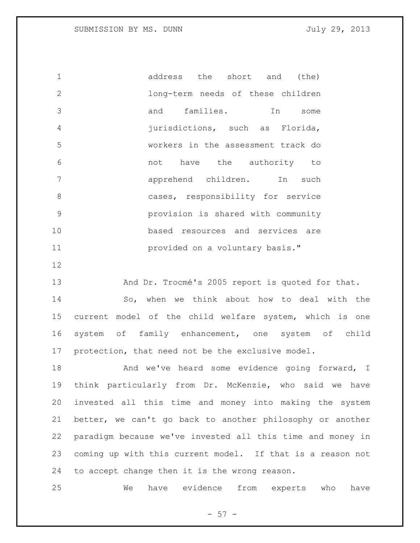1 address the short and (the) long-term needs of these children and families. In some jurisdictions, such as Florida, workers in the assessment track do not have the authority to apprehend children. In such 8 cases, responsibility for service provision is shared with community based resources and services are provided on a voluntary basis."

13 And Dr. Trocmé's 2005 report is quoted for that. So, when we think about how to deal with the current model of the child welfare system, which is one system of family enhancement, one system of child protection, that need not be the exclusive model.

18 And we've heard some evidence going forward, I think particularly from Dr. McKenzie, who said we have invested all this time and money into making the system better, we can't go back to another philosophy or another paradigm because we've invested all this time and money in coming up with this current model. If that is a reason not to accept change then it is the wrong reason.

We have evidence from experts who have

 $-57 -$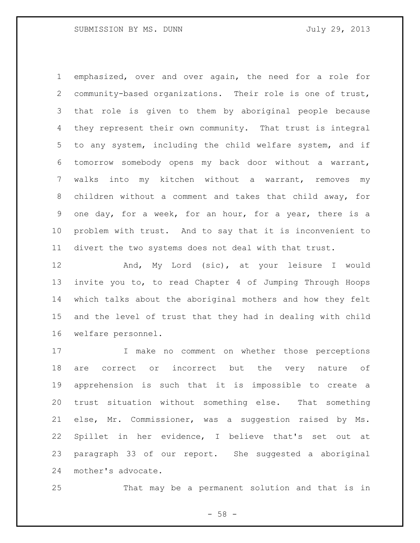emphasized, over and over again, the need for a role for community-based organizations. Their role is one of trust, that role is given to them by aboriginal people because they represent their own community. That trust is integral to any system, including the child welfare system, and if tomorrow somebody opens my back door without a warrant, walks into my kitchen without a warrant, removes my children without a comment and takes that child away, for one day, for a week, for an hour, for a year, there is a problem with trust. And to say that it is inconvenient to divert the two systems does not deal with that trust.

 And, My Lord (sic), at your leisure I would invite you to, to read Chapter 4 of Jumping Through Hoops which talks about the aboriginal mothers and how they felt and the level of trust that they had in dealing with child welfare personnel.

 I make no comment on whether those perceptions are correct or incorrect but the very nature of apprehension is such that it is impossible to create a trust situation without something else. That something else, Mr. Commissioner, was a suggestion raised by Ms. Spillet in her evidence, I believe that's set out at paragraph 33 of our report. She suggested a aboriginal mother's advocate.

That may be a permanent solution and that is in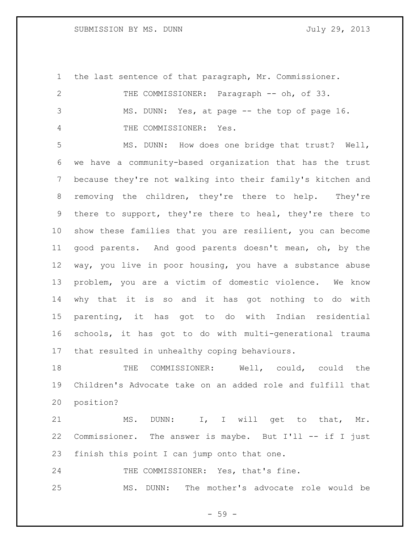the last sentence of that paragraph, Mr. Commissioner. THE COMMISSIONER: Paragraph -- oh, of 33. MS. DUNN: Yes, at page -- the top of page 16. THE COMMISSIONER: Yes.

 MS. DUNN: How does one bridge that trust? Well, we have a community-based organization that has the trust because they're not walking into their family's kitchen and removing the children, they're there to help. They're there to support, they're there to heal, they're there to show these families that you are resilient, you can become good parents. And good parents doesn't mean, oh, by the way, you live in poor housing, you have a substance abuse problem, you are a victim of domestic violence. We know why that it is so and it has got nothing to do with parenting, it has got to do with Indian residential schools, it has got to do with multi-generational trauma that resulted in unhealthy coping behaviours.

 THE COMMISSIONER: Well, could, could the Children's Advocate take on an added role and fulfill that position?

21 MS. DUNN: I, I will get to that, Mr. Commissioner. The answer is maybe. But I'll -- if I just finish this point I can jump onto that one.

24 THE COMMISSIONER: Yes, that's fine. MS. DUNN: The mother's advocate role would be

- 59 -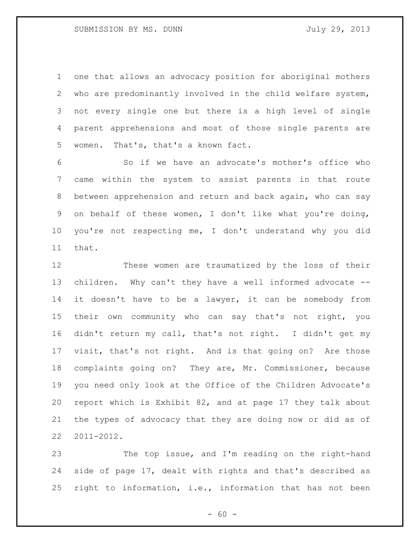one that allows an advocacy position for aboriginal mothers who are predominantly involved in the child welfare system, not every single one but there is a high level of single parent apprehensions and most of those single parents are women. That's, that's a known fact.

 So if we have an advocate's mother's office who came within the system to assist parents in that route between apprehension and return and back again, who can say on behalf of these women, I don't like what you're doing, you're not respecting me, I don't understand why you did that.

 These women are traumatized by the loss of their children. Why can't they have a well informed advocate -- it doesn't have to be a lawyer, it can be somebody from their own community who can say that's not right, you didn't return my call, that's not right. I didn't get my visit, that's not right. And is that going on? Are those complaints going on? They are, Mr. Commissioner, because you need only look at the Office of the Children Advocate's report which is Exhibit 82, and at page 17 they talk about the types of advocacy that they are doing now or did as of 2011-2012.

 The top issue, and I'm reading on the right-hand side of page 17, dealt with rights and that's described as right to information, i.e., information that has not been

 $- 60 -$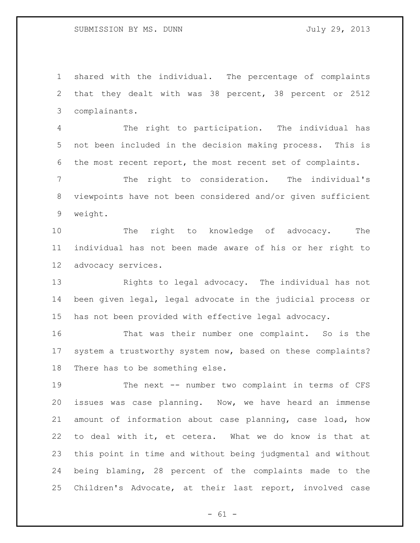shared with the individual. The percentage of complaints that they dealt with was 38 percent, 38 percent or 2512 complainants.

 The right to participation. The individual has not been included in the decision making process. This is the most recent report, the most recent set of complaints.

 The right to consideration. The individual's viewpoints have not been considered and/or given sufficient weight.

 The right to knowledge of advocacy. The individual has not been made aware of his or her right to advocacy services.

 Rights to legal advocacy. The individual has not been given legal, legal advocate in the judicial process or has not been provided with effective legal advocacy.

 That was their number one complaint. So is the system a trustworthy system now, based on these complaints? There has to be something else.

 The next -- number two complaint in terms of CFS issues was case planning. Now, we have heard an immense amount of information about case planning, case load, how to deal with it, et cetera. What we do know is that at this point in time and without being judgmental and without being blaming, 28 percent of the complaints made to the Children's Advocate, at their last report, involved case

 $- 61 -$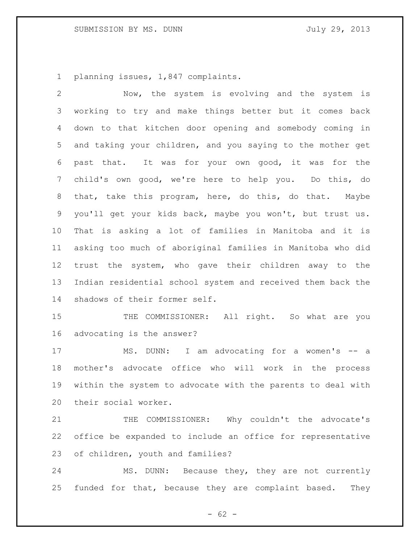planning issues, 1,847 complaints.

 Now, the system is evolving and the system is working to try and make things better but it comes back down to that kitchen door opening and somebody coming in and taking your children, and you saying to the mother get past that. It was for your own good, it was for the child's own good, we're here to help you. Do this, do that, take this program, here, do this, do that. Maybe you'll get your kids back, maybe you won't, but trust us. That is asking a lot of families in Manitoba and it is asking too much of aboriginal families in Manitoba who did trust the system, who gave their children away to the Indian residential school system and received them back the shadows of their former self.

15 THE COMMISSIONER: All right. So what are you advocating is the answer?

17 MS. DUNN: I am advocating for a women's -- a mother's advocate office who will work in the process within the system to advocate with the parents to deal with their social worker.

21 THE COMMISSIONER: Why couldn't the advocate's office be expanded to include an office for representative of children, youth and families?

 MS. DUNN: Because they, they are not currently funded for that, because they are complaint based. They

 $- 62 -$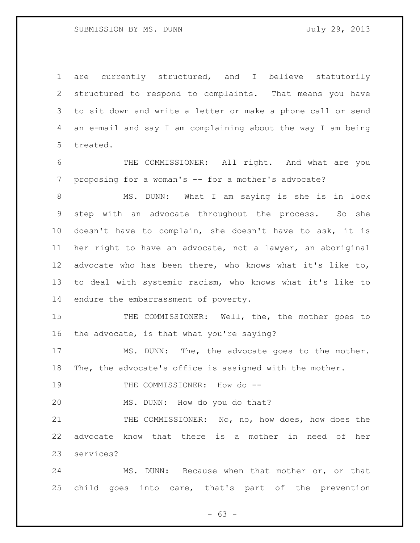are currently structured, and I believe statutorily structured to respond to complaints. That means you have to sit down and write a letter or make a phone call or send an e-mail and say I am complaining about the way I am being treated.

 THE COMMISSIONER: All right. And what are you proposing for a woman's -- for a mother's advocate?

 MS. DUNN: What I am saying is she is in lock step with an advocate throughout the process. So she doesn't have to complain, she doesn't have to ask, it is her right to have an advocate, not a lawyer, an aboriginal advocate who has been there, who knows what it's like to, to deal with systemic racism, who knows what it's like to endure the embarrassment of poverty.

15 THE COMMISSIONER: Well, the, the mother goes to the advocate, is that what you're saying?

17 MS. DUNN: The, the advocate goes to the mother. The, the advocate's office is assigned with the mother.

19 THE COMMISSIONER: How do --

MS. DUNN: How do you do that?

21 THE COMMISSIONER: No, no, how does, how does the advocate know that there is a mother in need of her services?

 MS. DUNN: Because when that mother or, or that child goes into care, that's part of the prevention

 $- 63 -$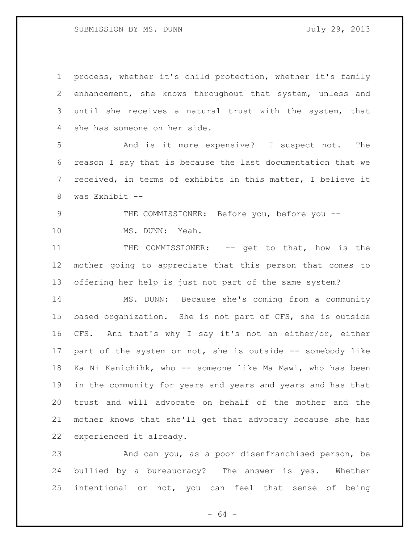process, whether it's child protection, whether it's family enhancement, she knows throughout that system, unless and until she receives a natural trust with the system, that she has someone on her side.

 And is it more expensive? I suspect not. The reason I say that is because the last documentation that we received, in terms of exhibits in this matter, I believe it was Exhibit --

 THE COMMISSIONER: Before you, before you -- MS. DUNN: Yeah.

11 THE COMMISSIONER: -- get to that, how is the mother going to appreciate that this person that comes to offering her help is just not part of the same system?

 MS. DUNN: Because she's coming from a community based organization. She is not part of CFS, she is outside CFS. And that's why I say it's not an either/or, either 17 part of the system or not, she is outside -- somebody like Ka Ni Kanichihk, who -- someone like Ma Mawi, who has been in the community for years and years and years and has that trust and will advocate on behalf of the mother and the mother knows that she'll get that advocacy because she has experienced it already.

 And can you, as a poor disenfranchised person, be bullied by a bureaucracy? The answer is yes. Whether intentional or not, you can feel that sense of being

- 64 -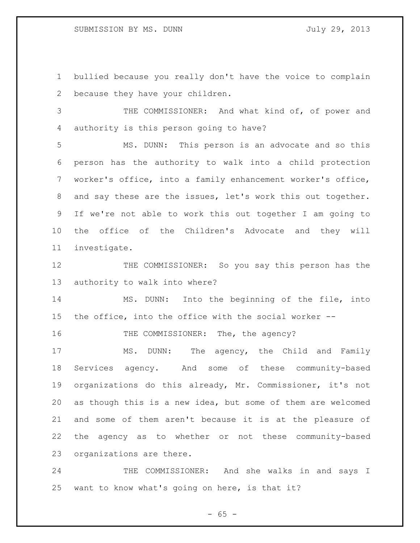bullied because you really don't have the voice to complain because they have your children.

3 THE COMMISSIONER: And what kind of, of power and authority is this person going to have?

 MS. DUNN: This person is an advocate and so this person has the authority to walk into a child protection worker's office, into a family enhancement worker's office, and say these are the issues, let's work this out together. If we're not able to work this out together I am going to the office of the Children's Advocate and they will investigate.

12 THE COMMISSIONER: So you say this person has the authority to walk into where?

 MS. DUNN: Into the beginning of the file, into the office, into the office with the social worker --

16 THE COMMISSIONER: The, the agency?

 MS. DUNN: The agency, the Child and Family Services agency. And some of these community-based organizations do this already, Mr. Commissioner, it's not as though this is a new idea, but some of them are welcomed and some of them aren't because it is at the pleasure of the agency as to whether or not these community-based organizations are there.

 THE COMMISSIONER: And she walks in and says I want to know what's going on here, is that it?

 $- 65 -$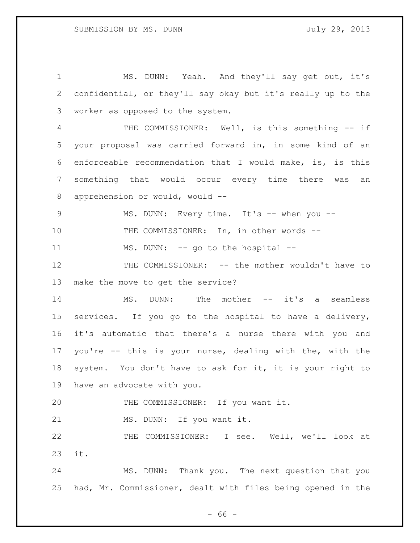MS. DUNN: Yeah. And they'll say get out, it's confidential, or they'll say okay but it's really up to the worker as opposed to the system. THE COMMISSIONER: Well, is this something -- if your proposal was carried forward in, in some kind of an enforceable recommendation that I would make, is, is this something that would occur every time there was an apprehension or would, would -- 9 MS. DUNN: Every time. It's -- when you -- THE COMMISSIONER: In, in other words -- 11 MS. DUNN: -- go to the hospital --12 THE COMMISSIONER: -- the mother wouldn't have to make the move to get the service? 14 MS. DUNN: The mother -- it's a seamless services. If you go to the hospital to have a delivery, it's automatic that there's a nurse there with you and you're -- this is your nurse, dealing with the, with the system. You don't have to ask for it, it is your right to have an advocate with you. 20 THE COMMISSIONER: If you want it. MS. DUNN: If you want it. THE COMMISSIONER: I see. Well, we'll look at it. MS. DUNN: Thank you. The next question that you had, Mr. Commissioner, dealt with files being opened in the

 $- 66 -$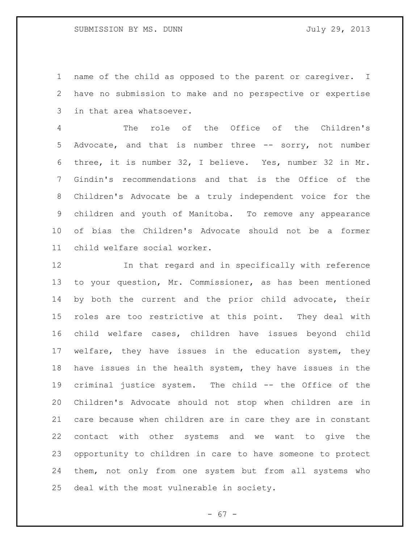# SUBMISSION BY MS. DUNN July 29, 2013

 name of the child as opposed to the parent or caregiver. I have no submission to make and no perspective or expertise in that area whatsoever.

 The role of the Office of the Children's Advocate, and that is number three -- sorry, not number three, it is number 32, I believe. Yes, number 32 in Mr. Gindin's recommendations and that is the Office of the Children's Advocate be a truly independent voice for the children and youth of Manitoba. To remove any appearance of bias the Children's Advocate should not be a former child welfare social worker.

 In that regard and in specifically with reference to your question, Mr. Commissioner, as has been mentioned by both the current and the prior child advocate, their roles are too restrictive at this point. They deal with child welfare cases, children have issues beyond child welfare, they have issues in the education system, they have issues in the health system, they have issues in the criminal justice system. The child -- the Office of the Children's Advocate should not stop when children are in care because when children are in care they are in constant contact with other systems and we want to give the opportunity to children in care to have someone to protect them, not only from one system but from all systems who deal with the most vulnerable in society.

- 67 -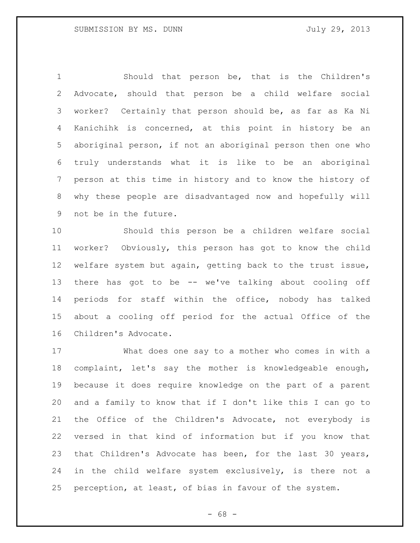Should that person be, that is the Children's Advocate, should that person be a child welfare social worker? Certainly that person should be, as far as Ka Ni Kanichihk is concerned, at this point in history be an aboriginal person, if not an aboriginal person then one who truly understands what it is like to be an aboriginal person at this time in history and to know the history of why these people are disadvantaged now and hopefully will not be in the future.

 Should this person be a children welfare social worker? Obviously, this person has got to know the child welfare system but again, getting back to the trust issue, there has got to be -- we've talking about cooling off periods for staff within the office, nobody has talked about a cooling off period for the actual Office of the Children's Advocate.

 What does one say to a mother who comes in with a complaint, let's say the mother is knowledgeable enough, because it does require knowledge on the part of a parent and a family to know that if I don't like this I can go to the Office of the Children's Advocate, not everybody is versed in that kind of information but if you know that that Children's Advocate has been, for the last 30 years, in the child welfare system exclusively, is there not a perception, at least, of bias in favour of the system.

- 68 -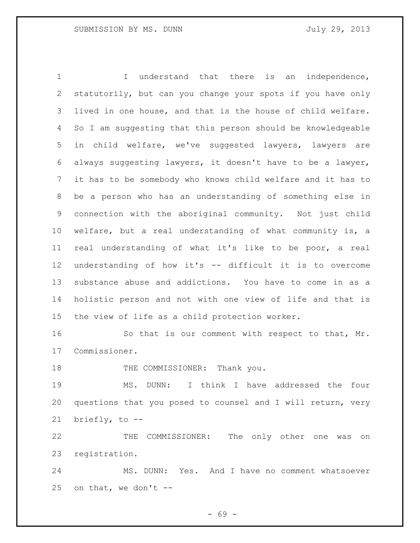1 1 I understand that there is an independence, statutorily, but can you change your spots if you have only lived in one house, and that is the house of child welfare. So I am suggesting that this person should be knowledgeable in child welfare, we've suggested lawyers, lawyers are always suggesting lawyers, it doesn't have to be a lawyer, it has to be somebody who knows child welfare and it has to be a person who has an understanding of something else in connection with the aboriginal community. Not just child welfare, but a real understanding of what community is, a real understanding of what it's like to be poor, a real understanding of how it's -- difficult it is to overcome substance abuse and addictions. You have to come in as a holistic person and not with one view of life and that is the view of life as a child protection worker.

 So that is our comment with respect to that, Mr. Commissioner.

18 THE COMMISSIONER: Thank you.

 MS. DUNN: I think I have addressed the four questions that you posed to counsel and I will return, very briefly, to --

 THE COMMISSIONER: The only other one was on registration.

 MS. DUNN: Yes. And I have no comment whatsoever 25 on that, we don't  $-$ 

- 69 -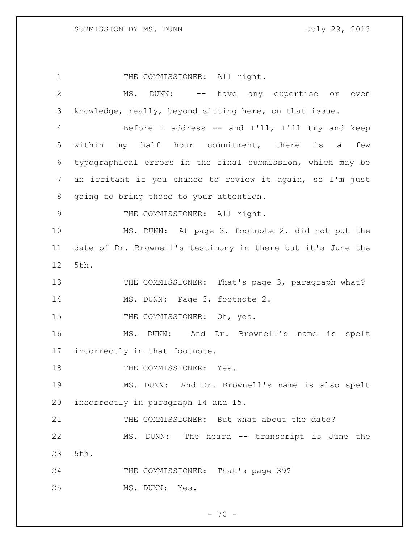1 THE COMMISSIONER: All right. MS. DUNN: -- have any expertise or even knowledge, really, beyond sitting here, on that issue. Before I address -- and I'll, I'll try and keep within my half hour commitment, there is a few typographical errors in the final submission, which may be an irritant if you chance to review it again, so I'm just going to bring those to your attention. 9 THE COMMISSIONER: All right. MS. DUNN: At page 3, footnote 2, did not put the date of Dr. Brownell's testimony in there but it's June the 5th. 13 THE COMMISSIONER: That's page 3, paragraph what? 14 MS. DUNN: Page 3, footnote 2. 15 THE COMMISSIONER: Oh, yes. MS. DUNN: And Dr. Brownell's name is spelt incorrectly in that footnote. 18 THE COMMISSIONER: Yes. MS. DUNN: And Dr. Brownell's name is also spelt incorrectly in paragraph 14 and 15. THE COMMISSIONER: But what about the date? MS. DUNN: The heard -- transcript is June the 5th. 24 THE COMMISSIONER: That's page 39? MS. DUNN: Yes.

 $- 70 -$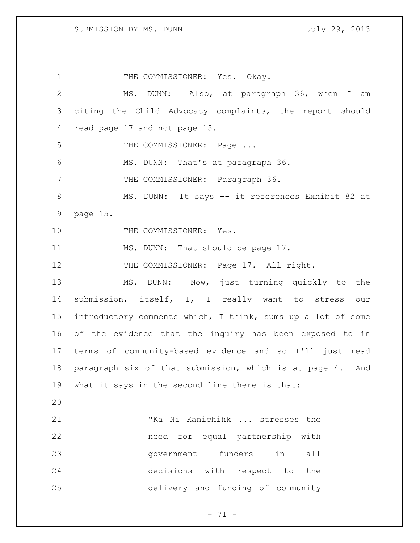1 THE COMMISSIONER: Yes. Okay. MS. DUNN: Also, at paragraph 36, when I am citing the Child Advocacy complaints, the report should read page 17 and not page 15. 5 THE COMMISSIONER: Page ... MS. DUNN: That's at paragraph 36. 7 THE COMMISSIONER: Paragraph 36. 8 MS. DUNN: It says -- it references Exhibit 82 at page 15. 10 THE COMMISSIONER: Yes. 11 MS. DUNN: That should be page 17. 12 THE COMMISSIONER: Page 17. All right. MS. DUNN: Now, just turning quickly to the submission, itself, I, I really want to stress our introductory comments which, I think, sums up a lot of some of the evidence that the inquiry has been exposed to in terms of community-based evidence and so I'll just read paragraph six of that submission, which is at page 4. And what it says in the second line there is that: "Ka Ni Kanichihk ... stresses the need for equal partnership with government funders in all decisions with respect to the delivery and funding of community

- 71 -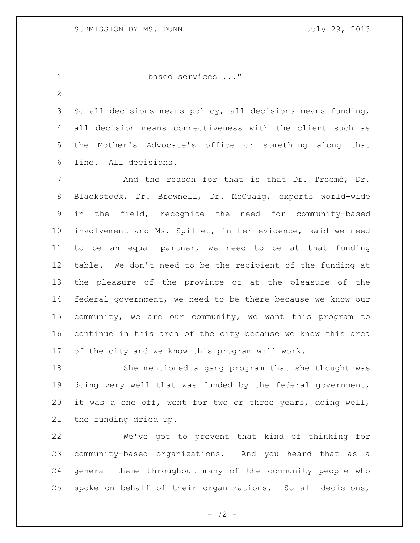```
1 based services ..."
```
 So all decisions means policy, all decisions means funding, all decision means connectiveness with the client such as the Mother's Advocate's office or something along that line. All decisions.

 And the reason for that is that Dr. Trocmé, Dr. Blackstock, Dr. Brownell, Dr. McCuaig, experts world-wide in the field, recognize the need for community-based involvement and Ms. Spillet, in her evidence, said we need to be an equal partner, we need to be at that funding table. We don't need to be the recipient of the funding at the pleasure of the province or at the pleasure of the federal government, we need to be there because we know our community, we are our community, we want this program to continue in this area of the city because we know this area of the city and we know this program will work.

 She mentioned a gang program that she thought was doing very well that was funded by the federal government, it was a one off, went for two or three years, doing well, the funding dried up.

 We've got to prevent that kind of thinking for community-based organizations. And you heard that as a general theme throughout many of the community people who spoke on behalf of their organizations. So all decisions,

- 72 -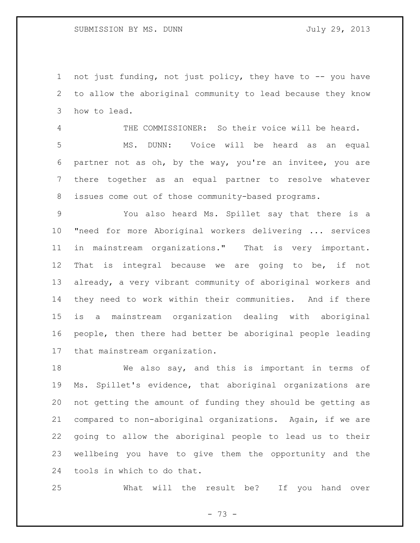not just funding, not just policy, they have to -- you have to allow the aboriginal community to lead because they know how to lead.

 THE COMMISSIONER: So their voice will be heard. MS. DUNN: Voice will be heard as an equal partner not as oh, by the way, you're an invitee, you are there together as an equal partner to resolve whatever issues come out of those community-based programs.

 You also heard Ms. Spillet say that there is a "need for more Aboriginal workers delivering ... services in mainstream organizations." That is very important. That is integral because we are going to be, if not already, a very vibrant community of aboriginal workers and they need to work within their communities. And if there is a mainstream organization dealing with aboriginal people, then there had better be aboriginal people leading that mainstream organization.

 We also say, and this is important in terms of Ms. Spillet's evidence, that aboriginal organizations are not getting the amount of funding they should be getting as compared to non-aboriginal organizations. Again, if we are going to allow the aboriginal people to lead us to their wellbeing you have to give them the opportunity and the tools in which to do that.

What will the result be? If you hand over

- 73 -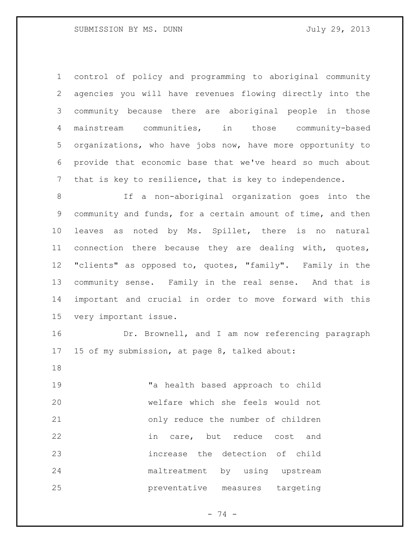control of policy and programming to aboriginal community agencies you will have revenues flowing directly into the community because there are aboriginal people in those mainstream communities, in those community-based organizations, who have jobs now, have more opportunity to provide that economic base that we've heard so much about that is key to resilience, that is key to independence.

 If a non-aboriginal organization goes into the community and funds, for a certain amount of time, and then leaves as noted by Ms. Spillet, there is no natural connection there because they are dealing with, quotes, "clients" as opposed to, quotes, "family". Family in the community sense. Family in the real sense. And that is important and crucial in order to move forward with this very important issue.

 Dr. Brownell, and I am now referencing paragraph 15 of my submission, at page 8, talked about:

 "a health based approach to child welfare which she feels would not only reduce the number of children in care, but reduce cost and increase the detection of child maltreatment by using upstream preventative measures targeting

 $- 74 -$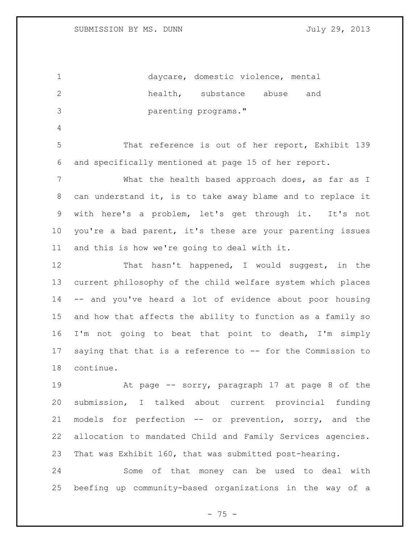daycare, domestic violence, mental health, substance abuse and parenting programs." That reference is out of her report, Exhibit 139 and specifically mentioned at page 15 of her report. What the health based approach does, as far as I can understand it, is to take away blame and to replace it with here's a problem, let's get through it. It's not you're a bad parent, it's these are your parenting issues and this is how we're going to deal with it. That hasn't happened, I would suggest, in the current philosophy of the child welfare system which places -- and you've heard a lot of evidence about poor housing and how that affects the ability to function as a family so I'm not going to beat that point to death, I'm simply saying that that is a reference to -- for the Commission to continue. At page -- sorry, paragraph 17 at page 8 of the submission, I talked about current provincial funding models for perfection -- or prevention, sorry, and the allocation to mandated Child and Family Services agencies. That was Exhibit 160, that was submitted post-hearing.

 Some of that money can be used to deal with beefing up community-based organizations in the way of a

 $- 75 -$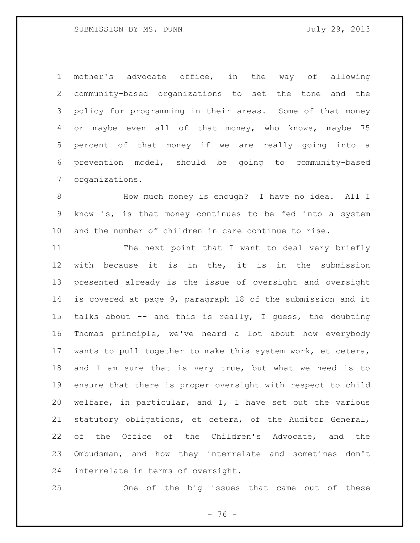mother's advocate office, in the way of allowing community-based organizations to set the tone and the policy for programming in their areas. Some of that money or maybe even all of that money, who knows, maybe 75 percent of that money if we are really going into a prevention model, should be going to community-based organizations.

8 How much money is enough? I have no idea. All I know is, is that money continues to be fed into a system and the number of children in care continue to rise.

11 The next point that I want to deal very briefly with because it is in the, it is in the submission presented already is the issue of oversight and oversight is covered at page 9, paragraph 18 of the submission and it talks about -- and this is really, I guess, the doubting Thomas principle, we've heard a lot about how everybody wants to pull together to make this system work, et cetera, and I am sure that is very true, but what we need is to ensure that there is proper oversight with respect to child welfare, in particular, and I, I have set out the various statutory obligations, et cetera, of the Auditor General, of the Office of the Children's Advocate, and the Ombudsman, and how they interrelate and sometimes don't interrelate in terms of oversight.

One of the big issues that came out of these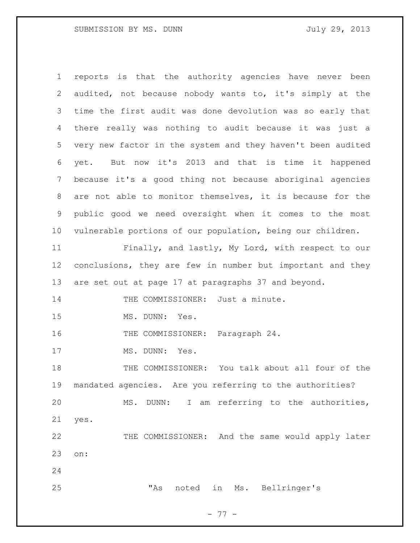reports is that the authority agencies have never been audited, not because nobody wants to, it's simply at the time the first audit was done devolution was so early that there really was nothing to audit because it was just a very new factor in the system and they haven't been audited yet. But now it's 2013 and that is time it happened because it's a good thing not because aboriginal agencies are not able to monitor themselves, it is because for the public good we need oversight when it comes to the most vulnerable portions of our population, being our children. Finally, and lastly, My Lord, with respect to our conclusions, they are few in number but important and they are set out at page 17 at paragraphs 37 and beyond. 14 THE COMMISSIONER: Just a minute. MS. DUNN: Yes. 16 THE COMMISSIONER: Paragraph 24. 17 MS. DUNN: Yes. THE COMMISSIONER: You talk about all four of the mandated agencies. Are you referring to the authorities? MS. DUNN: I am referring to the authorities, yes. THE COMMISSIONER: And the same would apply later on: "As noted in Ms. Bellringer's

- 77 -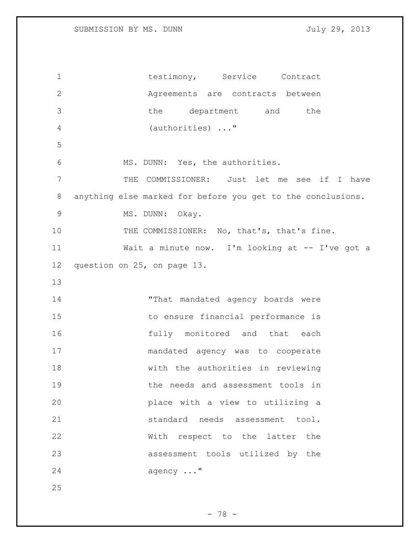1 testimony, Service Contract Agreements are contracts between the department and the (authorities) ..." MS. DUNN: Yes, the authorities. THE COMMISSIONER: Just let me see if I have anything else marked for before you get to the conclusions. 9 MS. DUNN: Okay. 10 THE COMMISSIONER: No, that's, that's fine. Wait a minute now. I'm looking at -- I've got a question on 25, on page 13. 14 That mandated agency boards were to ensure financial performance is fully monitored and that each mandated agency was to cooperate with the authorities in reviewing the needs and assessment tools in place with a view to utilizing a 21 standard needs assessment tool. With respect to the latter the assessment tools utilized by the 24 agency ..."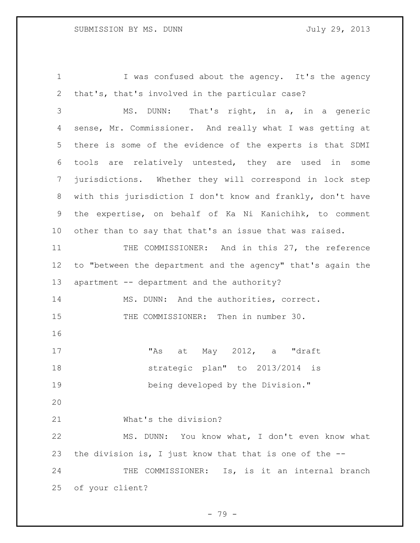1 I was confused about the agency. It's the agency that's, that's involved in the particular case? MS. DUNN: That's right, in a, in a generic sense, Mr. Commissioner. And really what I was getting at there is some of the evidence of the experts is that SDMI tools are relatively untested, they are used in some jurisdictions. Whether they will correspond in lock step with this jurisdiction I don't know and frankly, don't have the expertise, on behalf of Ka Ni Kanichihk, to comment other than to say that that's an issue that was raised. THE COMMISSIONER: And in this 27, the reference to "between the department and the agency" that's again the 13 apartment -- department and the authority? MS. DUNN: And the authorities, correct. 15 THE COMMISSIONER: Then in number 30. "As at May 2012, a "draft strategic plan" to 2013/2014 is being developed by the Division." What's the division? MS. DUNN: You know what, I don't even know what the division is, I just know that that is one of the -- 24 THE COMMISSIONER: Is, is it an internal branch of your client?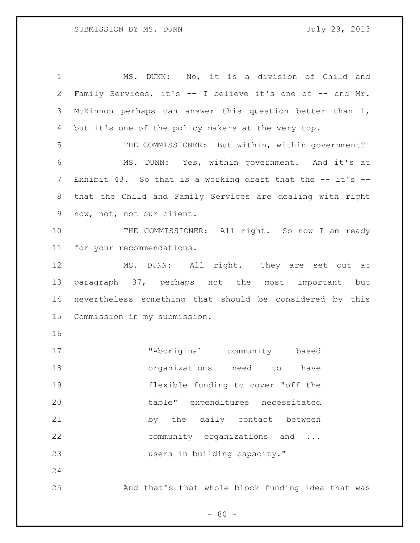MS. DUNN: No, it is a division of Child and Family Services, it's -- I believe it's one of -- and Mr. McKinnon perhaps can answer this question better than I, but it's one of the policy makers at the very top. THE COMMISSIONER: But within, within government? MS. DUNN: Yes, within government. And it's at 7 Exhibit 43. So that is a working draft that the -- it's -- that the Child and Family Services are dealing with right now, not, not our client. 10 THE COMMISSIONER: All right. So now I am ready for your recommendations. 12 MS. DUNN: All right. They are set out at paragraph 37, perhaps not the most important but nevertheless something that should be considered by this Commission in my submission. "Aboriginal community based organizations need to have flexible funding to cover "off the table" expenditures necessitated 21 by the daily contact between community organizations and ... 23 users in building capacity." And that's that whole block funding idea that was

 $- 80 -$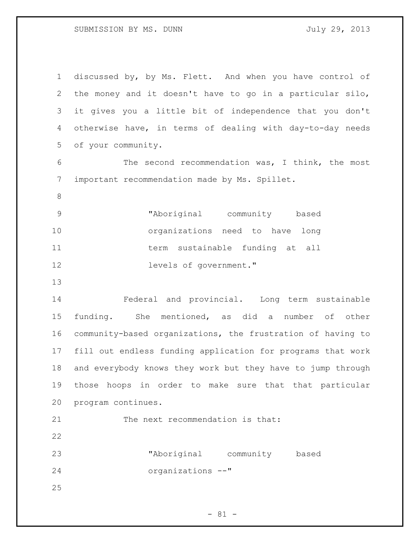SUBMISSION BY MS. DUNN July 29, 2013

| $\mathbf 1$                | discussed by, by Ms. Flett. And when you have control of    |
|----------------------------|-------------------------------------------------------------|
| 2                          | the money and it doesn't have to go in a particular silo,   |
| 3                          | it gives you a little bit of independence that you don't    |
| 4                          | otherwise have, in terms of dealing with day-to-day needs   |
| 5                          | of your community.                                          |
| 6                          | The second recommendation was, I think, the most            |
| 7                          | important recommendation made by Ms. Spillet.               |
| $8\,$                      |                                                             |
| 9                          | "Aboriginal community based                                 |
| 10                         | organizations need to have<br>long                          |
| 11                         | term sustainable funding at all                             |
| 12                         | levels of government."                                      |
| 13                         |                                                             |
| 14                         | Federal and provincial. Long term sustainable               |
|                            |                                                             |
| 15                         | funding. She mentioned, as did a number of other            |
|                            | community-based organizations, the frustration of having to |
|                            | fill out endless funding application for programs that work |
| 16<br>17<br>18             | and everybody knows they work but they have to jump through |
|                            | those hoops in order to make sure that that particular      |
|                            | program continues.                                          |
|                            | The next recommendation is that:                            |
|                            |                                                             |
| 19<br>20<br>21<br>22<br>23 | "Aboriginal community based                                 |
| 24                         | organizations --"                                           |
| 25                         |                                                             |

- 81 -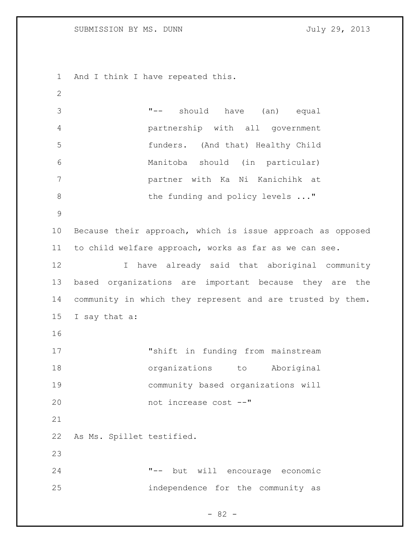And I think I have repeated this.

 "-- should have (an) equal partnership with all government funders. (And that) Healthy Child Manitoba should (in particular) partner with Ka Ni Kanichihk at 8 the funding and policy levels ..." Because their approach, which is issue approach as opposed to child welfare approach, works as far as we can see. I have already said that aboriginal community based organizations are important because they are the community in which they represent and are trusted by them. I say that a: "shift in funding from mainstream organizations to Aboriginal community based organizations will not increase cost --" As Ms. Spillet testified. "-- but will encourage economic independence for the community as

- 82 -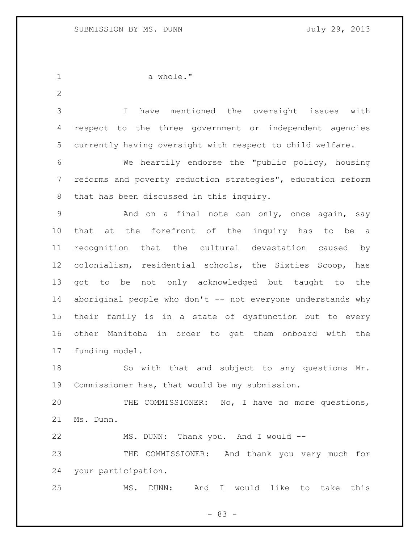a whole." I have mentioned the oversight issues with respect to the three government or independent agencies currently having oversight with respect to child welfare. We heartily endorse the "public policy, housing reforms and poverty reduction strategies", education reform that has been discussed in this inquiry. 9 And on a final note can only, once again, say that at the forefront of the inquiry has to be a recognition that the cultural devastation caused by colonialism, residential schools, the Sixties Scoop, has got to be not only acknowledged but taught to the 14 aboriginal people who don't -- not everyone understands why their family is in a state of dysfunction but to every other Manitoba in order to get them onboard with the funding model. So with that and subject to any questions Mr. Commissioner has, that would be my submission. THE COMMISSIONER: No, I have no more questions, Ms. Dunn. MS. DUNN: Thank you. And I would -- THE COMMISSIONER: And thank you very much for your participation. MS. DUNN: And I would like to take this

- 83 -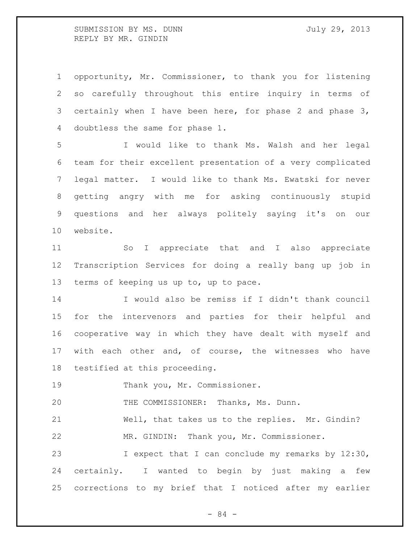SUBMISSION BY MS. DUNN July 29, 2013 REPLY BY MR. GINDIN

 opportunity, Mr. Commissioner, to thank you for listening so carefully throughout this entire inquiry in terms of certainly when I have been here, for phase 2 and phase 3, doubtless the same for phase 1.

 I would like to thank Ms. Walsh and her legal team for their excellent presentation of a very complicated legal matter. I would like to thank Ms. Ewatski for never getting angry with me for asking continuously stupid questions and her always politely saying it's on our website.

 So I appreciate that and I also appreciate Transcription Services for doing a really bang up job in terms of keeping us up to, up to pace.

 I would also be remiss if I didn't thank council for the intervenors and parties for their helpful and cooperative way in which they have dealt with myself and with each other and, of course, the witnesses who have testified at this proceeding.

Thank you, Mr. Commissioner.

THE COMMISSIONER: Thanks, Ms. Dunn.

 Well, that takes us to the replies. Mr. Gindin? MR. GINDIN: Thank you, Mr. Commissioner.

 I expect that I can conclude my remarks by 12:30, certainly. I wanted to begin by just making a few corrections to my brief that I noticed after my earlier

- 84 -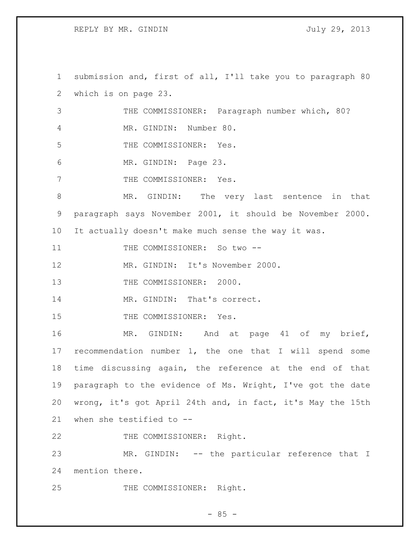REPLY BY MR. GINDIN July 29, 2013

1 submission and, first of all, I'll take you to paragraph 80 2 which is on page 23. 3 THE COMMISSIONER: Paragraph number which, 80? 4 MR. GINDIN: Number 80. 5 THE COMMISSIONER: Yes. 6 MR. GINDIN: Page 23. 7 THE COMMISSIONER: Yes. 8 MR. GINDIN: The very last sentence in that 9 paragraph says November 2001, it should be November 2000. 10 It actually doesn't make much sense the way it was. 11 THE COMMISSIONER: So two --12 MR. GINDIN: It's November 2000. 13 THE COMMISSIONER: 2000. 14 MR. GINDIN: That's correct. 15 THE COMMISSIONER: Yes. 16 MR. GINDIN: And at page 41 of my brief, 17 recommendation number 1, the one that I will spend some 18 time discussing again, the reference at the end of that 19 paragraph to the evidence of Ms. Wright, I've got the date 20 wrong, it's got April 24th and, in fact, it's May the 15th 21 when she testified to -- 22 THE COMMISSIONER: Right. 23 MR. GINDIN: -- the particular reference that I 24 mention there. 25 THE COMMISSIONER: Right.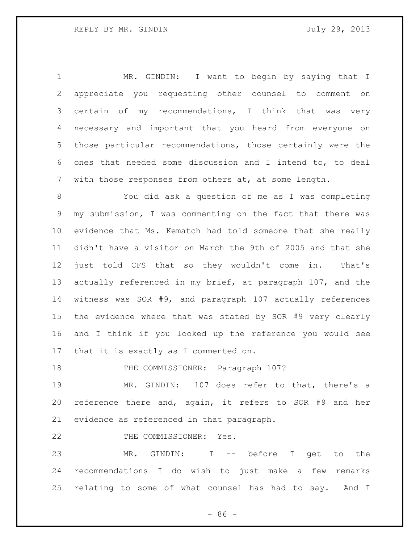MR. GINDIN: I want to begin by saying that I appreciate you requesting other counsel to comment on certain of my recommendations, I think that was very necessary and important that you heard from everyone on those particular recommendations, those certainly were the ones that needed some discussion and I intend to, to deal with those responses from others at, at some length.

 You did ask a question of me as I was completing my submission, I was commenting on the fact that there was evidence that Ms. Kematch had told someone that she really didn't have a visitor on March the 9th of 2005 and that she just told CFS that so they wouldn't come in. That's actually referenced in my brief, at paragraph 107, and the witness was SOR #9, and paragraph 107 actually references the evidence where that was stated by SOR #9 very clearly and I think if you looked up the reference you would see that it is exactly as I commented on.

18 THE COMMISSIONER: Paragraph 107?

 MR. GINDIN: 107 does refer to that, there's a reference there and, again, it refers to SOR #9 and her evidence as referenced in that paragraph.

22 THE COMMISSIONER: Yes.

 MR. GINDIN: I -- before I get to the recommendations I do wish to just make a few remarks relating to some of what counsel has had to say. And I

 $-86 -$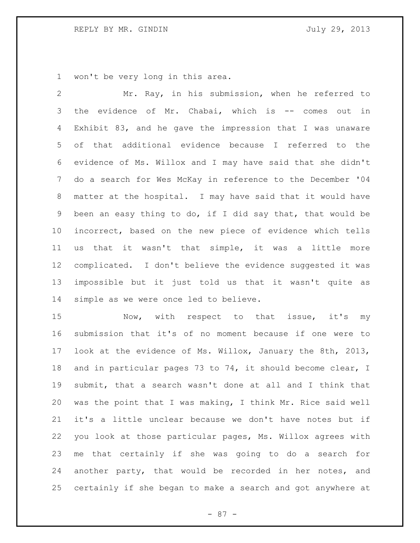won't be very long in this area.

 Mr. Ray, in his submission, when he referred to the evidence of Mr. Chabai, which is -- comes out in Exhibit 83, and he gave the impression that I was unaware of that additional evidence because I referred to the evidence of Ms. Willox and I may have said that she didn't do a search for Wes McKay in reference to the December '04 matter at the hospital. I may have said that it would have been an easy thing to do, if I did say that, that would be incorrect, based on the new piece of evidence which tells us that it wasn't that simple, it was a little more complicated. I don't believe the evidence suggested it was impossible but it just told us that it wasn't quite as simple as we were once led to believe.

15 Now, with respect to that issue, it's my submission that it's of no moment because if one were to look at the evidence of Ms. Willox, January the 8th, 2013, and in particular pages 73 to 74, it should become clear, I submit, that a search wasn't done at all and I think that was the point that I was making, I think Mr. Rice said well it's a little unclear because we don't have notes but if you look at those particular pages, Ms. Willox agrees with me that certainly if she was going to do a search for another party, that would be recorded in her notes, and certainly if she began to make a search and got anywhere at

- 87 -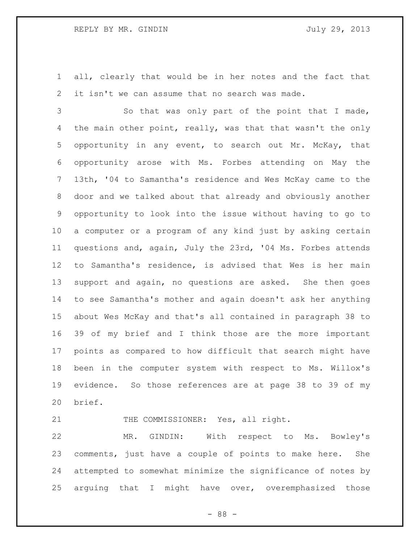## REPLY BY MR. GINDIN July 29, 2013

 all, clearly that would be in her notes and the fact that it isn't we can assume that no search was made.

 So that was only part of the point that I made, 4 the main other point, really, was that that wasn't the only opportunity in any event, to search out Mr. McKay, that opportunity arose with Ms. Forbes attending on May the 13th, '04 to Samantha's residence and Wes McKay came to the door and we talked about that already and obviously another opportunity to look into the issue without having to go to a computer or a program of any kind just by asking certain questions and, again, July the 23rd, '04 Ms. Forbes attends to Samantha's residence, is advised that Wes is her main support and again, no questions are asked. She then goes to see Samantha's mother and again doesn't ask her anything about Wes McKay and that's all contained in paragraph 38 to 39 of my brief and I think those are the more important points as compared to how difficult that search might have been in the computer system with respect to Ms. Willox's evidence. So those references are at page 38 to 39 of my brief.

21 THE COMMISSIONER: Yes, all right.

 MR. GINDIN: With respect to Ms. Bowley's comments, just have a couple of points to make here. She attempted to somewhat minimize the significance of notes by arguing that I might have over, overemphasized those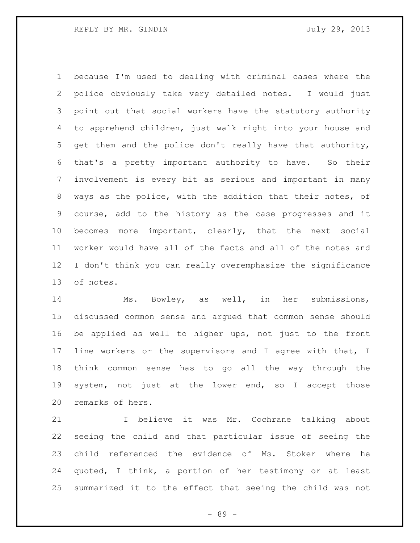because I'm used to dealing with criminal cases where the police obviously take very detailed notes. I would just point out that social workers have the statutory authority to apprehend children, just walk right into your house and get them and the police don't really have that authority, that's a pretty important authority to have. So their involvement is every bit as serious and important in many ways as the police, with the addition that their notes, of course, add to the history as the case progresses and it becomes more important, clearly, that the next social worker would have all of the facts and all of the notes and I don't think you can really overemphasize the significance of notes.

 Ms. Bowley, as well, in her submissions, discussed common sense and argued that common sense should be applied as well to higher ups, not just to the front line workers or the supervisors and I agree with that, I think common sense has to go all the way through the system, not just at the lower end, so I accept those remarks of hers.

 I believe it was Mr. Cochrane talking about seeing the child and that particular issue of seeing the child referenced the evidence of Ms. Stoker where he quoted, I think, a portion of her testimony or at least summarized it to the effect that seeing the child was not

- 89 -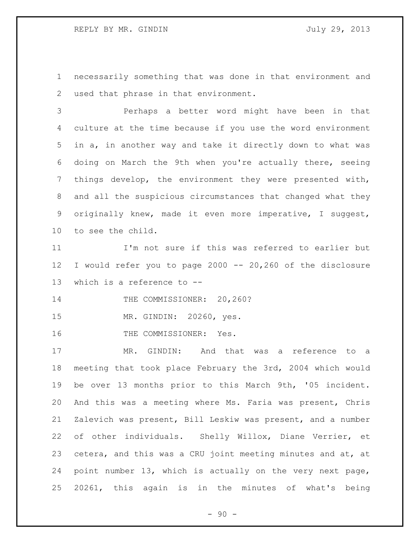necessarily something that was done in that environment and used that phrase in that environment.

 Perhaps a better word might have been in that culture at the time because if you use the word environment in a, in another way and take it directly down to what was doing on March the 9th when you're actually there, seeing things develop, the environment they were presented with, and all the suspicious circumstances that changed what they originally knew, made it even more imperative, I suggest, to see the child.

 I'm not sure if this was referred to earlier but I would refer you to page 2000 -- 20,260 of the disclosure which is a reference to --

14 THE COMMISSIONER: 20,260?

MR. GINDIN: 20260, yes.

16 THE COMMISSIONER: Yes.

 MR. GINDIN: And that was a reference to a meeting that took place February the 3rd, 2004 which would be over 13 months prior to this March 9th, '05 incident. And this was a meeting where Ms. Faria was present, Chris Zalevich was present, Bill Leskiw was present, and a number of other individuals. Shelly Willox, Diane Verrier, et cetera, and this was a CRU joint meeting minutes and at, at point number 13, which is actually on the very next page, 20261, this again is in the minutes of what's being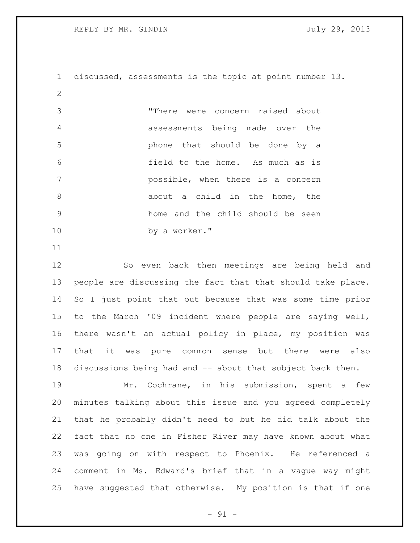REPLY BY MR. GINDIN July 29, 2013

 discussed, assessments is the topic at point number 13. "There were concern raised about assessments being made over the phone that should be done by a field to the home. As much as is possible, when there is a concern 8 about a child in the home, the home and the child should be seen by a worker."

 So even back then meetings are being held and people are discussing the fact that that should take place. So I just point that out because that was some time prior to the March '09 incident where people are saying well, there wasn't an actual policy in place, my position was that it was pure common sense but there were also discussions being had and -- about that subject back then.

 Mr. Cochrane, in his submission, spent a few minutes talking about this issue and you agreed completely that he probably didn't need to but he did talk about the fact that no one in Fisher River may have known about what was going on with respect to Phoenix. He referenced a comment in Ms. Edward's brief that in a vague way might have suggested that otherwise. My position is that if one

 $-91 -$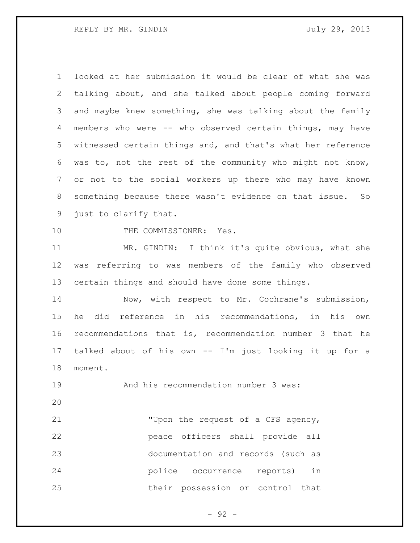looked at her submission it would be clear of what she was talking about, and she talked about people coming forward and maybe knew something, she was talking about the family members who were -- who observed certain things, may have witnessed certain things and, and that's what her reference was to, not the rest of the community who might not know, or not to the social workers up there who may have known something because there wasn't evidence on that issue. So just to clarify that.

10 THE COMMISSIONER: Yes.

 MR. GINDIN: I think it's quite obvious, what she was referring to was members of the family who observed certain things and should have done some things.

 Now, with respect to Mr. Cochrane's submission, he did reference in his recommendations, in his own recommendations that is, recommendation number 3 that he talked about of his own -- I'm just looking it up for a moment.

And his recommendation number 3 was:

 "Upon the request of a CFS agency, peace officers shall provide all documentation and records (such as police occurrence reports) in their possession or control that

 $-92 -$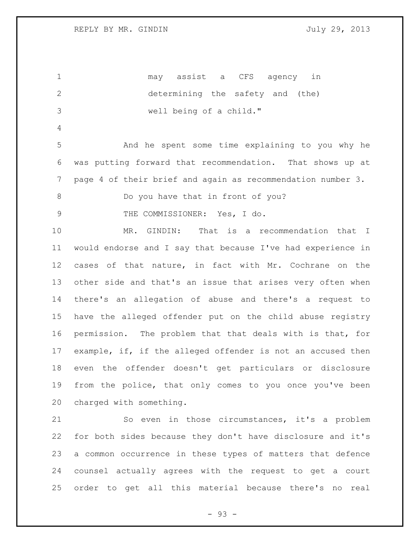may assist a CFS agency in determining the safety and (the) well being of a child." And he spent some time explaining to you why he was putting forward that recommendation. That shows up at page 4 of their brief and again as recommendation number 3. Do you have that in front of you? THE COMMISSIONER: Yes, I do. MR. GINDIN: That is a recommendation that I would endorse and I say that because I've had experience in cases of that nature, in fact with Mr. Cochrane on the other side and that's an issue that arises very often when there's an allegation of abuse and there's a request to have the alleged offender put on the child abuse registry permission. The problem that that deals with is that, for example, if, if the alleged offender is not an accused then even the offender doesn't get particulars or disclosure from the police, that only comes to you once you've been charged with something. So even in those circumstances, it's a problem for both sides because they don't have disclosure and it's a common occurrence in these types of matters that defence counsel actually agrees with the request to get a court order to get all this material because there's no real

- 93 -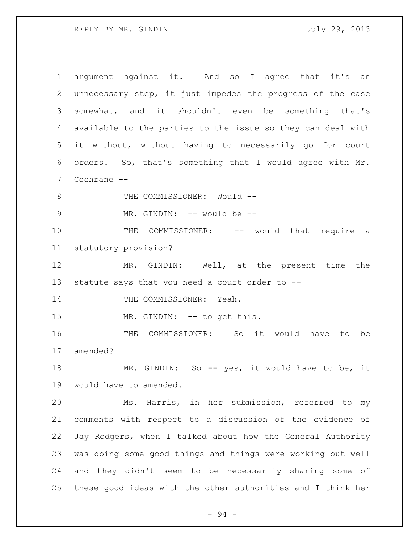REPLY BY MR. GINDIN July 29, 2013

 argument against it. And so I agree that it's an unnecessary step, it just impedes the progress of the case somewhat, and it shouldn't even be something that's available to the parties to the issue so they can deal with it without, without having to necessarily go for court orders. So, that's something that I would agree with Mr. Cochrane -- 8 THE COMMISSIONER: Would --9 MR. GINDIN: -- would be --10 THE COMMISSIONER: -- would that require a statutory provision? MR. GINDIN: Well, at the present time the statute says that you need a court order to -- 14 THE COMMISSIONER: Yeah. 15 MR. GINDIN: -- to get this. THE COMMISSIONER: So it would have to be amended? 18 MR. GINDIN: So -- yes, it would have to be, it would have to amended. Ms. Harris, in her submission, referred to my comments with respect to a discussion of the evidence of Jay Rodgers, when I talked about how the General Authority was doing some good things and things were working out well and they didn't seem to be necessarily sharing some of these good ideas with the other authorities and I think her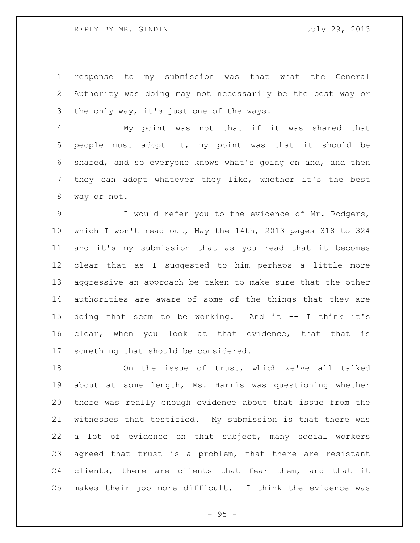response to my submission was that what the General Authority was doing may not necessarily be the best way or the only way, it's just one of the ways.

 My point was not that if it was shared that people must adopt it, my point was that it should be shared, and so everyone knows what's going on and, and then they can adopt whatever they like, whether it's the best way or not.

 I would refer you to the evidence of Mr. Rodgers, which I won't read out, May the 14th, 2013 pages 318 to 324 and it's my submission that as you read that it becomes clear that as I suggested to him perhaps a little more aggressive an approach be taken to make sure that the other authorities are aware of some of the things that they are doing that seem to be working. And it -- I think it's clear, when you look at that evidence, that that is something that should be considered.

 On the issue of trust, which we've all talked about at some length, Ms. Harris was questioning whether there was really enough evidence about that issue from the witnesses that testified. My submission is that there was a lot of evidence on that subject, many social workers agreed that trust is a problem, that there are resistant clients, there are clients that fear them, and that it makes their job more difficult. I think the evidence was

 $- 95 -$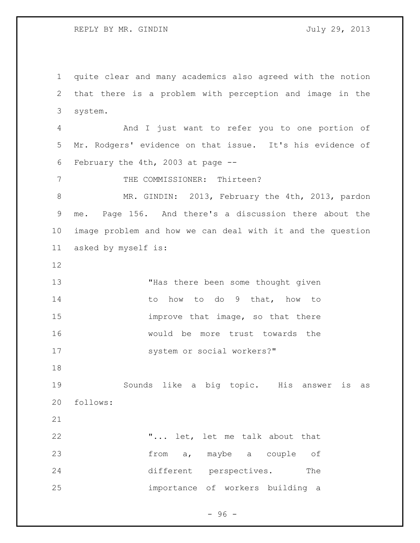REPLY BY MR. GINDIN July 29, 2013

 quite clear and many academics also agreed with the notion that there is a problem with perception and image in the system. And I just want to refer you to one portion of Mr. Rodgers' evidence on that issue. It's his evidence of February the 4th, 2003 at page -- 7 THE COMMISSIONER: Thirteen? MR. GINDIN: 2013, February the 4th, 2013, pardon me. Page 156. And there's a discussion there about the image problem and how we can deal with it and the question asked by myself is: 13 THas there been some thought given 14 to how to do 9 that, how to **improve that image, so that there**  would be more trust towards the 17 system or social workers?" Sounds like a big topic. His answer is as follows: "... let, let me talk about that from a, maybe a couple of 24 different perspectives. The importance of workers building a

 $-96 -$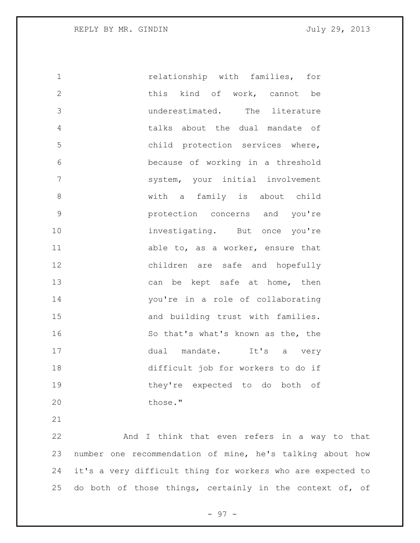relationship with families, for this kind of work, cannot be underestimated. The literature talks about the dual mandate of child protection services where, because of working in a threshold system, your initial involvement with a family is about child protection concerns and you're 10 investigating. But once you're 11 able to, as a worker, ensure that children are safe and hopefully 13 can be kept safe at home, then you're in a role of collaborating and building trust with families. So that's what's known as the, the 17 dual mandate. It's a very difficult job for workers to do if they're expected to do both of 20 those."

 And I think that even refers in a way to that number one recommendation of mine, he's talking about how it's a very difficult thing for workers who are expected to 25 do both of those things, certainly in the context of, of

- 97 -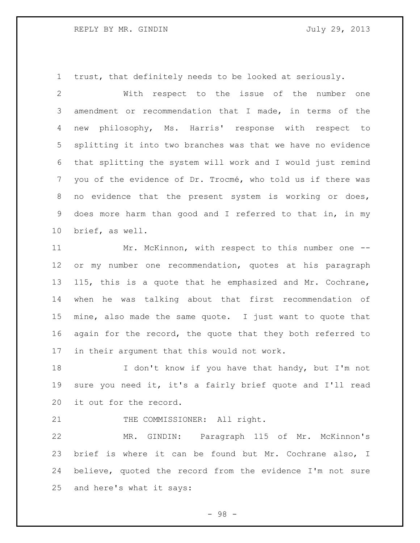trust, that definitely needs to be looked at seriously.

 With respect to the issue of the number one amendment or recommendation that I made, in terms of the new philosophy, Ms. Harris' response with respect to splitting it into two branches was that we have no evidence that splitting the system will work and I would just remind you of the evidence of Dr. Trocmé, who told us if there was no evidence that the present system is working or does, does more harm than good and I referred to that in, in my brief, as well.

 Mr. McKinnon, with respect to this number one -- or my number one recommendation, quotes at his paragraph 115, this is a quote that he emphasized and Mr. Cochrane, when he was talking about that first recommendation of mine, also made the same quote. I just want to quote that 16 again for the record, the quote that they both referred to in their argument that this would not work.

18 I don't know if you have that handy, but I'm not sure you need it, it's a fairly brief quote and I'll read it out for the record.

21 THE COMMISSIONER: All right.

 MR. GINDIN: Paragraph 115 of Mr. McKinnon's brief is where it can be found but Mr. Cochrane also, I believe, quoted the record from the evidence I'm not sure and here's what it says:

- 98 -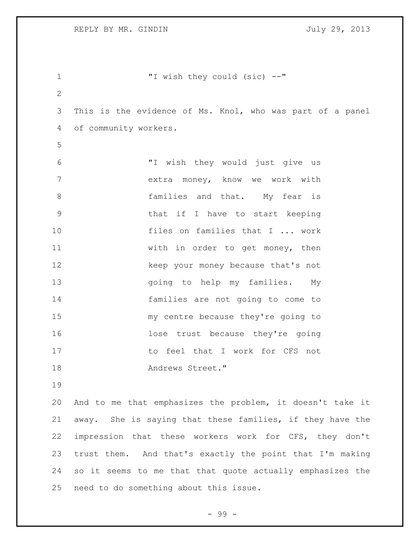| 1              | "I wish they could (sic) --"                              |
|----------------|-----------------------------------------------------------|
| $\overline{2}$ |                                                           |
| 3              | This is the evidence of Ms. Knol, who was part of a panel |
| 4              | of community workers.                                     |
| 5              |                                                           |
| 6              | "I wish they would just give us                           |
| 7              | extra money, know we work with                            |
| 8              | families and that. My fear is                             |
| 9              | that if I have to start keeping                           |
| 10             | files on families that I  work                            |
| 11             | with in order to get money, then                          |
| 12             | keep your money because that's not                        |
| 13             | going to help my families. My                             |
| 14             | families are not going to come to                         |
| 15             | my centre because they're going to                        |
| 16             | lose trust because they're going                          |
| 17             | to feel that I work for CFS not                           |
| 18             | Andrews Street."                                          |
| 19             |                                                           |
| 20             | And to me that emphasizes the problem, it doesn't take it |
| 21             | away. She is saying that these families, if they have the |
| 22             | impression that these workers work for CFS, they don't    |
| 23             | trust them. And that's exactly the point that I'm making  |
| 24             | so it seems to me that that quote actually emphasizes the |
| 25             | need to do something about this issue.                    |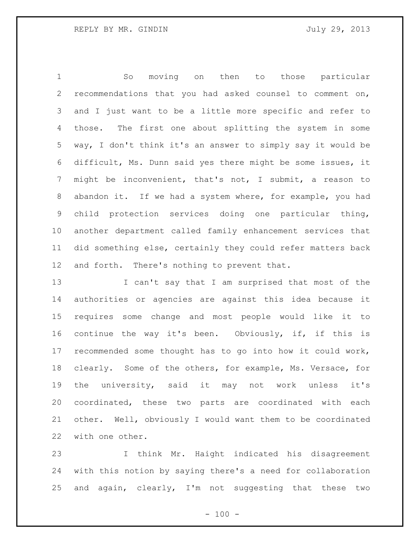So moving on then to those particular recommendations that you had asked counsel to comment on, and I just want to be a little more specific and refer to those. The first one about splitting the system in some way, I don't think it's an answer to simply say it would be difficult, Ms. Dunn said yes there might be some issues, it might be inconvenient, that's not, I submit, a reason to abandon it. If we had a system where, for example, you had child protection services doing one particular thing, another department called family enhancement services that did something else, certainly they could refer matters back and forth. There's nothing to prevent that.

13 I can't say that I am surprised that most of the authorities or agencies are against this idea because it requires some change and most people would like it to continue the way it's been. Obviously, if, if this is recommended some thought has to go into how it could work, clearly. Some of the others, for example, Ms. Versace, for the university, said it may not work unless it's coordinated, these two parts are coordinated with each other. Well, obviously I would want them to be coordinated with one other.

 I think Mr. Haight indicated his disagreement with this notion by saying there's a need for collaboration and again, clearly, I'm not suggesting that these two

 $- 100 -$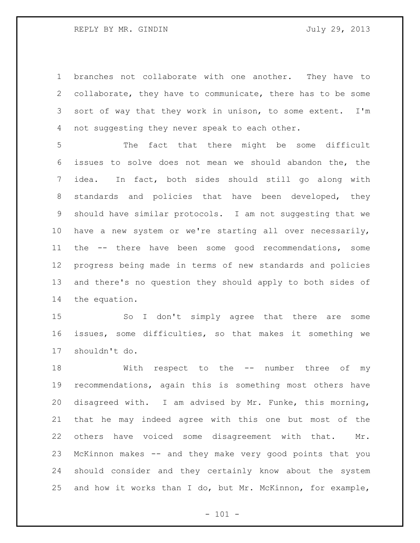branches not collaborate with one another. They have to collaborate, they have to communicate, there has to be some sort of way that they work in unison, to some extent. I'm not suggesting they never speak to each other.

 The fact that there might be some difficult issues to solve does not mean we should abandon the, the idea. In fact, both sides should still go along with 8 standards and policies that have been developed, they should have similar protocols. I am not suggesting that we have a new system or we're starting all over necessarily, the -- there have been some good recommendations, some progress being made in terms of new standards and policies and there's no question they should apply to both sides of the equation.

 So I don't simply agree that there are some issues, some difficulties, so that makes it something we shouldn't do.

18 With respect to the -- number three of my recommendations, again this is something most others have disagreed with. I am advised by Mr. Funke, this morning, that he may indeed agree with this one but most of the others have voiced some disagreement with that. Mr. McKinnon makes -- and they make very good points that you should consider and they certainly know about the system and how it works than I do, but Mr. McKinnon, for example,

 $- 101 -$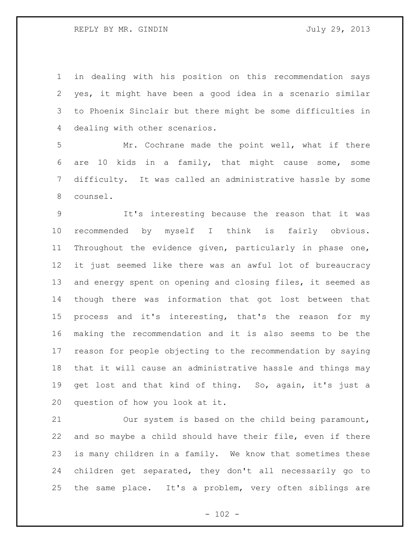## REPLY BY MR. GINDIN July 29, 2013

 in dealing with his position on this recommendation says yes, it might have been a good idea in a scenario similar to Phoenix Sinclair but there might be some difficulties in dealing with other scenarios.

 Mr. Cochrane made the point well, what if there are 10 kids in a family, that might cause some, some difficulty. It was called an administrative hassle by some counsel.

 It's interesting because the reason that it was recommended by myself I think is fairly obvious. Throughout the evidence given, particularly in phase one, it just seemed like there was an awful lot of bureaucracy and energy spent on opening and closing files, it seemed as though there was information that got lost between that process and it's interesting, that's the reason for my making the recommendation and it is also seems to be the reason for people objecting to the recommendation by saying that it will cause an administrative hassle and things may 19 get lost and that kind of thing. So, again, it's just a question of how you look at it.

 Our system is based on the child being paramount, and so maybe a child should have their file, even if there is many children in a family. We know that sometimes these children get separated, they don't all necessarily go to the same place. It's a problem, very often siblings are

 $- 102 -$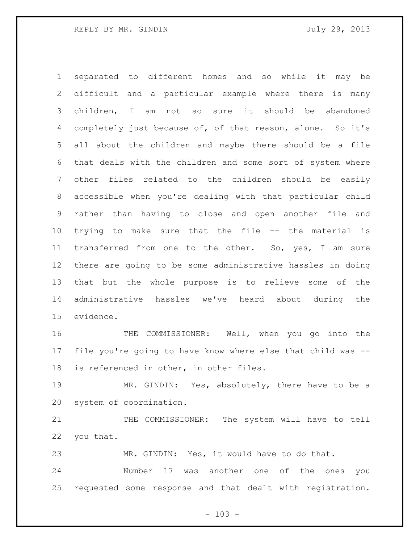separated to different homes and so while it may be difficult and a particular example where there is many children, I am not so sure it should be abandoned completely just because of, of that reason, alone. So it's all about the children and maybe there should be a file that deals with the children and some sort of system where other files related to the children should be easily accessible when you're dealing with that particular child rather than having to close and open another file and trying to make sure that the file -- the material is 11 transferred from one to the other. So, yes, I am sure there are going to be some administrative hassles in doing that but the whole purpose is to relieve some of the administrative hassles we've heard about during the evidence.

 THE COMMISSIONER: Well, when you go into the file you're going to have know where else that child was -- is referenced in other, in other files.

 MR. GINDIN: Yes, absolutely, there have to be a system of coordination.

 THE COMMISSIONER: The system will have to tell you that.

MR. GINDIN: Yes, it would have to do that.

 Number 17 was another one of the ones you requested some response and that dealt with registration.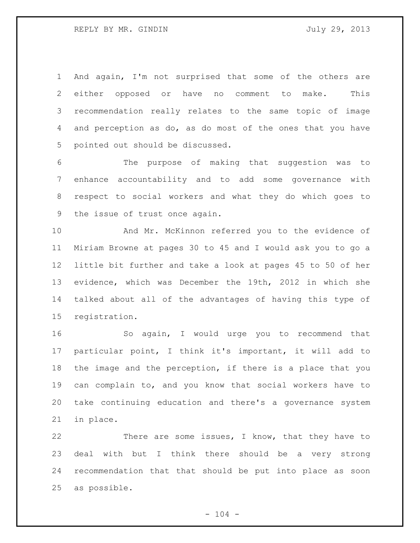And again, I'm not surprised that some of the others are either opposed or have no comment to make. This recommendation really relates to the same topic of image and perception as do, as do most of the ones that you have pointed out should be discussed.

 The purpose of making that suggestion was to enhance accountability and to add some governance with respect to social workers and what they do which goes to the issue of trust once again.

 And Mr. McKinnon referred you to the evidence of Miriam Browne at pages 30 to 45 and I would ask you to go a little bit further and take a look at pages 45 to 50 of her evidence, which was December the 19th, 2012 in which she talked about all of the advantages of having this type of registration.

 So again, I would urge you to recommend that particular point, I think it's important, it will add to the image and the perception, if there is a place that you can complain to, and you know that social workers have to take continuing education and there's a governance system in place.

22 There are some issues, I know, that they have to deal with but I think there should be a very strong recommendation that that should be put into place as soon as possible.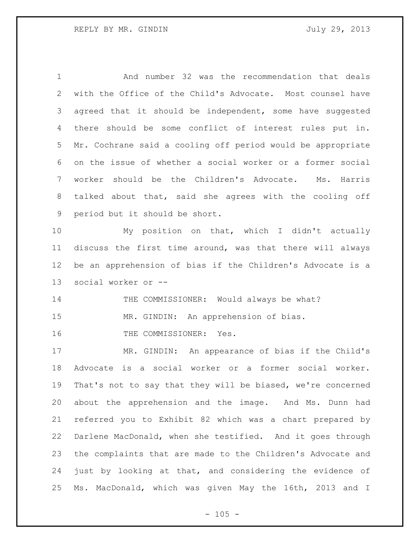And number 32 was the recommendation that deals with the Office of the Child's Advocate. Most counsel have 3 agreed that it should be independent, some have suggested there should be some conflict of interest rules put in. Mr. Cochrane said a cooling off period would be appropriate on the issue of whether a social worker or a former social worker should be the Children's Advocate. Ms. Harris talked about that, said she agrees with the cooling off period but it should be short. My position on that, which I didn't actually discuss the first time around, was that there will always be an apprehension of bias if the Children's Advocate is a social worker or -- 14 THE COMMISSIONER: Would always be what? MR. GINDIN: An apprehension of bias. 16 THE COMMISSIONER: Yes. MR. GINDIN: An appearance of bias if the Child's Advocate is a social worker or a former social worker. That's not to say that they will be biased, we're concerned about the apprehension and the image. And Ms. Dunn had referred you to Exhibit 82 which was a chart prepared by Darlene MacDonald, when she testified. And it goes through the complaints that are made to the Children's Advocate and just by looking at that, and considering the evidence of

 $- 105 -$ 

Ms. MacDonald, which was given May the 16th, 2013 and I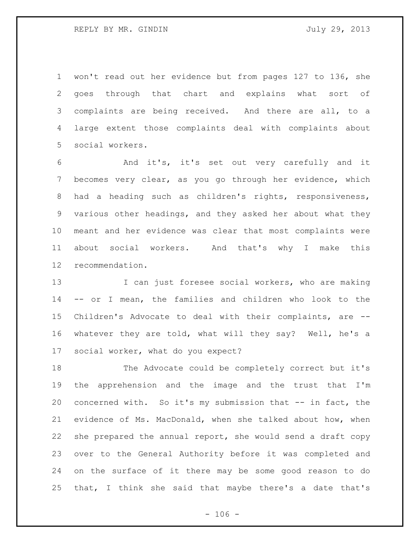won't read out her evidence but from pages 127 to 136, she goes through that chart and explains what sort of complaints are being received. And there are all, to a large extent those complaints deal with complaints about social workers.

 And it's, it's set out very carefully and it becomes very clear, as you go through her evidence, which had a heading such as children's rights, responsiveness, various other headings, and they asked her about what they meant and her evidence was clear that most complaints were about social workers. And that's why I make this recommendation.

13 I can just foresee social workers, who are making -- or I mean, the families and children who look to the Children's Advocate to deal with their complaints, are -- whatever they are told, what will they say? Well, he's a social worker, what do you expect?

 The Advocate could be completely correct but it's the apprehension and the image and the trust that I'm concerned with. So it's my submission that -- in fact, the evidence of Ms. MacDonald, when she talked about how, when she prepared the annual report, she would send a draft copy over to the General Authority before it was completed and on the surface of it there may be some good reason to do that, I think she said that maybe there's a date that's

 $- 106 -$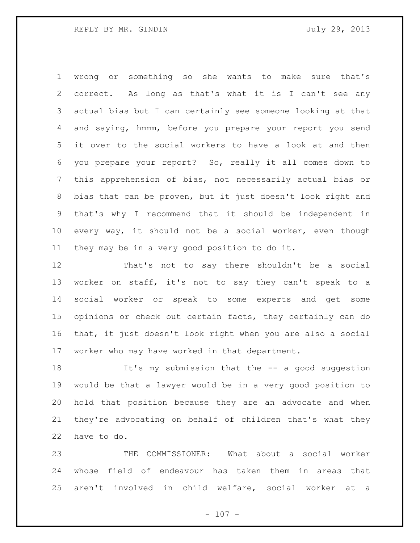wrong or something so she wants to make sure that's correct. As long as that's what it is I can't see any actual bias but I can certainly see someone looking at that and saying, hmmm, before you prepare your report you send it over to the social workers to have a look at and then you prepare your report? So, really it all comes down to this apprehension of bias, not necessarily actual bias or bias that can be proven, but it just doesn't look right and that's why I recommend that it should be independent in every way, it should not be a social worker, even though they may be in a very good position to do it.

 That's not to say there shouldn't be a social worker on staff, it's not to say they can't speak to a social worker or speak to some experts and get some opinions or check out certain facts, they certainly can do that, it just doesn't look right when you are also a social worker who may have worked in that department.

 It's my submission that the -- a good suggestion would be that a lawyer would be in a very good position to hold that position because they are an advocate and when they're advocating on behalf of children that's what they have to do.

 THE COMMISSIONER: What about a social worker whose field of endeavour has taken them in areas that aren't involved in child welfare, social worker at a

 $- 107 -$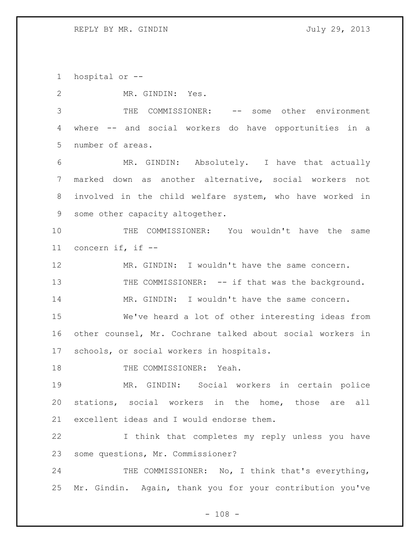hospital or --

MR. GINDIN: Yes.

 THE COMMISSIONER: -- some other environment where -- and social workers do have opportunities in a number of areas.

 MR. GINDIN: Absolutely. I have that actually marked down as another alternative, social workers not involved in the child welfare system, who have worked in some other capacity altogether.

 THE COMMISSIONER: You wouldn't have the same concern if, if --

 MR. GINDIN: I wouldn't have the same concern. 13 THE COMMISSIONER: -- if that was the background. 14 MR. GINDIN: I wouldn't have the same concern.

 We've heard a lot of other interesting ideas from other counsel, Mr. Cochrane talked about social workers in schools, or social workers in hospitals.

18 THE COMMISSIONER: Yeah.

 MR. GINDIN: Social workers in certain police stations, social workers in the home, those are all excellent ideas and I would endorse them.

 I think that completes my reply unless you have some questions, Mr. Commissioner?

24 THE COMMISSIONER: No, I think that's everything, Mr. Gindin. Again, thank you for your contribution you've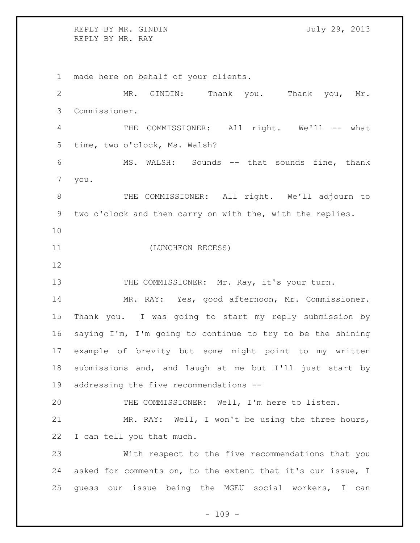REPLY BY MR. GINDIN July 29, 2013 REPLY BY MR. RAY

 made here on behalf of your clients. MR. GINDIN: Thank you. Thank you, Mr. Commissioner. 4 THE COMMISSIONER: All right. We'll -- what time, two o'clock, Ms. Walsh? MS. WALSH: Sounds -- that sounds fine, thank you. THE COMMISSIONER: All right. We'll adjourn to two o'clock and then carry on with the, with the replies. (LUNCHEON RECESS) 13 THE COMMISSIONER: Mr. Ray, it's your turn. MR. RAY: Yes, good afternoon, Mr. Commissioner. Thank you. I was going to start my reply submission by saying I'm, I'm going to continue to try to be the shining example of brevity but some might point to my written submissions and, and laugh at me but I'll just start by addressing the five recommendations -- THE COMMISSIONER: Well, I'm here to listen. MR. RAY: Well, I won't be using the three hours, I can tell you that much. With respect to the five recommendations that you asked for comments on, to the extent that it's our issue, I guess our issue being the MGEU social workers, I can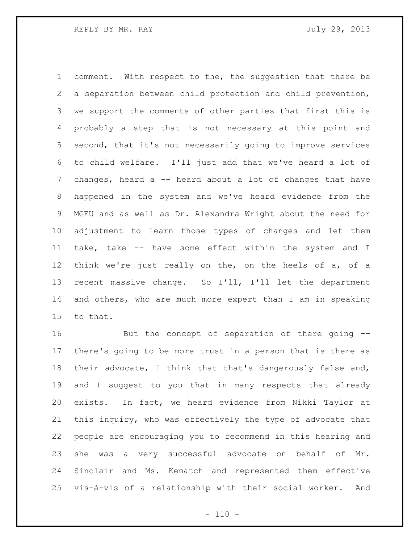comment. With respect to the, the suggestion that there be a separation between child protection and child prevention, we support the comments of other parties that first this is probably a step that is not necessary at this point and second, that it's not necessarily going to improve services to child welfare. I'll just add that we've heard a lot of 7 changes, heard a -- heard about a lot of changes that have happened in the system and we've heard evidence from the MGEU and as well as Dr. Alexandra Wright about the need for adjustment to learn those types of changes and let them take, take -- have some effect within the system and I think we're just really on the, on the heels of a, of a recent massive change. So I'll, I'll let the department and others, who are much more expert than I am in speaking to that.

 But the concept of separation of there going -- there's going to be more trust in a person that is there as their advocate, I think that that's dangerously false and, and I suggest to you that in many respects that already exists. In fact, we heard evidence from Nikki Taylor at this inquiry, who was effectively the type of advocate that people are encouraging you to recommend in this hearing and she was a very successful advocate on behalf of Mr. Sinclair and Ms. Kematch and represented them effective vis-à-vis of a relationship with their social worker. And

 $- 110 -$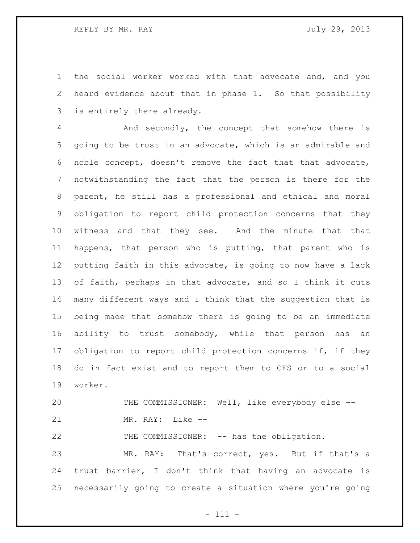the social worker worked with that advocate and, and you heard evidence about that in phase 1. So that possibility is entirely there already.

 And secondly, the concept that somehow there is going to be trust in an advocate, which is an admirable and noble concept, doesn't remove the fact that that advocate, notwithstanding the fact that the person is there for the parent, he still has a professional and ethical and moral obligation to report child protection concerns that they witness and that they see. And the minute that that happens, that person who is putting, that parent who is putting faith in this advocate, is going to now have a lack of faith, perhaps in that advocate, and so I think it cuts many different ways and I think that the suggestion that is being made that somehow there is going to be an immediate ability to trust somebody, while that person has an obligation to report child protection concerns if, if they do in fact exist and to report them to CFS or to a social worker.

20 THE COMMISSIONER: Well, like everybody else --MR. RAY: Like --

22 THE COMMISSIONER: -- has the obligation.

 MR. RAY: That's correct, yes. But if that's a trust barrier, I don't think that having an advocate is necessarily going to create a situation where you're going

- 111 -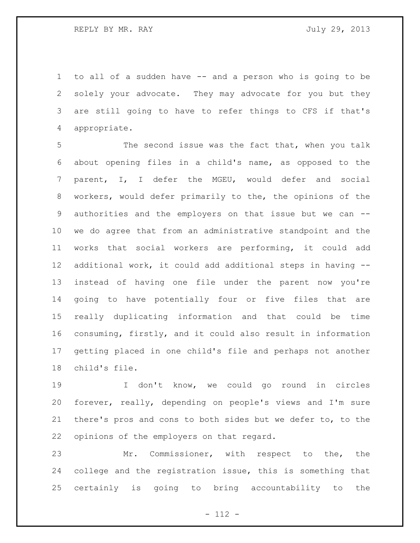to all of a sudden have -- and a person who is going to be solely your advocate. They may advocate for you but they are still going to have to refer things to CFS if that's appropriate.

 The second issue was the fact that, when you talk about opening files in a child's name, as opposed to the parent, I, I defer the MGEU, would defer and social workers, would defer primarily to the, the opinions of the authorities and the employers on that issue but we can -- we do agree that from an administrative standpoint and the works that social workers are performing, it could add additional work, it could add additional steps in having -- instead of having one file under the parent now you're going to have potentially four or five files that are really duplicating information and that could be time consuming, firstly, and it could also result in information getting placed in one child's file and perhaps not another child's file.

 I don't know, we could go round in circles forever, really, depending on people's views and I'm sure there's pros and cons to both sides but we defer to, to the opinions of the employers on that regard.

 Mr. Commissioner, with respect to the, the college and the registration issue, this is something that certainly is going to bring accountability to the

- 112 -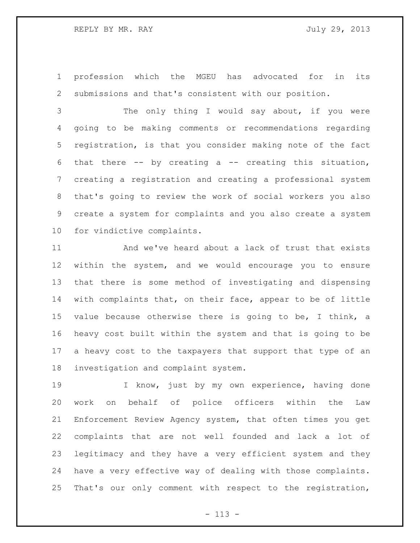profession which the MGEU has advocated for in its submissions and that's consistent with our position.

 The only thing I would say about, if you were going to be making comments or recommendations regarding registration, is that you consider making note of the fact that there -- by creating a -- creating this situation, creating a registration and creating a professional system that's going to review the work of social workers you also create a system for complaints and you also create a system for vindictive complaints.

 And we've heard about a lack of trust that exists within the system, and we would encourage you to ensure that there is some method of investigating and dispensing with complaints that, on their face, appear to be of little value because otherwise there is going to be, I think, a heavy cost built within the system and that is going to be a heavy cost to the taxpayers that support that type of an investigation and complaint system.

19 I know, just by my own experience, having done work on behalf of police officers within the Law Enforcement Review Agency system, that often times you get complaints that are not well founded and lack a lot of legitimacy and they have a very efficient system and they have a very effective way of dealing with those complaints. That's our only comment with respect to the registration,

- 113 -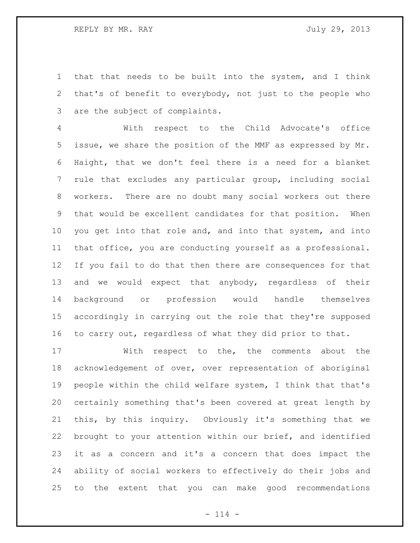that that needs to be built into the system, and I think that's of benefit to everybody, not just to the people who are the subject of complaints.

 With respect to the Child Advocate's office issue, we share the position of the MMF as expressed by Mr. Haight, that we don't feel there is a need for a blanket rule that excludes any particular group, including social workers. There are no doubt many social workers out there that would be excellent candidates for that position. When you get into that role and, and into that system, and into that office, you are conducting yourself as a professional. If you fail to do that then there are consequences for that and we would expect that anybody, regardless of their background or profession would handle themselves accordingly in carrying out the role that they're supposed to carry out, regardless of what they did prior to that.

 With respect to the, the comments about the acknowledgement of over, over representation of aboriginal people within the child welfare system, I think that that's certainly something that's been covered at great length by this, by this inquiry. Obviously it's something that we brought to your attention within our brief, and identified it as a concern and it's a concern that does impact the ability of social workers to effectively do their jobs and to the extent that you can make good recommendations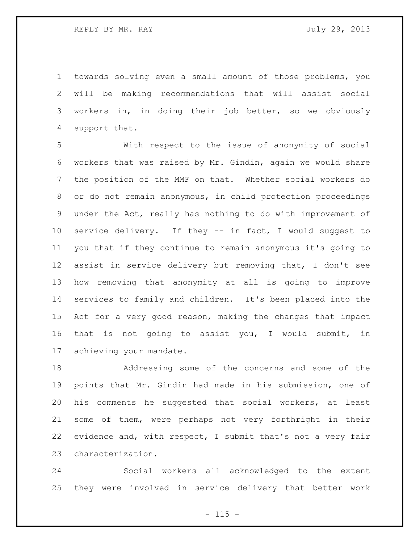towards solving even a small amount of those problems, you will be making recommendations that will assist social workers in, in doing their job better, so we obviously support that.

 With respect to the issue of anonymity of social workers that was raised by Mr. Gindin, again we would share the position of the MMF on that. Whether social workers do or do not remain anonymous, in child protection proceedings under the Act, really has nothing to do with improvement of service delivery. If they -- in fact, I would suggest to you that if they continue to remain anonymous it's going to assist in service delivery but removing that, I don't see how removing that anonymity at all is going to improve services to family and children. It's been placed into the Act for a very good reason, making the changes that impact that is not going to assist you, I would submit, in achieving your mandate.

 Addressing some of the concerns and some of the points that Mr. Gindin had made in his submission, one of his comments he suggested that social workers, at least some of them, were perhaps not very forthright in their evidence and, with respect, I submit that's not a very fair characterization.

 Social workers all acknowledged to the extent they were involved in service delivery that better work

 $- 115 -$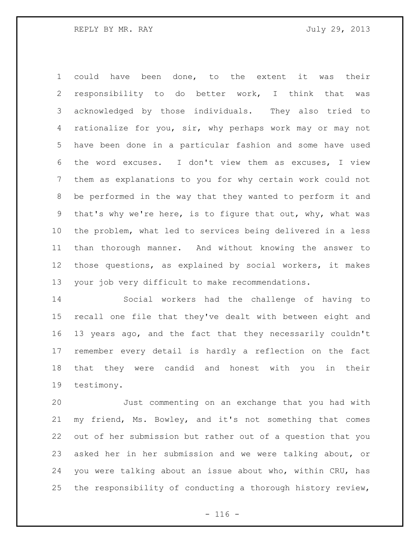could have been done, to the extent it was their responsibility to do better work, I think that was acknowledged by those individuals. They also tried to rationalize for you, sir, why perhaps work may or may not have been done in a particular fashion and some have used the word excuses. I don't view them as excuses, I view them as explanations to you for why certain work could not be performed in the way that they wanted to perform it and that's why we're here, is to figure that out, why, what was the problem, what led to services being delivered in a less than thorough manner. And without knowing the answer to those questions, as explained by social workers, it makes your job very difficult to make recommendations.

 Social workers had the challenge of having to recall one file that they've dealt with between eight and 13 years ago, and the fact that they necessarily couldn't remember every detail is hardly a reflection on the fact that they were candid and honest with you in their testimony.

 Just commenting on an exchange that you had with my friend, Ms. Bowley, and it's not something that comes out of her submission but rather out of a question that you asked her in her submission and we were talking about, or you were talking about an issue about who, within CRU, has the responsibility of conducting a thorough history review,

 $- 116 -$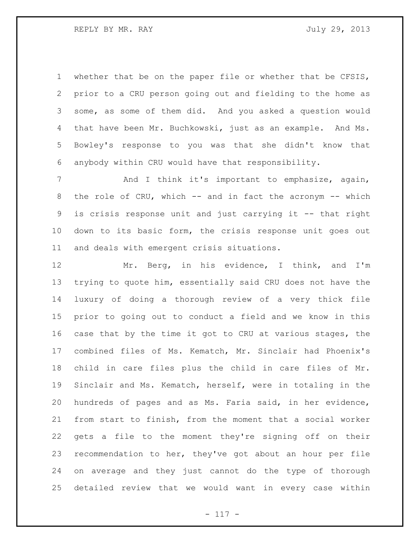whether that be on the paper file or whether that be CFSIS, prior to a CRU person going out and fielding to the home as some, as some of them did. And you asked a question would that have been Mr. Buchkowski, just as an example. And Ms. Bowley's response to you was that she didn't know that anybody within CRU would have that responsibility.

7 and I think it's important to emphasize, again, 8 the role of CRU, which -- and in fact the acronym -- which is crisis response unit and just carrying it -- that right down to its basic form, the crisis response unit goes out and deals with emergent crisis situations.

 Mr. Berg, in his evidence, I think, and I'm trying to quote him, essentially said CRU does not have the luxury of doing a thorough review of a very thick file prior to going out to conduct a field and we know in this case that by the time it got to CRU at various stages, the combined files of Ms. Kematch, Mr. Sinclair had Phoenix's child in care files plus the child in care files of Mr. Sinclair and Ms. Kematch, herself, were in totaling in the hundreds of pages and as Ms. Faria said, in her evidence, from start to finish, from the moment that a social worker gets a file to the moment they're signing off on their recommendation to her, they've got about an hour per file on average and they just cannot do the type of thorough detailed review that we would want in every case within

- 117 -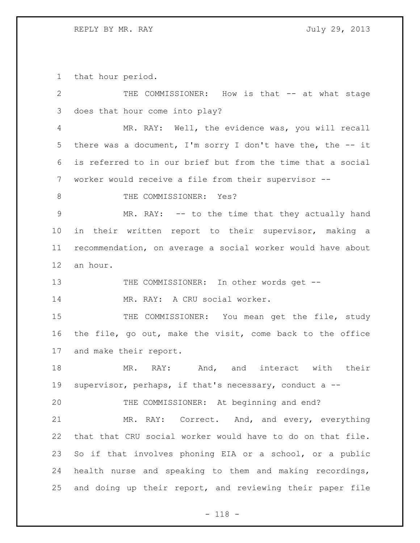that hour period.

| 2             | THE COMMISSIONER: How is that -- at what stage               |
|---------------|--------------------------------------------------------------|
| 3             | does that hour come into play?                               |
| 4             | MR. RAY: Well, the evidence was, you will recall             |
| 5             | there was a document, I'm sorry I don't have the, the $-$ it |
| 6             | is referred to in our brief but from the time that a social  |
| 7             | worker would receive a file from their supervisor --         |
| 8             | THE COMMISSIONER: Yes?                                       |
| $\mathcal{G}$ | MR. RAY: -- to the time that they actually hand              |
| 10            | in their written report to their supervisor, making a        |
| 11            | recommendation, on average a social worker would have about  |
| 12            | an hour.                                                     |
| 13            | THE COMMISSIONER: In other words get --                      |
| 14            | MR. RAY: A CRU social worker.                                |
| 15            | THE COMMISSIONER: You mean get the file, study               |
| 16            | the file, go out, make the visit, come back to the office    |
| 17            | and make their report.                                       |
| 18            | MR. RAY: And, and interact with<br>their                     |
| 19            | supervisor, perhaps, if that's necessary, conduct a --       |
| 20            | THE COMMISSIONER: At beginning and end?                      |
| 21            | MR. RAY: Correct. And, and every, everything                 |
| 22            | that that CRU social worker would have to do on that file.   |
| 23            | So if that involves phoning EIA or a school, or a public     |
| 24            | health nurse and speaking to them and making recordings,     |
| 25            | and doing up their report, and reviewing their paper file    |

- 118 -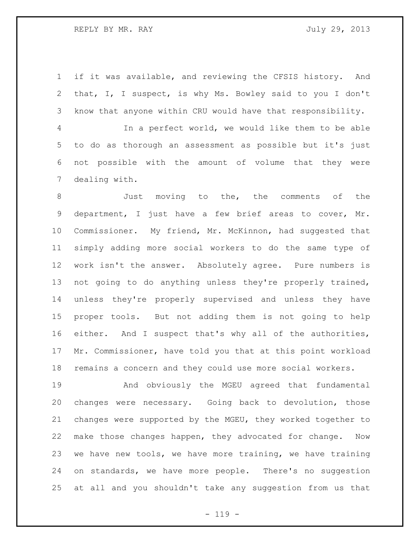if it was available, and reviewing the CFSIS history. And that, I, I suspect, is why Ms. Bowley said to you I don't know that anyone within CRU would have that responsibility.

 In a perfect world, we would like them to be able to do as thorough an assessment as possible but it's just not possible with the amount of volume that they were dealing with.

 Just moving to the, the comments of the department, I just have a few brief areas to cover, Mr. Commissioner. My friend, Mr. McKinnon, had suggested that simply adding more social workers to do the same type of work isn't the answer. Absolutely agree. Pure numbers is not going to do anything unless they're properly trained, unless they're properly supervised and unless they have proper tools. But not adding them is not going to help either. And I suspect that's why all of the authorities, Mr. Commissioner, have told you that at this point workload remains a concern and they could use more social workers.

 And obviously the MGEU agreed that fundamental changes were necessary. Going back to devolution, those changes were supported by the MGEU, they worked together to make those changes happen, they advocated for change. Now we have new tools, we have more training, we have training on standards, we have more people. There's no suggestion at all and you shouldn't take any suggestion from us that

 $- 119 -$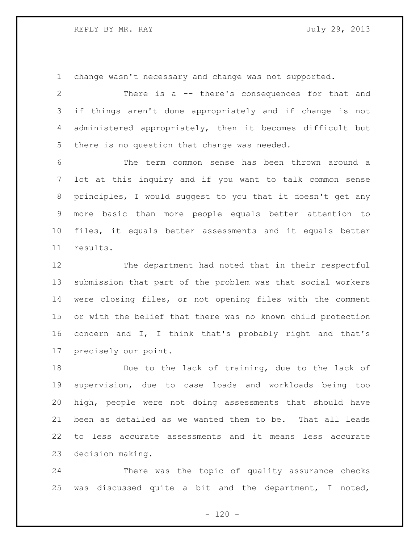change wasn't necessary and change was not supported.

 There is a -- there's consequences for that and if things aren't done appropriately and if change is not administered appropriately, then it becomes difficult but there is no question that change was needed.

 The term common sense has been thrown around a lot at this inquiry and if you want to talk common sense principles, I would suggest to you that it doesn't get any more basic than more people equals better attention to files, it equals better assessments and it equals better results.

 The department had noted that in their respectful submission that part of the problem was that social workers were closing files, or not opening files with the comment or with the belief that there was no known child protection concern and I, I think that's probably right and that's precisely our point.

 Due to the lack of training, due to the lack of supervision, due to case loads and workloads being too high, people were not doing assessments that should have been as detailed as we wanted them to be. That all leads to less accurate assessments and it means less accurate decision making.

 There was the topic of quality assurance checks was discussed quite a bit and the department, I noted,

 $- 120 -$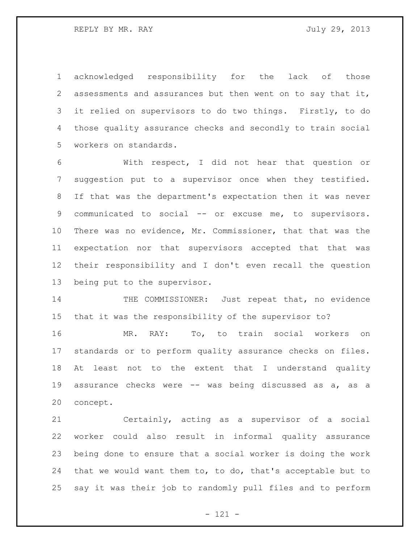acknowledged responsibility for the lack of those assessments and assurances but then went on to say that it, it relied on supervisors to do two things. Firstly, to do those quality assurance checks and secondly to train social workers on standards.

 With respect, I did not hear that question or suggestion put to a supervisor once when they testified. If that was the department's expectation then it was never communicated to social -- or excuse me, to supervisors. There was no evidence, Mr. Commissioner, that that was the expectation nor that supervisors accepted that that was their responsibility and I don't even recall the question being put to the supervisor.

14 THE COMMISSIONER: Just repeat that, no evidence that it was the responsibility of the supervisor to?

 MR. RAY: To, to train social workers on standards or to perform quality assurance checks on files. At least not to the extent that I understand quality assurance checks were -- was being discussed as a, as a concept.

 Certainly, acting as a supervisor of a social worker could also result in informal quality assurance being done to ensure that a social worker is doing the work that we would want them to, to do, that's acceptable but to say it was their job to randomly pull files and to perform

- 121 -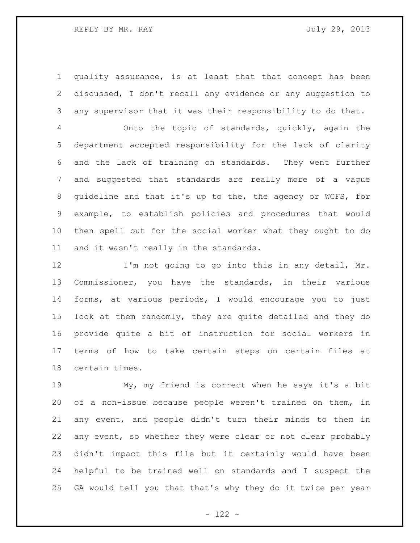quality assurance, is at least that that concept has been discussed, I don't recall any evidence or any suggestion to any supervisor that it was their responsibility to do that.

 Onto the topic of standards, quickly, again the department accepted responsibility for the lack of clarity and the lack of training on standards. They went further and suggested that standards are really more of a vague guideline and that it's up to the, the agency or WCFS, for example, to establish policies and procedures that would then spell out for the social worker what they ought to do and it wasn't really in the standards.

12 I'm not going to go into this in any detail, Mr. Commissioner, you have the standards, in their various forms, at various periods, I would encourage you to just look at them randomly, they are quite detailed and they do provide quite a bit of instruction for social workers in terms of how to take certain steps on certain files at certain times.

 My, my friend is correct when he says it's a bit of a non-issue because people weren't trained on them, in any event, and people didn't turn their minds to them in any event, so whether they were clear or not clear probably didn't impact this file but it certainly would have been helpful to be trained well on standards and I suspect the GA would tell you that that's why they do it twice per year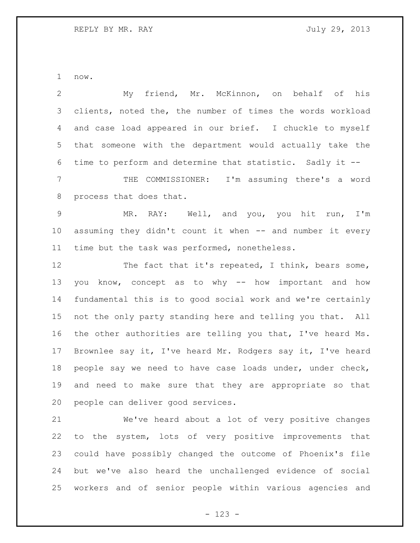now.

 My friend, Mr. McKinnon, on behalf of his clients, noted the, the number of times the words workload and case load appeared in our brief. I chuckle to myself that someone with the department would actually take the time to perform and determine that statistic. Sadly it -- THE COMMISSIONER: I'm assuming there's a word process that does that. MR. RAY: Well, and you, you hit run, I'm assuming they didn't count it when -- and number it every time but the task was performed, nonetheless. 12 The fact that it's repeated, I think, bears some, you know, concept as to why -- how important and how fundamental this is to good social work and we're certainly not the only party standing here and telling you that. All the other authorities are telling you that, I've heard Ms. Brownlee say it, I've heard Mr. Rodgers say it, I've heard people say we need to have case loads under, under check, and need to make sure that they are appropriate so that people can deliver good services. We've heard about a lot of very positive changes to the system, lots of very positive improvements that

 could have possibly changed the outcome of Phoenix's file but we've also heard the unchallenged evidence of social workers and of senior people within various agencies and

- 123 -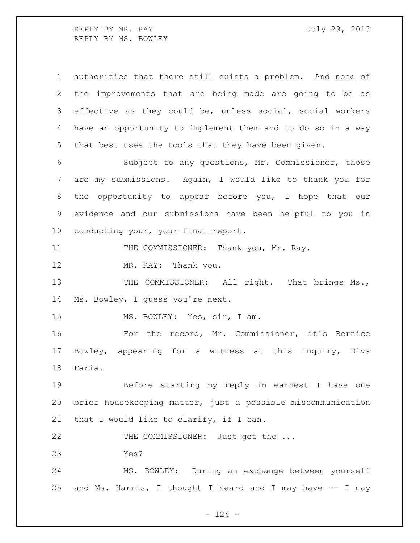REPLY BY MR. RAY **July 29, 2013** REPLY BY MS. BOWLEY

 authorities that there still exists a problem. And none of the improvements that are being made are going to be as effective as they could be, unless social, social workers have an opportunity to implement them and to do so in a way that best uses the tools that they have been given.

 Subject to any questions, Mr. Commissioner, those are my submissions. Again, I would like to thank you for the opportunity to appear before you, I hope that our evidence and our submissions have been helpful to you in conducting your, your final report.

11 THE COMMISSIONER: Thank you, Mr. Ray.

MR. RAY: Thank you.

13 THE COMMISSIONER: All right. That brings Ms., Ms. Bowley, I guess you're next.

15 MS. BOWLEY: Yes, sir, I am.

 For the record, Mr. Commissioner, it's Bernice Bowley, appearing for a witness at this inquiry, Diva Faria.

 Before starting my reply in earnest I have one brief housekeeping matter, just a possible miscommunication that I would like to clarify, if I can.

22 THE COMMISSIONER: Just get the ...

Yes?

 MS. BOWLEY: During an exchange between yourself and Ms. Harris, I thought I heard and I may have -- I may

 $- 124 -$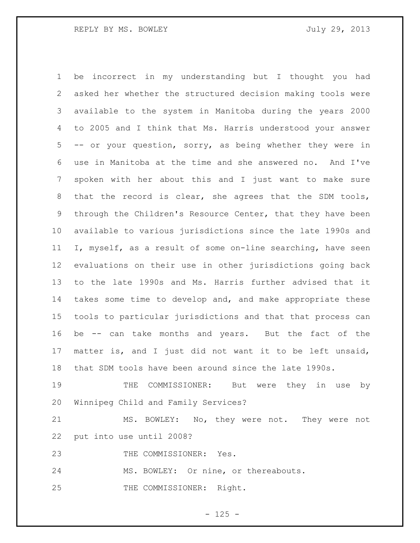be incorrect in my understanding but I thought you had asked her whether the structured decision making tools were available to the system in Manitoba during the years 2000 to 2005 and I think that Ms. Harris understood your answer -- or your question, sorry, as being whether they were in use in Manitoba at the time and she answered no. And I've spoken with her about this and I just want to make sure that the record is clear, she agrees that the SDM tools, through the Children's Resource Center, that they have been available to various jurisdictions since the late 1990s and I, myself, as a result of some on-line searching, have seen evaluations on their use in other jurisdictions going back to the late 1990s and Ms. Harris further advised that it takes some time to develop and, and make appropriate these tools to particular jurisdictions and that that process can be -- can take months and years. But the fact of the matter is, and I just did not want it to be left unsaid, that SDM tools have been around since the late 1990s.

19 THE COMMISSIONER: But were they in use by Winnipeg Child and Family Services?

 MS. BOWLEY: No, they were not. They were not put into use until 2008?

23 THE COMMISSIONER: Yes.

MS. BOWLEY: Or nine, or thereabouts.

25 THE COMMISSIONER: Right.

 $- 125 -$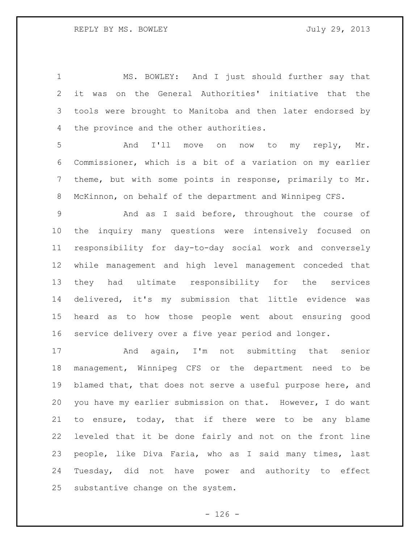MS. BOWLEY: And I just should further say that it was on the General Authorities' initiative that the tools were brought to Manitoba and then later endorsed by the province and the other authorities.

 And I'll move on now to my reply, Mr. Commissioner, which is a bit of a variation on my earlier theme, but with some points in response, primarily to Mr. McKinnon, on behalf of the department and Winnipeg CFS.

 And as I said before, throughout the course of the inquiry many questions were intensively focused on responsibility for day-to-day social work and conversely while management and high level management conceded that they had ultimate responsibility for the services delivered, it's my submission that little evidence was heard as to how those people went about ensuring good service delivery over a five year period and longer.

 And again, I'm not submitting that senior management, Winnipeg CFS or the department need to be blamed that, that does not serve a useful purpose here, and you have my earlier submission on that. However, I do want to ensure, today, that if there were to be any blame leveled that it be done fairly and not on the front line people, like Diva Faria, who as I said many times, last Tuesday, did not have power and authority to effect substantive change on the system.

 $- 126 -$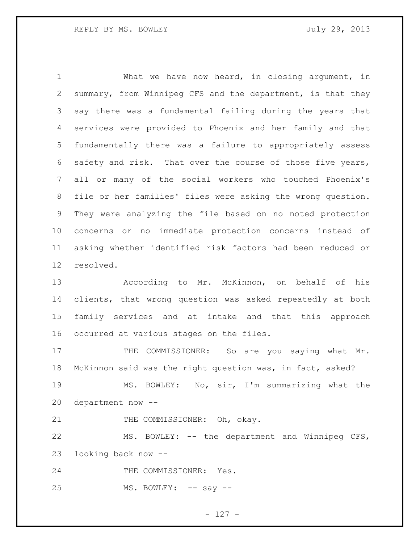What we have now heard, in closing argument, in summary, from Winnipeg CFS and the department, is that they say there was a fundamental failing during the years that services were provided to Phoenix and her family and that fundamentally there was a failure to appropriately assess safety and risk. That over the course of those five years, all or many of the social workers who touched Phoenix's file or her families' files were asking the wrong question. They were analyzing the file based on no noted protection concerns or no immediate protection concerns instead of asking whether identified risk factors had been reduced or resolved.

 According to Mr. McKinnon, on behalf of his clients, that wrong question was asked repeatedly at both family services and at intake and that this approach occurred at various stages on the files.

17 THE COMMISSIONER: So are you saying what Mr. McKinnon said was the right question was, in fact, asked?

 MS. BOWLEY: No, sir, I'm summarizing what the department now --

21 THE COMMISSIONER: Oh, okay.

 MS. BOWLEY: -- the department and Winnipeg CFS, looking back now --

24 THE COMMISSIONER: Yes.

25 MS. BOWLEY: -- say --

- 127 -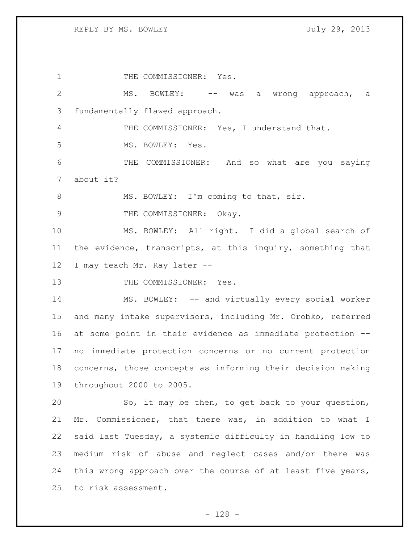1 THE COMMISSIONER: Yes. MS. BOWLEY: -- was a wrong approach, a fundamentally flawed approach. 4 THE COMMISSIONER: Yes, I understand that. 5 MS. BOWLEY: Yes. THE COMMISSIONER: And so what are you saying about it? 8 MS. BOWLEY: I'm coming to that, sir. 9 THE COMMISSIONER: Okay. MS. BOWLEY: All right. I did a global search of the evidence, transcripts, at this inquiry, something that 12 I may teach Mr. Ray later --13 THE COMMISSIONER: Yes. 14 MS. BOWLEY: -- and virtually every social worker and many intake supervisors, including Mr. Orobko, referred at some point in their evidence as immediate protection -- no immediate protection concerns or no current protection concerns, those concepts as informing their decision making throughout 2000 to 2005. So, it may be then, to get back to your question, Mr. Commissioner, that there was, in addition to what I said last Tuesday, a systemic difficulty in handling low to medium risk of abuse and neglect cases and/or there was this wrong approach over the course of at least five years, to risk assessment.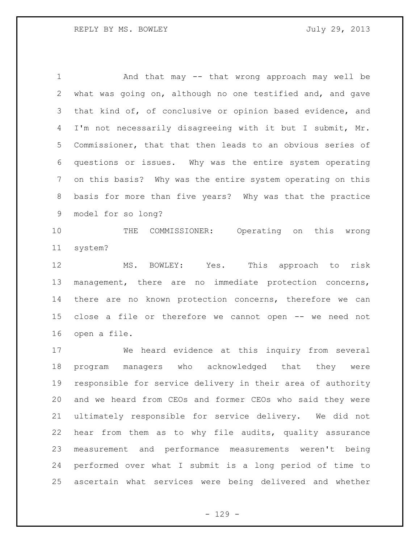And that may -- that wrong approach may well be what was going on, although no one testified and, and gave that kind of, of conclusive or opinion based evidence, and I'm not necessarily disagreeing with it but I submit, Mr. Commissioner, that that then leads to an obvious series of questions or issues. Why was the entire system operating on this basis? Why was the entire system operating on this basis for more than five years? Why was that the practice model for so long?

 THE COMMISSIONER: Operating on this wrong system?

 MS. BOWLEY: Yes. This approach to risk management, there are no immediate protection concerns, there are no known protection concerns, therefore we can close a file or therefore we cannot open -- we need not open a file.

 We heard evidence at this inquiry from several program managers who acknowledged that they were responsible for service delivery in their area of authority and we heard from CEOs and former CEOs who said they were ultimately responsible for service delivery. We did not hear from them as to why file audits, quality assurance measurement and performance measurements weren't being performed over what I submit is a long period of time to ascertain what services were being delivered and whether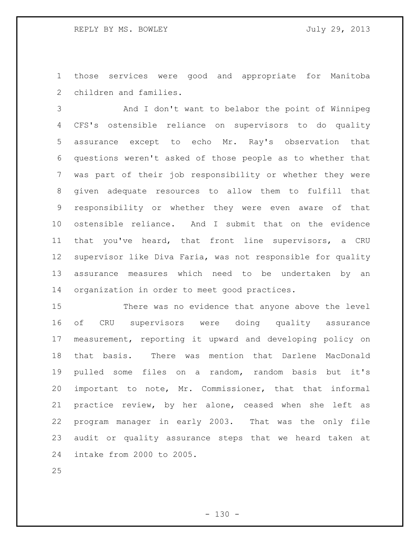those services were good and appropriate for Manitoba children and families.

 And I don't want to belabor the point of Winnipeg CFS's ostensible reliance on supervisors to do quality assurance except to echo Mr. Ray's observation that questions weren't asked of those people as to whether that was part of their job responsibility or whether they were given adequate resources to allow them to fulfill that responsibility or whether they were even aware of that ostensible reliance. And I submit that on the evidence that you've heard, that front line supervisors, a CRU supervisor like Diva Faria, was not responsible for quality assurance measures which need to be undertaken by an organization in order to meet good practices.

 There was no evidence that anyone above the level of CRU supervisors were doing quality assurance measurement, reporting it upward and developing policy on that basis. There was mention that Darlene MacDonald pulled some files on a random, random basis but it's important to note, Mr. Commissioner, that that informal practice review, by her alone, ceased when she left as program manager in early 2003. That was the only file audit or quality assurance steps that we heard taken at intake from 2000 to 2005.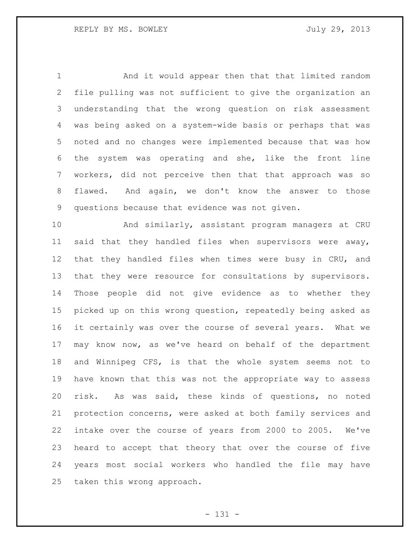And it would appear then that that limited random file pulling was not sufficient to give the organization an understanding that the wrong question on risk assessment was being asked on a system-wide basis or perhaps that was noted and no changes were implemented because that was how the system was operating and she, like the front line workers, did not perceive then that that approach was so flawed. And again, we don't know the answer to those questions because that evidence was not given.

 And similarly, assistant program managers at CRU said that they handled files when supervisors were away, that they handled files when times were busy in CRU, and that they were resource for consultations by supervisors. Those people did not give evidence as to whether they picked up on this wrong question, repeatedly being asked as it certainly was over the course of several years. What we may know now, as we've heard on behalf of the department and Winnipeg CFS, is that the whole system seems not to have known that this was not the appropriate way to assess risk. As was said, these kinds of questions, no noted protection concerns, were asked at both family services and intake over the course of years from 2000 to 2005. We've heard to accept that theory that over the course of five years most social workers who handled the file may have taken this wrong approach.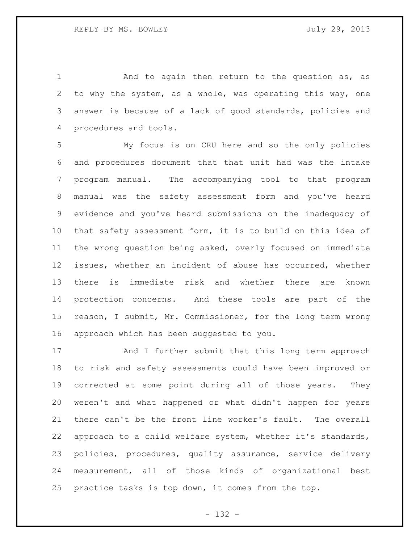1 And to again then return to the question as, as to why the system, as a whole, was operating this way, one answer is because of a lack of good standards, policies and procedures and tools.

 My focus is on CRU here and so the only policies and procedures document that that unit had was the intake program manual. The accompanying tool to that program manual was the safety assessment form and you've heard evidence and you've heard submissions on the inadequacy of that safety assessment form, it is to build on this idea of the wrong question being asked, overly focused on immediate issues, whether an incident of abuse has occurred, whether there is immediate risk and whether there are known protection concerns. And these tools are part of the reason, I submit, Mr. Commissioner, for the long term wrong approach which has been suggested to you.

 And I further submit that this long term approach to risk and safety assessments could have been improved or corrected at some point during all of those years. They weren't and what happened or what didn't happen for years there can't be the front line worker's fault. The overall approach to a child welfare system, whether it's standards, policies, procedures, quality assurance, service delivery measurement, all of those kinds of organizational best practice tasks is top down, it comes from the top.

- 132 -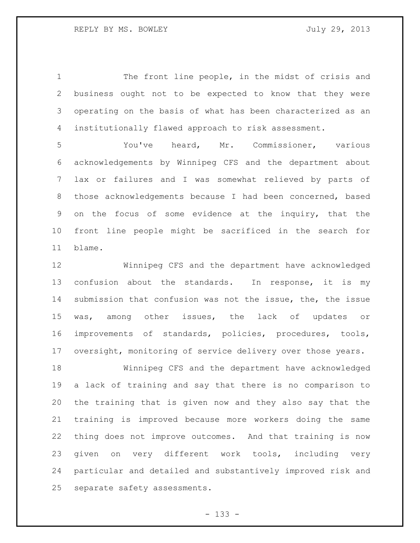The front line people, in the midst of crisis and business ought not to be expected to know that they were operating on the basis of what has been characterized as an institutionally flawed approach to risk assessment.

 You've heard, Mr. Commissioner, various acknowledgements by Winnipeg CFS and the department about lax or failures and I was somewhat relieved by parts of those acknowledgements because I had been concerned, based on the focus of some evidence at the inquiry, that the front line people might be sacrificed in the search for blame.

 Winnipeg CFS and the department have acknowledged 13 confusion about the standards. In response, it is my submission that confusion was not the issue, the, the issue was, among other issues, the lack of updates or improvements of standards, policies, procedures, tools, oversight, monitoring of service delivery over those years.

 Winnipeg CFS and the department have acknowledged a lack of training and say that there is no comparison to the training that is given now and they also say that the training is improved because more workers doing the same thing does not improve outcomes. And that training is now given on very different work tools, including very particular and detailed and substantively improved risk and separate safety assessments.

- 133 -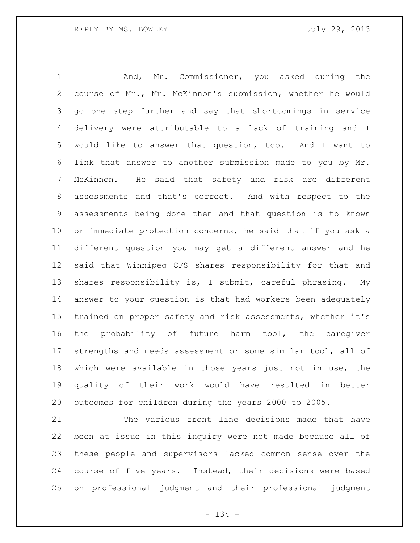And, Mr. Commissioner, you asked during the course of Mr., Mr. McKinnon's submission, whether he would go one step further and say that shortcomings in service delivery were attributable to a lack of training and I would like to answer that question, too. And I want to link that answer to another submission made to you by Mr. McKinnon. He said that safety and risk are different assessments and that's correct. And with respect to the assessments being done then and that question is to known or immediate protection concerns, he said that if you ask a different question you may get a different answer and he said that Winnipeg CFS shares responsibility for that and shares responsibility is, I submit, careful phrasing. My answer to your question is that had workers been adequately trained on proper safety and risk assessments, whether it's the probability of future harm tool, the caregiver strengths and needs assessment or some similar tool, all of which were available in those years just not in use, the quality of their work would have resulted in better outcomes for children during the years 2000 to 2005.

 The various front line decisions made that have been at issue in this inquiry were not made because all of these people and supervisors lacked common sense over the course of five years. Instead, their decisions were based on professional judgment and their professional judgment

- 134 -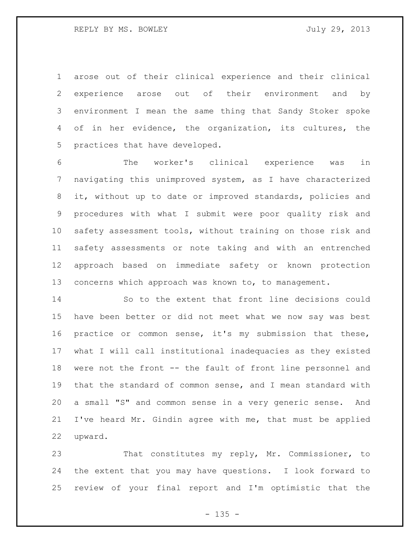arose out of their clinical experience and their clinical experience arose out of their environment and by environment I mean the same thing that Sandy Stoker spoke of in her evidence, the organization, its cultures, the practices that have developed.

 The worker's clinical experience was in navigating this unimproved system, as I have characterized it, without up to date or improved standards, policies and procedures with what I submit were poor quality risk and safety assessment tools, without training on those risk and safety assessments or note taking and with an entrenched approach based on immediate safety or known protection 13 concerns which approach was known to, to management.

 So to the extent that front line decisions could have been better or did not meet what we now say was best practice or common sense, it's my submission that these, what I will call institutional inadequacies as they existed were not the front -- the fault of front line personnel and that the standard of common sense, and I mean standard with a small "S" and common sense in a very generic sense. And I've heard Mr. Gindin agree with me, that must be applied upward.

 That constitutes my reply, Mr. Commissioner, to the extent that you may have questions. I look forward to review of your final report and I'm optimistic that the

 $- 135 -$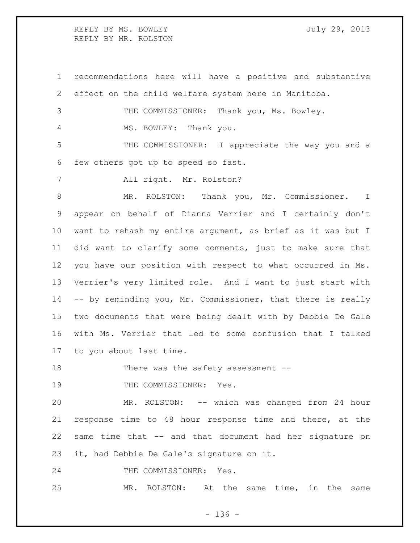REPLY BY MS. BOWLEY **Fig. 10.13** July 29, 2013 REPLY BY MR. ROLSTON

 recommendations here will have a positive and substantive effect on the child welfare system here in Manitoba.

THE COMMISSIONER: Thank you, Ms. Bowley.

4 MS. BOWLEY: Thank you.

 THE COMMISSIONER: I appreciate the way you and a few others got up to speed so fast.

All right. Mr. Rolston?

 MR. ROLSTON: Thank you, Mr. Commissioner. I appear on behalf of Dianna Verrier and I certainly don't want to rehash my entire argument, as brief as it was but I did want to clarify some comments, just to make sure that you have our position with respect to what occurred in Ms. Verrier's very limited role. And I want to just start with -- by reminding you, Mr. Commissioner, that there is really two documents that were being dealt with by Debbie De Gale with Ms. Verrier that led to some confusion that I talked to you about last time.

18 There was the safety assessment --

19 THE COMMISSIONER: Yes.

 MR. ROLSTON: -- which was changed from 24 hour response time to 48 hour response time and there, at the same time that -- and that document had her signature on it, had Debbie De Gale's signature on it.

24 THE COMMISSIONER: Yes.

MR. ROLSTON: At the same time, in the same

- 136 -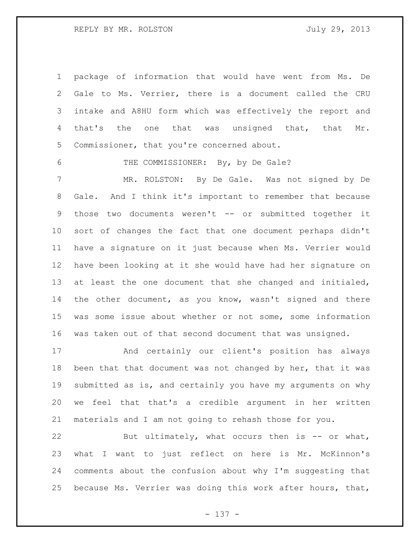package of information that would have went from Ms. De Gale to Ms. Verrier, there is a document called the CRU intake and A8HU form which was effectively the report and that's the one that was unsigned that, that Mr. Commissioner, that you're concerned about.

6 THE COMMISSIONER: By, by De Gale?

 MR. ROLSTON: By De Gale. Was not signed by De Gale. And I think it's important to remember that because 9 those two documents weren't -- or submitted together it sort of changes the fact that one document perhaps didn't have a signature on it just because when Ms. Verrier would have been looking at it she would have had her signature on at least the one document that she changed and initialed, the other document, as you know, wasn't signed and there was some issue about whether or not some, some information was taken out of that second document that was unsigned.

 And certainly our client's position has always been that that document was not changed by her, that it was submitted as is, and certainly you have my arguments on why we feel that that's a credible argument in her written materials and I am not going to rehash those for you.

22 But ultimately, what occurs then is -- or what, what I want to just reflect on here is Mr. McKinnon's comments about the confusion about why I'm suggesting that because Ms. Verrier was doing this work after hours, that,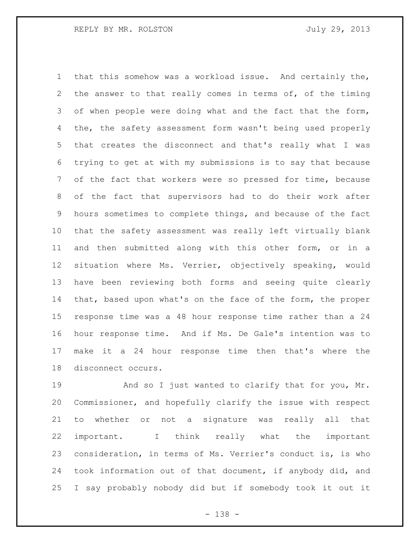that this somehow was a workload issue. And certainly the, the answer to that really comes in terms of, of the timing of when people were doing what and the fact that the form, the, the safety assessment form wasn't being used properly that creates the disconnect and that's really what I was trying to get at with my submissions is to say that because of the fact that workers were so pressed for time, because of the fact that supervisors had to do their work after hours sometimes to complete things, and because of the fact that the safety assessment was really left virtually blank and then submitted along with this other form, or in a situation where Ms. Verrier, objectively speaking, would have been reviewing both forms and seeing quite clearly that, based upon what's on the face of the form, the proper response time was a 48 hour response time rather than a 24 hour response time. And if Ms. De Gale's intention was to make it a 24 hour response time then that's where the disconnect occurs.

19 And so I just wanted to clarify that for you, Mr. Commissioner, and hopefully clarify the issue with respect to whether or not a signature was really all that important. I think really what the important consideration, in terms of Ms. Verrier's conduct is, is who took information out of that document, if anybody did, and I say probably nobody did but if somebody took it out it

- 138 -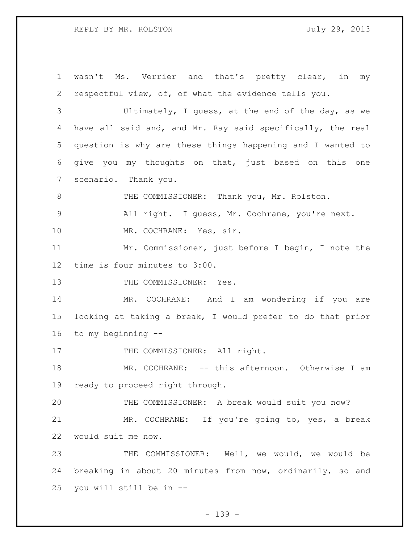## REPLY BY MR. ROLSTON 5000 July 29, 2013

 wasn't Ms. Verrier and that's pretty clear, in my respectful view, of, of what the evidence tells you. Ultimately, I guess, at the end of the day, as we 4 have all said and, and Mr. Ray said specifically, the real question is why are these things happening and I wanted to give you my thoughts on that, just based on this one scenario. Thank you. 8 THE COMMISSIONER: Thank you, Mr. Rolston. All right. I guess, Mr. Cochrane, you're next. 10 MR. COCHRANE: Yes, sir. Mr. Commissioner, just before I begin, I note the time is four minutes to 3:00. 13 THE COMMISSIONER: Yes. MR. COCHRANE: And I am wondering if you are looking at taking a break, I would prefer to do that prior to my beginning -- 17 THE COMMISSIONER: All right. MR. COCHRANE: -- this afternoon. Otherwise I am ready to proceed right through. THE COMMISSIONER: A break would suit you now? MR. COCHRANE: If you're going to, yes, a break would suit me now. THE COMMISSIONER: Well, we would, we would be breaking in about 20 minutes from now, ordinarily, so and you will still be in --

- 139 -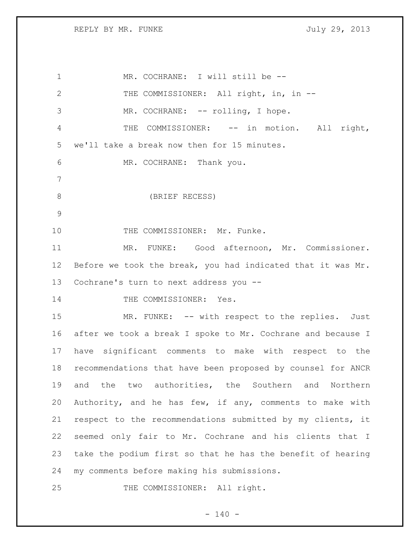REPLY BY MR. FUNKE SALLY 29, 2013

1 MR. COCHRANE: I will still be --2 THE COMMISSIONER: All right, in, in --3 MR. COCHRANE: -- rolling, I hope. 4 THE COMMISSIONER: -- in motion. All right, we'll take a break now then for 15 minutes. MR. COCHRANE: Thank you. (BRIEF RECESS) 10 THE COMMISSIONER: Mr. Funke. MR. FUNKE: Good afternoon, Mr. Commissioner. Before we took the break, you had indicated that it was Mr. Cochrane's turn to next address you -- 14 THE COMMISSIONER: Yes. MR. FUNKE: -- with respect to the replies. Just after we took a break I spoke to Mr. Cochrane and because I have significant comments to make with respect to the recommendations that have been proposed by counsel for ANCR and the two authorities, the Southern and Northern Authority, and he has few, if any, comments to make with respect to the recommendations submitted by my clients, it seemed only fair to Mr. Cochrane and his clients that I take the podium first so that he has the benefit of hearing my comments before making his submissions. 25 THE COMMISSIONER: All right.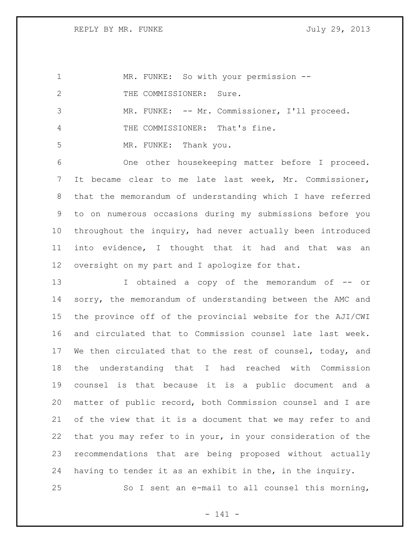REPLY BY MR. FUNKE July 29, 2013

| $\mathbf 1$  | MR. FUNKE: So with your permission --                       |
|--------------|-------------------------------------------------------------|
| $\mathbf{2}$ | THE COMMISSIONER: Sure.                                     |
| 3            | MR. FUNKE: -- Mr. Commissioner, I'll proceed.               |
| 4            | THE COMMISSIONER: That's fine.                              |
| 5            | MR. FUNKE: Thank you.                                       |
| 6            | One other housekeeping matter before I proceed.             |
| 7            | It became clear to me late last week, Mr. Commissioner,     |
| 8            | that the memorandum of understanding which I have referred  |
| 9            | to on numerous occasions during my submissions before you   |
| 10           | throughout the inquiry, had never actually been introduced  |
| 11           | into evidence, I thought that it had and that was<br>an     |
| 12           | oversight on my part and I apologize for that.              |
| 13           | I obtained a copy of the memorandum of -- or                |
| 14           | sorry, the memorandum of understanding between the AMC and  |
| 15           | the province off of the provincial website for the AJI/CWI  |
| 16           | and circulated that to Commission counsel late last week.   |
| 17           | We then circulated that to the rest of counsel, today, and  |
| 18           | understanding that I had reached with Commission<br>the     |
| 19           | counsel is that because it is a public document and a       |
| 20           | matter of public record, both Commission counsel and I are  |
| 21           | of the view that it is a document that we may refer to and  |
| 22           | that you may refer to in your, in your consideration of the |
| 23           | recommendations that are being proposed without actually    |
| 24           | having to tender it as an exhibit in the, in the inquiry.   |
| 25           | So I sent an e-mail to all counsel this morning,            |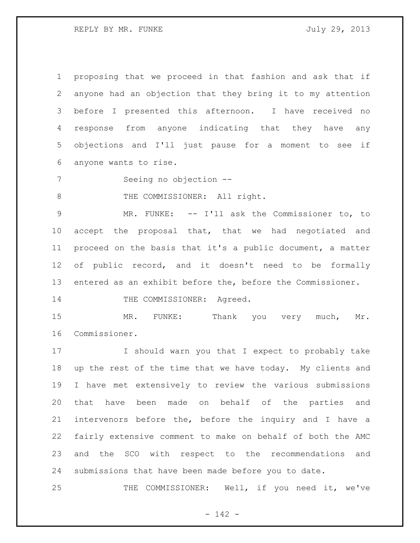proposing that we proceed in that fashion and ask that if anyone had an objection that they bring it to my attention before I presented this afternoon. I have received no response from anyone indicating that they have any objections and I'll just pause for a moment to see if anyone wants to rise.

Seeing no objection --

8 THE COMMISSIONER: All right.

 MR. FUNKE: -- I'll ask the Commissioner to, to accept the proposal that, that we had negotiated and proceed on the basis that it's a public document, a matter 12 of public record, and it doesn't need to be formally entered as an exhibit before the, before the Commissioner.

14 THE COMMISSIONER: Agreed.

15 MR. FUNKE: Thank you very much, Mr. Commissioner.

 I should warn you that I expect to probably take up the rest of the time that we have today. My clients and I have met extensively to review the various submissions that have been made on behalf of the parties and intervenors before the, before the inquiry and I have a fairly extensive comment to make on behalf of both the AMC and the SCO with respect to the recommendations and submissions that have been made before you to date.

THE COMMISSIONER: Well, if you need it, we've

- 142 -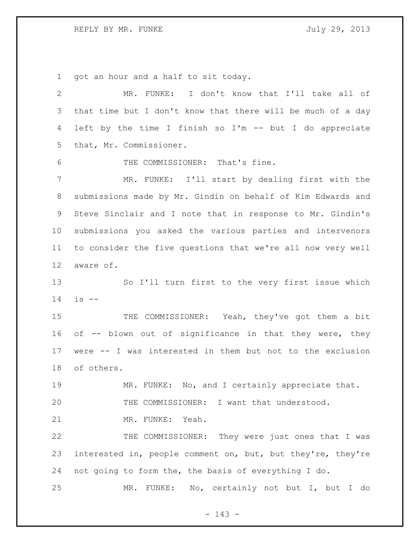REPLY BY MR. FUNKE SALLY 29, 2013

got an hour and a half to sit today.

 MR. FUNKE: I don't know that I'll take all of that time but I don't know that there will be much of a day left by the time I finish so I'm -- but I do appreciate that, Mr. Commissioner. THE COMMISSIONER: That's fine. MR. FUNKE: I'll start by dealing first with the submissions made by Mr. Gindin on behalf of Kim Edwards and Steve Sinclair and I note that in response to Mr. Gindin's submissions you asked the various parties and intervenors to consider the five questions that we're all now very well aware of. So I'll turn first to the very first issue which is  $-$ 15 THE COMMISSIONER: Yeah, they've got them a bit 16 of  $-$ - blown out of significance in that they were, they were -- I was interested in them but not to the exclusion of others. MR. FUNKE: No, and I certainly appreciate that. THE COMMISSIONER: I want that understood. MR. FUNKE: Yeah. 22 THE COMMISSIONER: They were just ones that I was interested in, people comment on, but, but they're, they're not going to form the, the basis of everything I do. MR. FUNKE: No, certainly not but I, but I do

- 143 -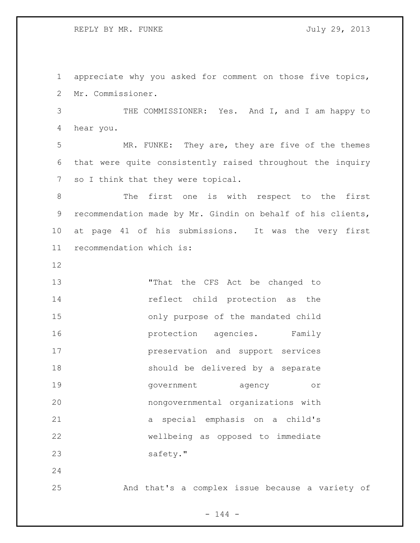appreciate why you asked for comment on those five topics, Mr. Commissioner.

 THE COMMISSIONER: Yes. And I, and I am happy to hear you.

 MR. FUNKE: They are, they are five of the themes that were quite consistently raised throughout the inquiry 7 so I think that they were topical.

 The first one is with respect to the first recommendation made by Mr. Gindin on behalf of his clients, at page 41 of his submissions. It was the very first recommendation which is:

13 That the CFS Act be changed to reflect child protection as the only purpose of the mandated child **protection** agencies. Family preservation and support services should be delivered by a separate government agency or nongovernmental organizations with a special emphasis on a child's wellbeing as opposed to immediate 23 safety."

And that's a complex issue because a variety of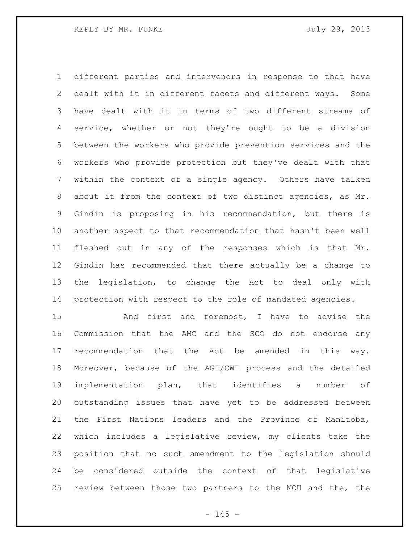different parties and intervenors in response to that have dealt with it in different facets and different ways. Some have dealt with it in terms of two different streams of service, whether or not they're ought to be a division between the workers who provide prevention services and the workers who provide protection but they've dealt with that within the context of a single agency. Others have talked about it from the context of two distinct agencies, as Mr. Gindin is proposing in his recommendation, but there is another aspect to that recommendation that hasn't been well fleshed out in any of the responses which is that Mr. Gindin has recommended that there actually be a change to the legislation, to change the Act to deal only with protection with respect to the role of mandated agencies.

 And first and foremost, I have to advise the Commission that the AMC and the SCO do not endorse any recommendation that the Act be amended in this way. Moreover, because of the AGI/CWI process and the detailed implementation plan, that identifies a number of outstanding issues that have yet to be addressed between the First Nations leaders and the Province of Manitoba, which includes a legislative review, my clients take the position that no such amendment to the legislation should be considered outside the context of that legislative review between those two partners to the MOU and the, the

 $- 145 -$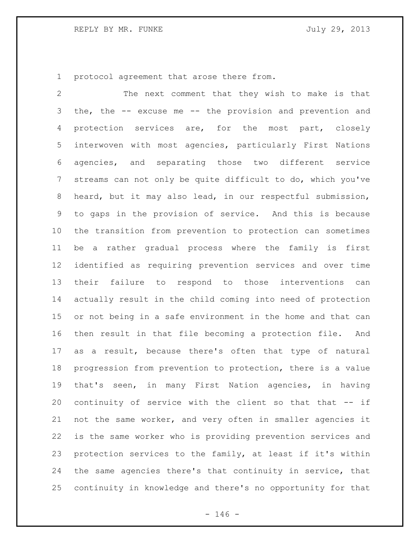protocol agreement that arose there from.

 The next comment that they wish to make is that the, the -- excuse me -- the provision and prevention and protection services are, for the most part, closely interwoven with most agencies, particularly First Nations agencies, and separating those two different service streams can not only be quite difficult to do, which you've heard, but it may also lead, in our respectful submission, to gaps in the provision of service. And this is because the transition from prevention to protection can sometimes be a rather gradual process where the family is first identified as requiring prevention services and over time their failure to respond to those interventions can actually result in the child coming into need of protection or not being in a safe environment in the home and that can then result in that file becoming a protection file. And as a result, because there's often that type of natural progression from prevention to protection, there is a value that's seen, in many First Nation agencies, in having continuity of service with the client so that that -- if not the same worker, and very often in smaller agencies it is the same worker who is providing prevention services and protection services to the family, at least if it's within the same agencies there's that continuity in service, that continuity in knowledge and there's no opportunity for that

 $- 146 -$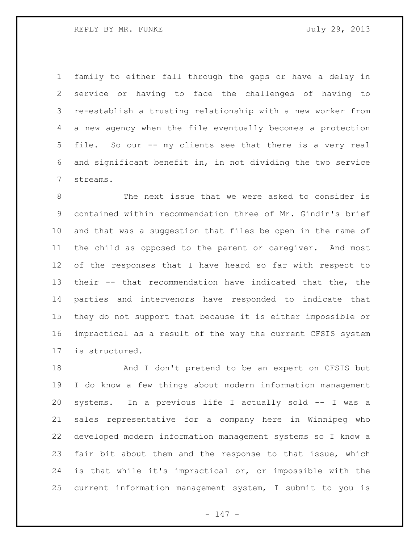REPLY BY MR. FUNKE SALLARY STATES AND TULLY 29, 2013

 family to either fall through the gaps or have a delay in service or having to face the challenges of having to re-establish a trusting relationship with a new worker from a new agency when the file eventually becomes a protection file. So our -- my clients see that there is a very real and significant benefit in, in not dividing the two service streams.

 The next issue that we were asked to consider is contained within recommendation three of Mr. Gindin's brief and that was a suggestion that files be open in the name of the child as opposed to the parent or caregiver. And most of the responses that I have heard so far with respect to their -- that recommendation have indicated that the, the parties and intervenors have responded to indicate that they do not support that because it is either impossible or impractical as a result of the way the current CFSIS system is structured.

 And I don't pretend to be an expert on CFSIS but I do know a few things about modern information management systems. In a previous life I actually sold -- I was a sales representative for a company here in Winnipeg who developed modern information management systems so I know a fair bit about them and the response to that issue, which is that while it's impractical or, or impossible with the current information management system, I submit to you is

- 147 -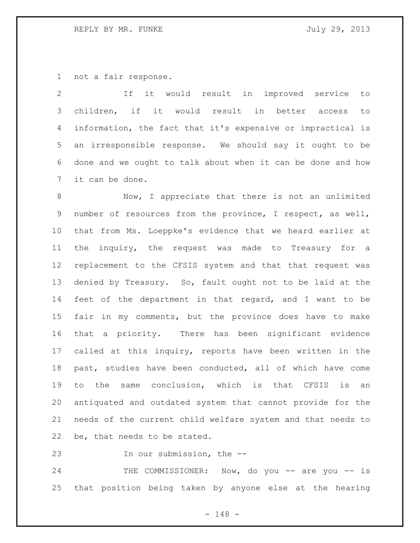## REPLY BY MR. FUNKE SALLARY STATES AND TULLY 29, 2013

not a fair response.

 If it would result in improved service to children, if it would result in better access to information, the fact that it's expensive or impractical is an irresponsible response. We should say it ought to be done and we ought to talk about when it can be done and how it can be done.

 Now, I appreciate that there is not an unlimited number of resources from the province, I respect, as well, that from Ms. Loeppke's evidence that we heard earlier at the inquiry, the request was made to Treasury for a replacement to the CFSIS system and that that request was denied by Treasury. So, fault ought not to be laid at the feet of the department in that regard, and I want to be fair in my comments, but the province does have to make that a priority. There has been significant evidence called at this inquiry, reports have been written in the past, studies have been conducted, all of which have come to the same conclusion, which is that CFSIS is an antiquated and outdated system that cannot provide for the needs of the current child welfare system and that needs to be, that needs to be stated.

In our submission, the --

24 THE COMMISSIONER: Now, do you -- are you -- is that position being taken by anyone else at the hearing

- 148 -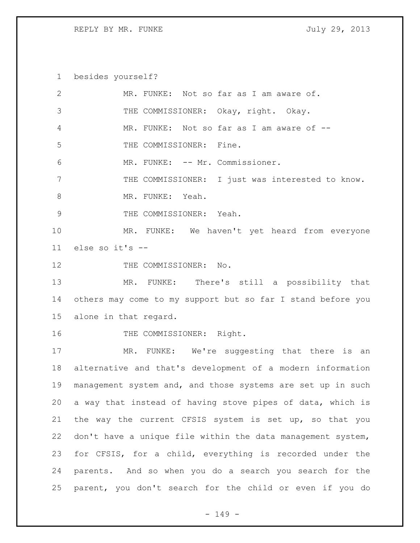REPLY BY MR. FUNKE July 29, 2013

besides yourself?

| 2               | MR. FUNKE: Not so far as I am aware of.                     |
|-----------------|-------------------------------------------------------------|
| 3               | THE COMMISSIONER: Okay, right. Okay.                        |
| 4               | MR. FUNKE: Not so far as I am aware of --                   |
| 5               | THE COMMISSIONER: Fine.                                     |
| 6               | MR. FUNKE: -- Mr. Commissioner.                             |
| 7               | THE COMMISSIONER: I just was interested to know.            |
| 8               | MR. FUNKE: Yeah.                                            |
| $\mathcal{G}$   | THE COMMISSIONER: Yeah.                                     |
| 10              | MR. FUNKE: We haven't yet heard from everyone               |
| 11              | else so it's --                                             |
| 12              | THE COMMISSIONER: No.                                       |
| 13              | MR. FUNKE: There's still a possibility that                 |
| 14              | others may come to my support but so far I stand before you |
| 15 <sub>1</sub> | alone in that regard.                                       |
| 16              | THE COMMISSIONER: Right.                                    |
| 17              | MR. FUNKE: We're suggesting that there is an                |
| 18              | alternative and that's development of a modern information  |
| 19              | management system and, and those systems are set up in such |
| 20              | a way that instead of having stove pipes of data, which is  |
| 21              | the way the current CFSIS system is set up, so that you     |
| 22              | don't have a unique file within the data management system, |
| 23              | for CFSIS, for a child, everything is recorded under the    |
| 24              | parents. And so when you do a search you search for the     |
|                 |                                                             |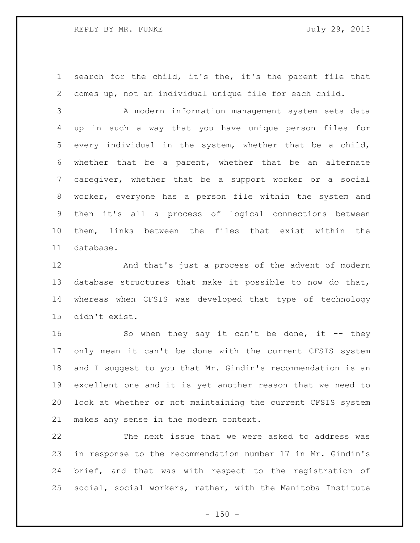search for the child, it's the, it's the parent file that comes up, not an individual unique file for each child.

 A modern information management system sets data up in such a way that you have unique person files for every individual in the system, whether that be a child, whether that be a parent, whether that be an alternate caregiver, whether that be a support worker or a social worker, everyone has a person file within the system and then it's all a process of logical connections between them, links between the files that exist within the database.

 And that's just a process of the advent of modern database structures that make it possible to now do that, whereas when CFSIS was developed that type of technology didn't exist.

16 So when they say it can't be done, it -- they only mean it can't be done with the current CFSIS system and I suggest to you that Mr. Gindin's recommendation is an excellent one and it is yet another reason that we need to look at whether or not maintaining the current CFSIS system makes any sense in the modern context.

 The next issue that we were asked to address was in response to the recommendation number 17 in Mr. Gindin's brief, and that was with respect to the registration of social, social workers, rather, with the Manitoba Institute

 $- 150 -$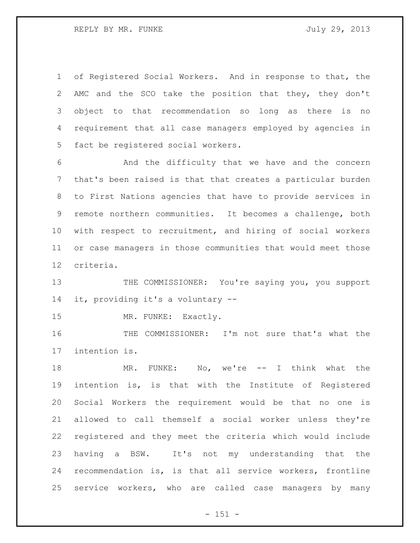of Registered Social Workers. And in response to that, the AMC and the SCO take the position that they, they don't object to that recommendation so long as there is no requirement that all case managers employed by agencies in fact be registered social workers.

 And the difficulty that we have and the concern that's been raised is that that creates a particular burden to First Nations agencies that have to provide services in remote northern communities. It becomes a challenge, both with respect to recruitment, and hiring of social workers or case managers in those communities that would meet those criteria.

13 THE COMMISSIONER: You're saying you, you support it, providing it's a voluntary --

15 MR. FUNKE: Exactly.

 THE COMMISSIONER: I'm not sure that's what the intention is.

 MR. FUNKE: No, we're -- I think what the intention is, is that with the Institute of Registered Social Workers the requirement would be that no one is allowed to call themself a social worker unless they're registered and they meet the criteria which would include having a BSW. It's not my understanding that the recommendation is, is that all service workers, frontline service workers, who are called case managers by many

- 151 -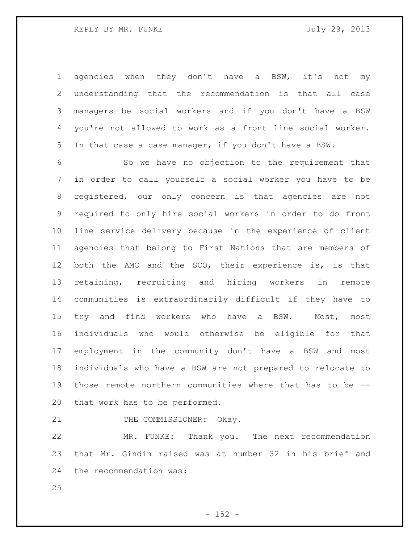agencies when they don't have a BSW, it's not my understanding that the recommendation is that all case managers be social workers and if you don't have a BSW you're not allowed to work as a front line social worker. In that case a case manager, if you don't have a BSW.

 So we have no objection to the requirement that in order to call yourself a social worker you have to be registered, our only concern is that agencies are not required to only hire social workers in order to do front line service delivery because in the experience of client agencies that belong to First Nations that are members of both the AMC and the SCO, their experience is, is that retaining, recruiting and hiring workers in remote communities is extraordinarily difficult if they have to 15 try and find workers who have a BSW. Most, most individuals who would otherwise be eligible for that employment in the community don't have a BSW and most individuals who have a BSW are not prepared to relocate to those remote northern communities where that has to be -- that work has to be performed.

21 THE COMMISSIONER: Okay.

 MR. FUNKE: Thank you. The next recommendation that Mr. Gindin raised was at number 32 in his brief and the recommendation was: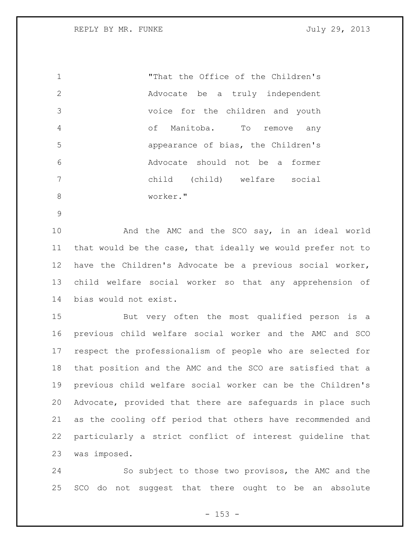REPLY BY MR. FUNKE SALLARY STATES AND TULLY 29, 2013

 "That the Office of the Children's Advocate be a truly independent voice for the children and youth of Manitoba. To remove any appearance of bias, the Children's Advocate should not be a former child (child) welfare social worker."

 And the AMC and the SCO say, in an ideal world that would be the case, that ideally we would prefer not to have the Children's Advocate be a previous social worker, child welfare social worker so that any apprehension of bias would not exist.

 But very often the most qualified person is a previous child welfare social worker and the AMC and SCO respect the professionalism of people who are selected for that position and the AMC and the SCO are satisfied that a previous child welfare social worker can be the Children's Advocate, provided that there are safeguards in place such as the cooling off period that others have recommended and particularly a strict conflict of interest guideline that was imposed.

 So subject to those two provisos, the AMC and the SCO do not suggest that there ought to be an absolute

 $- 153 -$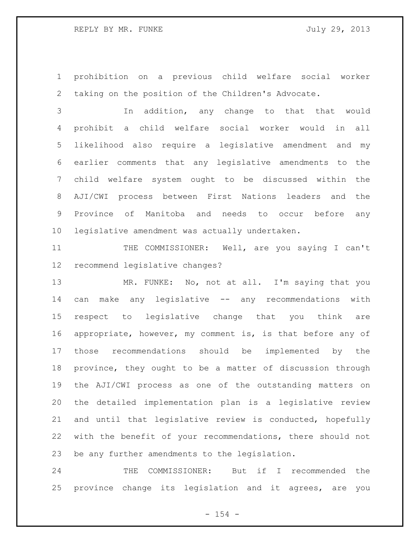prohibition on a previous child welfare social worker taking on the position of the Children's Advocate.

 In addition, any change to that that would prohibit a child welfare social worker would in all likelihood also require a legislative amendment and my earlier comments that any legislative amendments to the child welfare system ought to be discussed within the AJI/CWI process between First Nations leaders and the Province of Manitoba and needs to occur before any legislative amendment was actually undertaken.

11 THE COMMISSIONER: Well, are you saying I can't recommend legislative changes?

 MR. FUNKE: No, not at all. I'm saying that you can make any legislative -- any recommendations with respect to legislative change that you think are appropriate, however, my comment is, is that before any of those recommendations should be implemented by the province, they ought to be a matter of discussion through the AJI/CWI process as one of the outstanding matters on the detailed implementation plan is a legislative review and until that legislative review is conducted, hopefully with the benefit of your recommendations, there should not be any further amendments to the legislation.

 THE COMMISSIONER: But if I recommended the province change its legislation and it agrees, are you

 $- 154 -$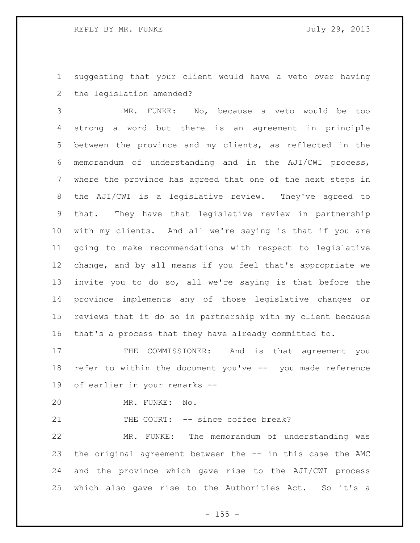suggesting that your client would have a veto over having the legislation amended?

 MR. FUNKE: No, because a veto would be too strong a word but there is an agreement in principle between the province and my clients, as reflected in the memorandum of understanding and in the AJI/CWI process, where the province has agreed that one of the next steps in the AJI/CWI is a legislative review. They've agreed to that. They have that legislative review in partnership with my clients. And all we're saying is that if you are going to make recommendations with respect to legislative change, and by all means if you feel that's appropriate we invite you to do so, all we're saying is that before the province implements any of those legislative changes or reviews that it do so in partnership with my client because that's a process that they have already committed to.

17 THE COMMISSIONER: And is that agreement you refer to within the document you've -- you made reference of earlier in your remarks --

MR. FUNKE: No.

21 THE COURT: -- since coffee break?

 MR. FUNKE: The memorandum of understanding was the original agreement between the -- in this case the AMC and the province which gave rise to the AJI/CWI process which also gave rise to the Authorities Act. So it's a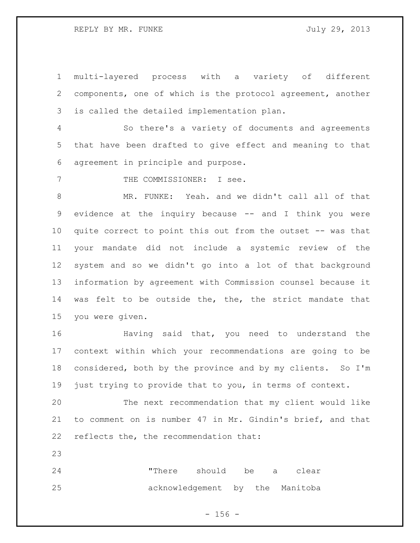multi-layered process with a variety of different components, one of which is the protocol agreement, another is called the detailed implementation plan.

 So there's a variety of documents and agreements that have been drafted to give effect and meaning to that agreement in principle and purpose.

7 THE COMMISSIONER: I see.

 MR. FUNKE: Yeah. and we didn't call all of that evidence at the inquiry because -- and I think you were quite correct to point this out from the outset -- was that your mandate did not include a systemic review of the system and so we didn't go into a lot of that background information by agreement with Commission counsel because it was felt to be outside the, the, the strict mandate that you were given.

 Having said that, you need to understand the context within which your recommendations are going to be considered, both by the province and by my clients. So I'm just trying to provide that to you, in terms of context.

 The next recommendation that my client would like to comment on is number 47 in Mr. Gindin's brief, and that reflects the, the recommendation that:

 "There should be a clear acknowledgement by the Manitoba

 $- 156 -$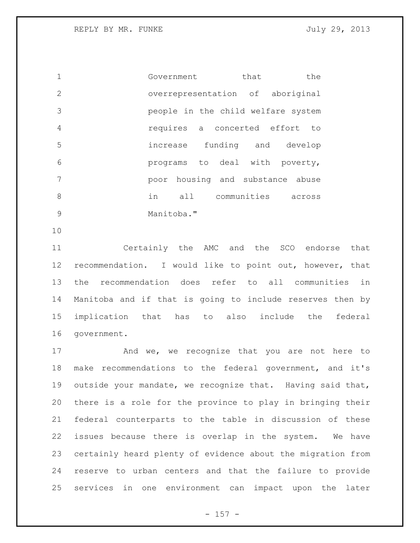1 Government that the overrepresentation of aboriginal people in the child welfare system requires a concerted effort to increase funding and develop programs to deal with poverty, poor housing and substance abuse in all communities across 9 Manitoba."

 Certainly the AMC and the SCO endorse that recommendation. I would like to point out, however, that the recommendation does refer to all communities in Manitoba and if that is going to include reserves then by implication that has to also include the federal government.

17 And we, we recognize that you are not here to make recommendations to the federal government, and it's outside your mandate, we recognize that. Having said that, there is a role for the province to play in bringing their federal counterparts to the table in discussion of these issues because there is overlap in the system. We have certainly heard plenty of evidence about the migration from reserve to urban centers and that the failure to provide services in one environment can impact upon the later

 $- 157 -$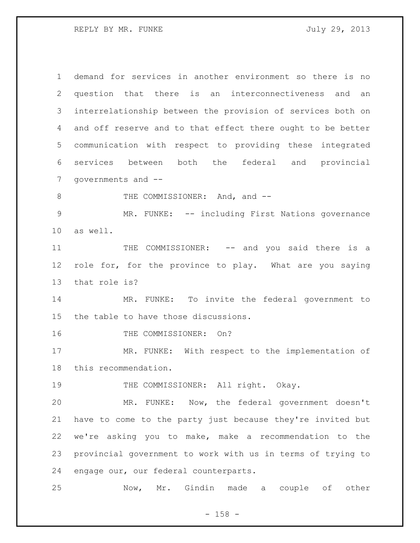REPLY BY MR. FUNKE SALLARY STATES AND TULLY 29, 2013

 demand for services in another environment so there is no question that there is an interconnectiveness and an interrelationship between the provision of services both on and off reserve and to that effect there ought to be better communication with respect to providing these integrated services between both the federal and provincial governments and -- 8 THE COMMISSIONER: And, and -- MR. FUNKE: -- including First Nations governance as well. 11 THE COMMISSIONER: -- and you said there is a role for, for the province to play. What are you saying that role is? MR. FUNKE: To invite the federal government to the table to have those discussions. 16 THE COMMISSIONER: On? MR. FUNKE: With respect to the implementation of this recommendation. 19 THE COMMISSIONER: All right. Okay. MR. FUNKE: Now, the federal government doesn't have to come to the party just because they're invited but we're asking you to make, make a recommendation to the provincial government to work with us in terms of trying to engage our, our federal counterparts. Now, Mr. Gindin made a couple of other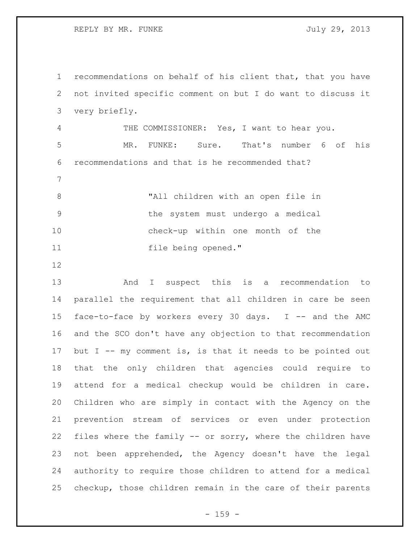REPLY BY MR. FUNKE SALLARY STATES AND TULLY 29, 2013

 recommendations on behalf of his client that, that you have not invited specific comment on but I do want to discuss it very briefly. THE COMMISSIONER: Yes, I want to hear you. MR. FUNKE: Sure. That's number 6 of his recommendations and that is he recommended that? "All children with an open file in the system must undergo a medical check-up within one month of the file being opened." 

 And I suspect this is a recommendation to parallel the requirement that all children in care be seen face-to-face by workers every 30 days. I -- and the AMC and the SCO don't have any objection to that recommendation 17 but I -- my comment is, is that it needs to be pointed out that the only children that agencies could require to attend for a medical checkup would be children in care. Children who are simply in contact with the Agency on the prevention stream of services or even under protection files where the family -- or sorry, where the children have not been apprehended, the Agency doesn't have the legal authority to require those children to attend for a medical checkup, those children remain in the care of their parents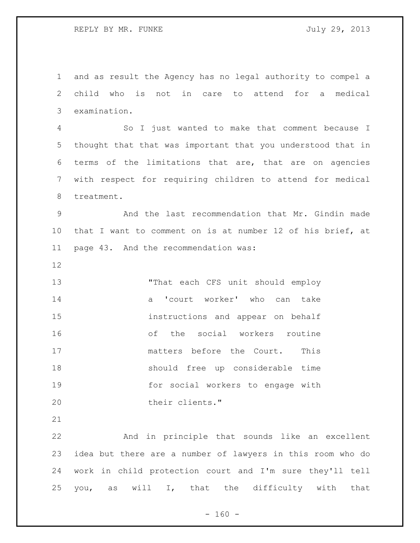and as result the Agency has no legal authority to compel a child who is not in care to attend for a medical examination.

 So I just wanted to make that comment because I thought that that was important that you understood that in terms of the limitations that are, that are on agencies with respect for requiring children to attend for medical treatment.

 And the last recommendation that Mr. Gindin made that I want to comment on is at number 12 of his brief, at page 43. And the recommendation was:

 "That each CFS unit should employ 14 a 'court worker' who can take instructions and appear on behalf of the social workers routine 17 matters before the Court. This should free up considerable time for social workers to engage with their clients."

 And in principle that sounds like an excellent idea but there are a number of lawyers in this room who do work in child protection court and I'm sure they'll tell you, as will I, that the difficulty with that

 $- 160 -$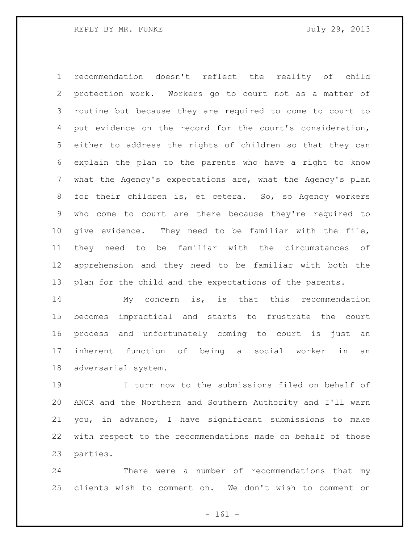recommendation doesn't reflect the reality of child protection work. Workers go to court not as a matter of routine but because they are required to come to court to put evidence on the record for the court's consideration, either to address the rights of children so that they can explain the plan to the parents who have a right to know what the Agency's expectations are, what the Agency's plan for their children is, et cetera. So, so Agency workers who come to court are there because they're required to give evidence. They need to be familiar with the file, they need to be familiar with the circumstances of apprehension and they need to be familiar with both the plan for the child and the expectations of the parents.

 My concern is, is that this recommendation becomes impractical and starts to frustrate the court process and unfortunately coming to court is just an inherent function of being a social worker in an adversarial system.

 I turn now to the submissions filed on behalf of ANCR and the Northern and Southern Authority and I'll warn you, in advance, I have significant submissions to make with respect to the recommendations made on behalf of those parties.

 There were a number of recommendations that my clients wish to comment on. We don't wish to comment on

- 161 -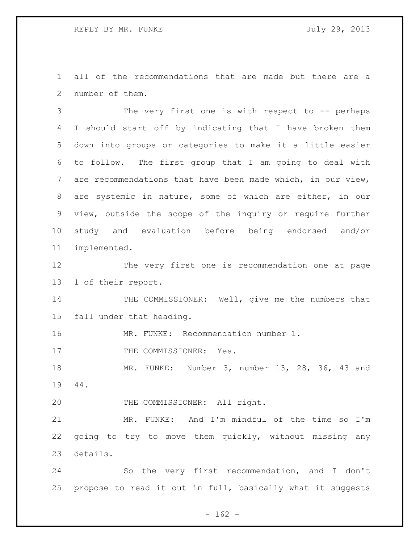all of the recommendations that are made but there are a number of them.

 The very first one is with respect to -- perhaps I should start off by indicating that I have broken them down into groups or categories to make it a little easier to follow. The first group that I am going to deal with are recommendations that have been made which, in our view, are systemic in nature, some of which are either, in our view, outside the scope of the inquiry or require further study and evaluation before being endorsed and/or implemented.

 The very first one is recommendation one at page 1 of their report.

14 THE COMMISSIONER: Well, give me the numbers that fall under that heading.

MR. FUNKE: Recommendation number 1.

17 THE COMMISSIONER: Yes.

 MR. FUNKE: Number 3, number 13, 28, 36, 43 and 44.

20 THE COMMISSIONER: All right.

 MR. FUNKE: And I'm mindful of the time so I'm going to try to move them quickly, without missing any details.

 So the very first recommendation, and I don't propose to read it out in full, basically what it suggests

 $- 162 -$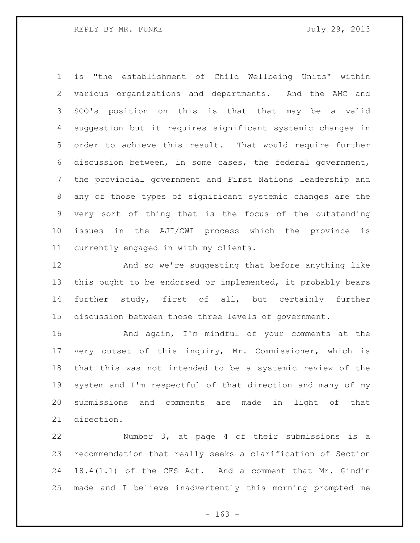is "the establishment of Child Wellbeing Units" within various organizations and departments. And the AMC and SCO's position on this is that that may be a valid suggestion but it requires significant systemic changes in order to achieve this result. That would require further discussion between, in some cases, the federal government, the provincial government and First Nations leadership and any of those types of significant systemic changes are the very sort of thing that is the focus of the outstanding issues in the AJI/CWI process which the province is currently engaged in with my clients.

 And so we're suggesting that before anything like this ought to be endorsed or implemented, it probably bears further study, first of all, but certainly further discussion between those three levels of government.

 And again, I'm mindful of your comments at the very outset of this inquiry, Mr. Commissioner, which is that this was not intended to be a systemic review of the system and I'm respectful of that direction and many of my submissions and comments are made in light of that direction.

 Number 3, at page 4 of their submissions is a recommendation that really seeks a clarification of Section 18.4(1.1) of the CFS Act. And a comment that Mr. Gindin made and I believe inadvertently this morning prompted me

 $- 163 -$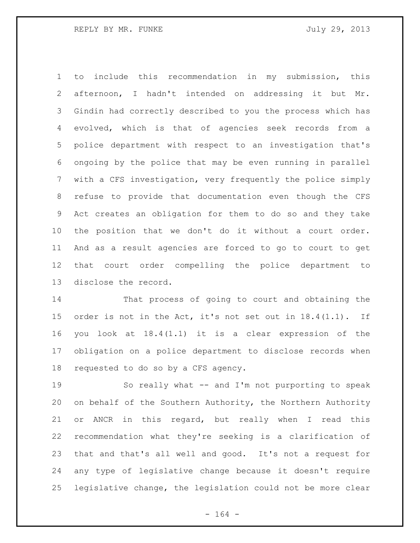to include this recommendation in my submission, this afternoon, I hadn't intended on addressing it but Mr. Gindin had correctly described to you the process which has evolved, which is that of agencies seek records from a police department with respect to an investigation that's ongoing by the police that may be even running in parallel with a CFS investigation, very frequently the police simply refuse to provide that documentation even though the CFS Act creates an obligation for them to do so and they take the position that we don't do it without a court order. And as a result agencies are forced to go to court to get that court order compelling the police department to disclose the record.

 That process of going to court and obtaining the order is not in the Act, it's not set out in 18.4(1.1). If you look at 18.4(1.1) it is a clear expression of the obligation on a police department to disclose records when requested to do so by a CFS agency.

 So really what -- and I'm not purporting to speak on behalf of the Southern Authority, the Northern Authority or ANCR in this regard, but really when I read this recommendation what they're seeking is a clarification of that and that's all well and good. It's not a request for any type of legislative change because it doesn't require legislative change, the legislation could not be more clear

- 164 -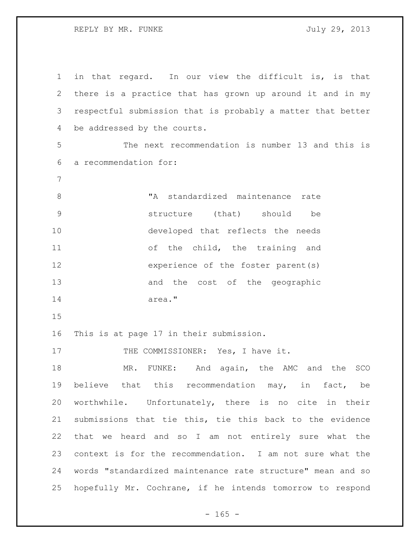REPLY BY MR. FUNKE SALLY 29, 2013

 in that regard. In our view the difficult is, is that there is a practice that has grown up around it and in my respectful submission that is probably a matter that better be addressed by the courts. The next recommendation is number 13 and this is a recommendation for: "A standardized maintenance rate structure (that) should be developed that reflects the needs of the child, the training and experience of the foster parent(s) and the cost of the geographic area." This is at page 17 in their submission. 17 THE COMMISSIONER: Yes, I have it. 18 MR. FUNKE: And again, the AMC and the SCO believe that this recommendation may, in fact, be worthwhile. Unfortunately, there is no cite in their submissions that tie this, tie this back to the evidence that we heard and so I am not entirely sure what the context is for the recommendation. I am not sure what the words "standardized maintenance rate structure" mean and so hopefully Mr. Cochrane, if he intends tomorrow to respond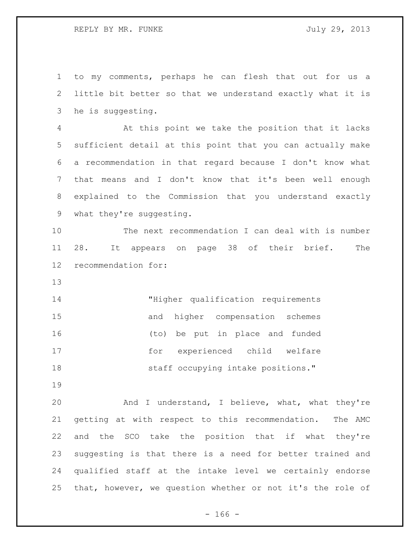to my comments, perhaps he can flesh that out for us a little bit better so that we understand exactly what it is he is suggesting. At this point we take the position that it lacks sufficient detail at this point that you can actually make a recommendation in that regard because I don't know what that means and I don't know that it's been well enough explained to the Commission that you understand exactly what they're suggesting. The next recommendation I can deal with is number 28. It appears on page 38 of their brief. The recommendation for: "Higher qualification requirements and higher compensation schemes (to) be put in place and funded for experienced child welfare **Staff occupying intake positions.**" And I understand, I believe, what, what they're getting at with respect to this recommendation. The AMC and the SCO take the position that if what they're

 qualified staff at the intake level we certainly endorse that, however, we question whether or not it's the role of

suggesting is that there is a need for better trained and

- 166 -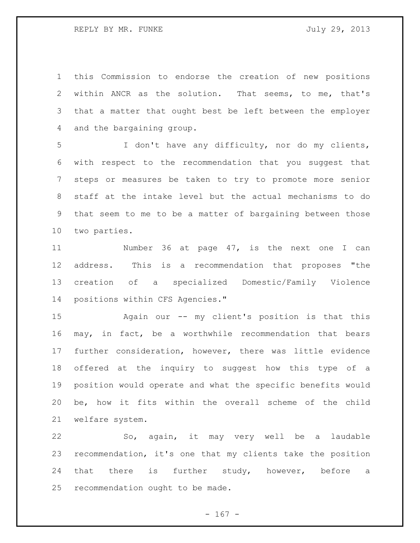REPLY BY MR. FUNKE SALLARY STATES AND TULLY 29, 2013

 this Commission to endorse the creation of new positions within ANCR as the solution. That seems, to me, that's that a matter that ought best be left between the employer and the bargaining group.

 I don't have any difficulty, nor do my clients, with respect to the recommendation that you suggest that steps or measures be taken to try to promote more senior staff at the intake level but the actual mechanisms to do that seem to me to be a matter of bargaining between those two parties.

11 Number 36 at page 47, is the next one I can address. This is a recommendation that proposes "the creation of a specialized Domestic/Family Violence positions within CFS Agencies."

 Again our -- my client's position is that this may, in fact, be a worthwhile recommendation that bears further consideration, however, there was little evidence offered at the inquiry to suggest how this type of a position would operate and what the specific benefits would be, how it fits within the overall scheme of the child welfare system.

 So, again, it may very well be a laudable recommendation, it's one that my clients take the position 24 that there is further study, however, before a recommendation ought to be made.

 $- 167 -$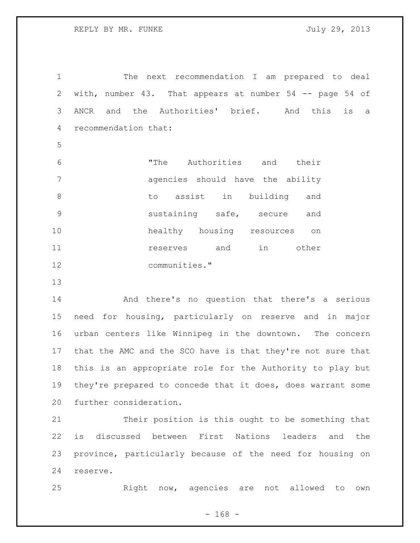The next recommendation I am prepared to deal with, number 43. That appears at number 54 -- page 54 of ANCR and the Authorities' brief. And this is a recommendation that:

 "The Authorities and their agencies should have the ability to assist in building and sustaining safe, secure and healthy housing resources on **11 reserves** and in other communities."

 And there's no question that there's a serious need for housing, particularly on reserve and in major urban centers like Winnipeg in the downtown. The concern that the AMC and the SCO have is that they're not sure that this is an appropriate role for the Authority to play but they're prepared to concede that it does, does warrant some further consideration.

 Their position is this ought to be something that is discussed between First Nations leaders and the province, particularly because of the need for housing on reserve.

Right now, agencies are not allowed to own

- 168 -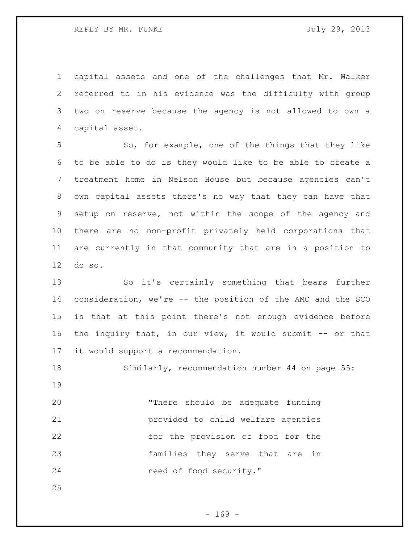capital assets and one of the challenges that Mr. Walker referred to in his evidence was the difficulty with group two on reserve because the agency is not allowed to own a capital asset.

 So, for example, one of the things that they like to be able to do is they would like to be able to create a treatment home in Nelson House but because agencies can't own capital assets there's no way that they can have that setup on reserve, not within the scope of the agency and there are no non-profit privately held corporations that are currently in that community that are in a position to do so.

 So it's certainly something that bears further consideration, we're -- the position of the AMC and the SCO is that at this point there's not enough evidence before the inquiry that, in our view, it would submit -- or that it would support a recommendation.

 Similarly, recommendation number 44 on page 55: 

 "There should be adequate funding provided to child welfare agencies for the provision of food for the families they serve that are in 24 need of food security."

 $- 169 -$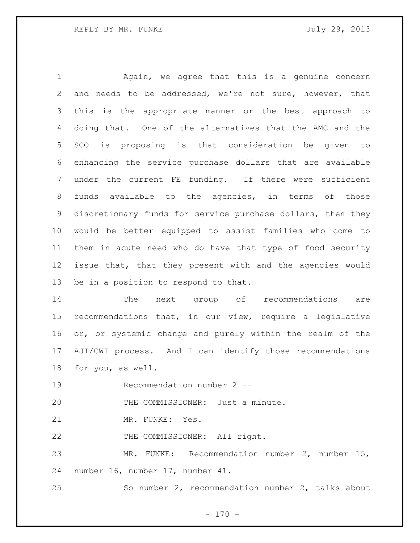Again, we agree that this is a genuine concern and needs to be addressed, we're not sure, however, that this is the appropriate manner or the best approach to doing that. One of the alternatives that the AMC and the SCO is proposing is that consideration be given to enhancing the service purchase dollars that are available under the current FE funding. If there were sufficient funds available to the agencies, in terms of those discretionary funds for service purchase dollars, then they would be better equipped to assist families who come to them in acute need who do have that type of food security issue that, that they present with and the agencies would be in a position to respond to that.

 The next group of recommendations are recommendations that, in our view, require a legislative or, or systemic change and purely within the realm of the AJI/CWI process. And I can identify those recommendations for you, as well.

Recommendation number 2 --

20 THE COMMISSIONER: Just a minute.

21 MR. FUNKE: Yes.

22 THE COMMISSIONER: All right.

 MR. FUNKE: Recommendation number 2, number 15, number 16, number 17, number 41.

So number 2, recommendation number 2, talks about

 $- 170 -$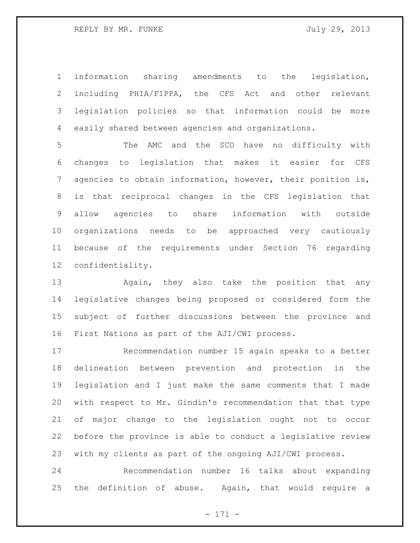information sharing amendments to the legislation, including PHIA/FIPPA, the CFS Act and other relevant legislation policies so that information could be more easily shared between agencies and organizations.

 The AMC and the SCO have no difficulty with changes to legislation that makes it easier for CFS agencies to obtain information, however, their position is, is that reciprocal changes in the CFS legislation that allow agencies to share information with outside organizations needs to be approached very cautiously because of the requirements under Section 76 regarding confidentiality.

 Again, they also take the position that any legislative changes being proposed or considered form the subject of further discussions between the province and First Nations as part of the AJI/CWI process.

 Recommendation number 15 again speaks to a better delineation between prevention and protection in the legislation and I just make the same comments that I made with respect to Mr. Gindin's recommendation that that type of major change to the legislation ought not to occur before the province is able to conduct a legislative review with my clients as part of the ongoing AJI/CWI process.

 Recommendation number 16 talks about expanding the definition of abuse. Again, that would require a

- 171 -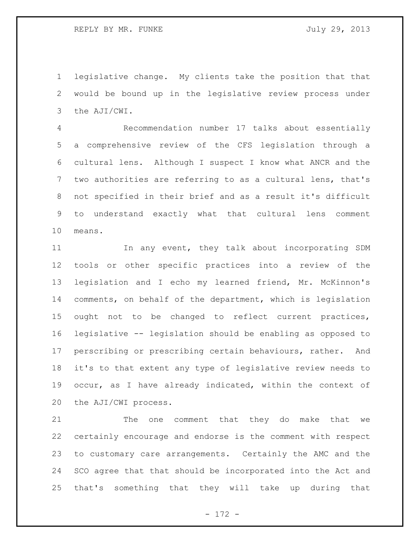REPLY BY MR. FUNKE SALLY 29, 2013

 legislative change. My clients take the position that that would be bound up in the legislative review process under the AJI/CWI.

 Recommendation number 17 talks about essentially a comprehensive review of the CFS legislation through a cultural lens. Although I suspect I know what ANCR and the two authorities are referring to as a cultural lens, that's not specified in their brief and as a result it's difficult to understand exactly what that cultural lens comment means.

11 In any event, they talk about incorporating SDM tools or other specific practices into a review of the legislation and I echo my learned friend, Mr. McKinnon's comments, on behalf of the department, which is legislation ought not to be changed to reflect current practices, legislative -- legislation should be enabling as opposed to perscribing or prescribing certain behaviours, rather. And it's to that extent any type of legislative review needs to occur, as I have already indicated, within the context of the AJI/CWI process.

21 The one comment that they do make that we certainly encourage and endorse is the comment with respect to customary care arrangements. Certainly the AMC and the SCO agree that that should be incorporated into the Act and that's something that they will take up during that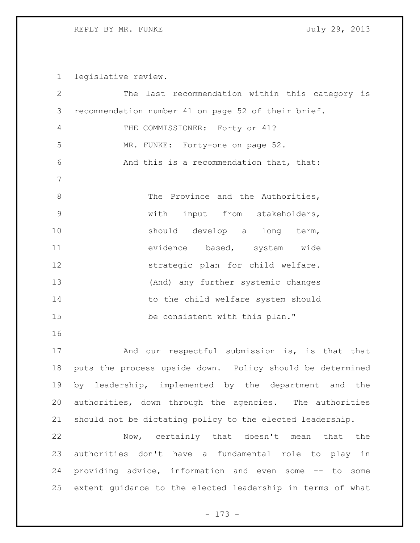legislative review.

| $\overline{2}$ | The last recommendation within this category is            |
|----------------|------------------------------------------------------------|
| 3              | recommendation number 41 on page 52 of their brief.        |
| 4              | THE COMMISSIONER: Forty or 41?                             |
| 5              | MR. FUNKE: Forty-one on page 52.                           |
| 6              | And this is a recommendation that, that:                   |
| 7              |                                                            |
| $8\,$          | The Province and the Authorities,                          |
| $\mathsf 9$    | with<br>input from stakeholders,                           |
| 10             | should develop a long term,                                |
| 11             | evidence based, system wide                                |
| 12             | strategic plan for child welfare.                          |
| 13             | (And) any further systemic changes                         |
| 14             | to the child welfare system should                         |
| 15             | be consistent with this plan."                             |
| 16             |                                                            |
| 17             | And our respectful submission is, is that that             |
| 18             | puts the process upside down. Policy should be determined  |
| 19             | by leadership, implemented by the department and the       |
| 20             | authorities, down through the agencies. The authorities    |
| 21             | should not be dictating policy to the elected leadership.  |
| 22             | Now, certainly that doesn't mean that<br>the               |
| 23             | authorities don't have a fundamental role to play in       |
| 24             | providing advice, information and even some -- to some     |
| 25             | extent guidance to the elected leadership in terms of what |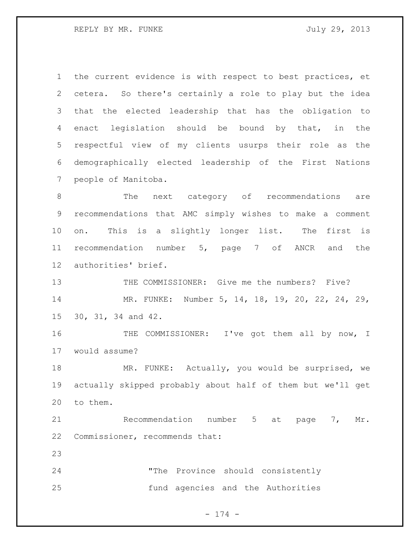REPLY BY MR. FUNKE SALLY 29, 2013

 the current evidence is with respect to best practices, et cetera. So there's certainly a role to play but the idea that the elected leadership that has the obligation to enact legislation should be bound by that, in the respectful view of my clients usurps their role as the demographically elected leadership of the First Nations people of Manitoba.

 The next category of recommendations are recommendations that AMC simply wishes to make a comment on. This is a slightly longer list. The first is recommendation number 5, page 7 of ANCR and the authorities' brief.

 THE COMMISSIONER: Give me the numbers? Five? MR. FUNKE: Number 5, 14, 18, 19, 20, 22, 24, 29, 30, 31, 34 and 42.

 THE COMMISSIONER: I've got them all by now, I would assume?

18 MR. FUNKE: Actually, you would be surprised, we actually skipped probably about half of them but we'll get to them.

21 Recommendation number 5 at page 7, Mr. Commissioner, recommends that:

 "The Province should consistently fund agencies and the Authorities

- 174 -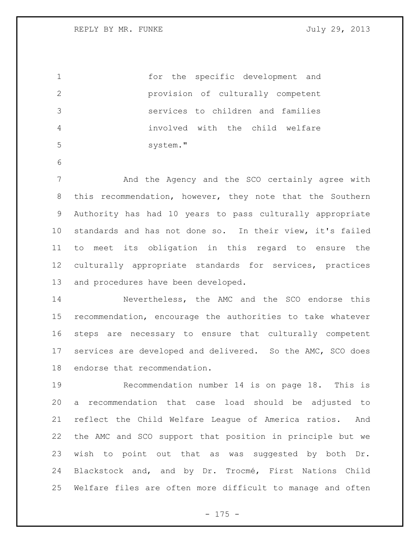| $\mathbf 1$     | the specific development and<br>for                        |
|-----------------|------------------------------------------------------------|
| $\overline{2}$  | provision of culturally competent                          |
| 3               | services to children and families                          |
| 4               | involved with the child welfare                            |
| 5               | system."                                                   |
| 6               |                                                            |
| 7               | And the Agency and the SCO certainly agree with            |
| 8               | this recommendation, however, they note that the Southern  |
| 9               | Authority has had 10 years to pass culturally appropriate  |
| 10 <sub>o</sub> | standards and has not done so. In their view, it's failed  |
| 11              | meet its obligation in this regard to ensure the<br>to     |
| 12              | culturally appropriate standards for services, practices   |
| 13              | and procedures have been developed.                        |
| 14              | Nevertheless, the AMC and the SCO endorse this             |
| 15              | recommendation, encourage the authorities to take whatever |
| 16              | steps are necessary to ensure that culturally competent    |
| 17              | services are developed and delivered. So the AMC, SCO does |
| 18              | endorse that recommendation.                               |
| 19              | Recommendation number 14 is on page 18. This is            |

 a recommendation that case load should be adjusted to reflect the Child Welfare League of America ratios. And the AMC and SCO support that position in principle but we wish to point out that as was suggested by both Dr. Blackstock and, and by Dr. Trocmé, First Nations Child Welfare files are often more difficult to manage and often

- 175 -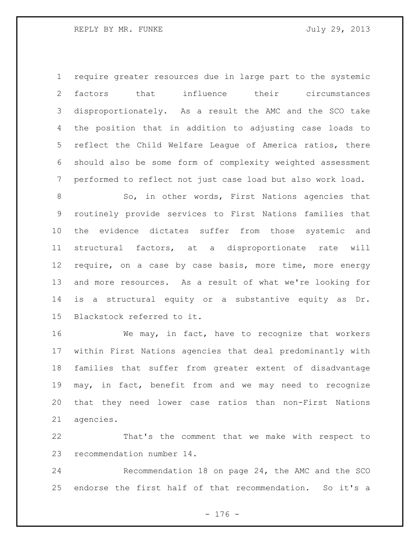require greater resources due in large part to the systemic factors that influence their circumstances disproportionately. As a result the AMC and the SCO take the position that in addition to adjusting case loads to reflect the Child Welfare League of America ratios, there should also be some form of complexity weighted assessment performed to reflect not just case load but also work load.

8 So, in other words, First Nations agencies that routinely provide services to First Nations families that the evidence dictates suffer from those systemic and structural factors, at a disproportionate rate will require, on a case by case basis, more time, more energy and more resources. As a result of what we're looking for is a structural equity or a substantive equity as Dr. Blackstock referred to it.

 We may, in fact, have to recognize that workers within First Nations agencies that deal predominantly with families that suffer from greater extent of disadvantage may, in fact, benefit from and we may need to recognize that they need lower case ratios than non-First Nations agencies.

 That's the comment that we make with respect to recommendation number 14.

 Recommendation 18 on page 24, the AMC and the SCO endorse the first half of that recommendation. So it's a

- 176 -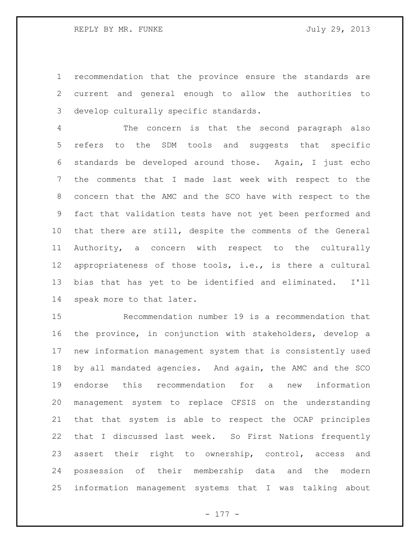recommendation that the province ensure the standards are current and general enough to allow the authorities to develop culturally specific standards.

 The concern is that the second paragraph also refers to the SDM tools and suggests that specific standards be developed around those. Again, I just echo the comments that I made last week with respect to the concern that the AMC and the SCO have with respect to the fact that validation tests have not yet been performed and that there are still, despite the comments of the General Authority, a concern with respect to the culturally appropriateness of those tools, i.e., is there a cultural bias that has yet to be identified and eliminated. I'll speak more to that later.

 Recommendation number 19 is a recommendation that the province, in conjunction with stakeholders, develop a new information management system that is consistently used by all mandated agencies. And again, the AMC and the SCO endorse this recommendation for a new information management system to replace CFSIS on the understanding that that system is able to respect the OCAP principles that I discussed last week. So First Nations frequently assert their right to ownership, control, access and possession of their membership data and the modern information management systems that I was talking about

- 177 -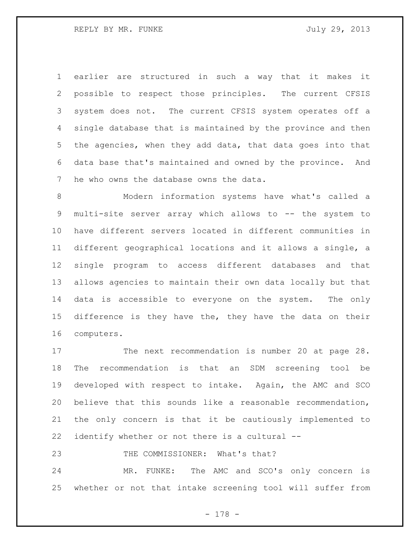earlier are structured in such a way that it makes it possible to respect those principles. The current CFSIS system does not. The current CFSIS system operates off a single database that is maintained by the province and then the agencies, when they add data, that data goes into that data base that's maintained and owned by the province. And he who owns the database owns the data.

 Modern information systems have what's called a multi-site server array which allows to -- the system to have different servers located in different communities in different geographical locations and it allows a single, a single program to access different databases and that allows agencies to maintain their own data locally but that data is accessible to everyone on the system. The only difference is they have the, they have the data on their computers.

17 The next recommendation is number 20 at page 28. The recommendation is that an SDM screening tool be developed with respect to intake. Again, the AMC and SCO believe that this sounds like a reasonable recommendation, the only concern is that it be cautiously implemented to identify whether or not there is a cultural --

23 THE COMMISSIONER: What's that?

 MR. FUNKE: The AMC and SCO's only concern is whether or not that intake screening tool will suffer from

- 178 -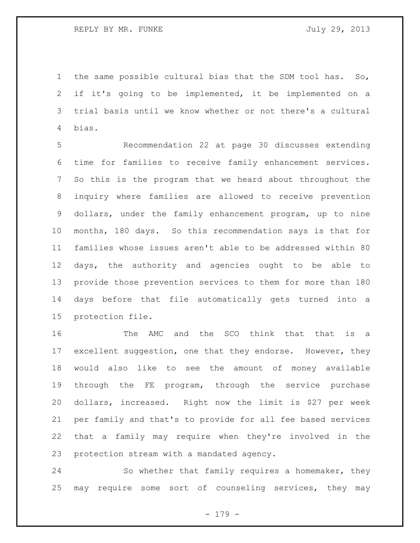the same possible cultural bias that the SDM tool has. So, if it's going to be implemented, it be implemented on a trial basis until we know whether or not there's a cultural bias.

 Recommendation 22 at page 30 discusses extending time for families to receive family enhancement services. So this is the program that we heard about throughout the inquiry where families are allowed to receive prevention dollars, under the family enhancement program, up to nine months, 180 days. So this recommendation says is that for families whose issues aren't able to be addressed within 80 days, the authority and agencies ought to be able to provide those prevention services to them for more than 180 days before that file automatically gets turned into a protection file.

 The AMC and the SCO think that that is a 17 excellent suggestion, one that they endorse. However, they would also like to see the amount of money available through the FE program, through the service purchase dollars, increased. Right now the limit is \$27 per week per family and that's to provide for all fee based services that a family may require when they're involved in the protection stream with a mandated agency.

 So whether that family requires a homemaker, they may require some sort of counseling services, they may

- 179 -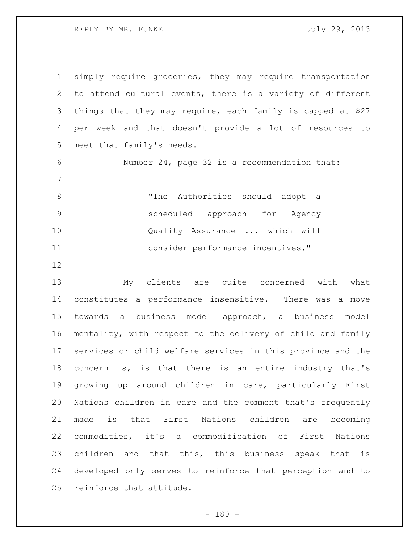simply require groceries, they may require transportation to attend cultural events, there is a variety of different things that they may require, each family is capped at \$27 per week and that doesn't provide a lot of resources to meet that family's needs. Number 24, page 32 is a recommendation that: "The Authorities should adopt a scheduled approach for Agency Quality Assurance ... which will consider performance incentives." My clients are quite concerned with what constitutes a performance insensitive. There was a move

 towards a business model approach, a business model mentality, with respect to the delivery of child and family services or child welfare services in this province and the concern is, is that there is an entire industry that's growing up around children in care, particularly First Nations children in care and the comment that's frequently made is that First Nations children are becoming commodities, it's a commodification of First Nations children and that this, this business speak that is developed only serves to reinforce that perception and to reinforce that attitude.

 $- 180 -$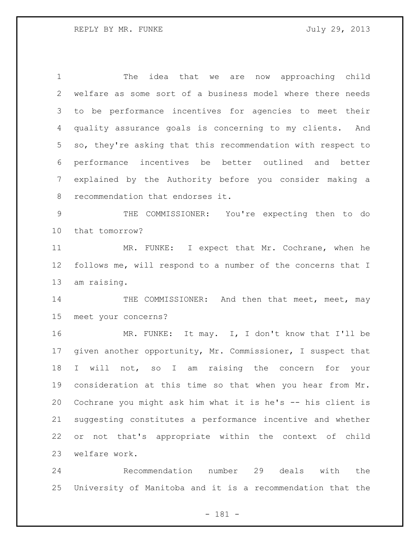The idea that we are now approaching child welfare as some sort of a business model where there needs to be performance incentives for agencies to meet their quality assurance goals is concerning to my clients. And so, they're asking that this recommendation with respect to performance incentives be better outlined and better explained by the Authority before you consider making a recommendation that endorses it.

 THE COMMISSIONER: You're expecting then to do that tomorrow?

 MR. FUNKE: I expect that Mr. Cochrane, when he follows me, will respond to a number of the concerns that I am raising.

14 THE COMMISSIONER: And then that meet, meet, may meet your concerns?

16 MR. FUNKE: It may. I, I don't know that I'll be given another opportunity, Mr. Commissioner, I suspect that I will not, so I am raising the concern for your consideration at this time so that when you hear from Mr. Cochrane you might ask him what it is he's -- his client is suggesting constitutes a performance incentive and whether or not that's appropriate within the context of child welfare work.

 Recommendation number 29 deals with the University of Manitoba and it is a recommendation that the

- 181 -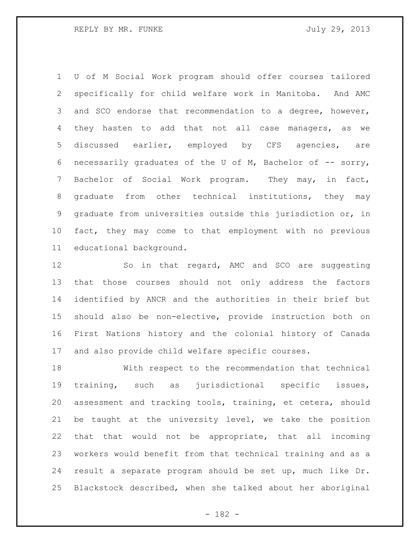U of M Social Work program should offer courses tailored specifically for child welfare work in Manitoba. And AMC and SCO endorse that recommendation to a degree, however, they hasten to add that not all case managers, as we discussed earlier, employed by CFS agencies, are necessarily graduates of the U of M, Bachelor of -- sorry, Bachelor of Social Work program. They may, in fact, graduate from other technical institutions, they may graduate from universities outside this jurisdiction or, in fact, they may come to that employment with no previous educational background.

12 So in that regard, AMC and SCO are suggesting that those courses should not only address the factors identified by ANCR and the authorities in their brief but should also be non-elective, provide instruction both on First Nations history and the colonial history of Canada and also provide child welfare specific courses.

 With respect to the recommendation that technical training, such as jurisdictional specific issues, assessment and tracking tools, training, et cetera, should be taught at the university level, we take the position that that would not be appropriate, that all incoming workers would benefit from that technical training and as a result a separate program should be set up, much like Dr. Blackstock described, when she talked about her aboriginal

- 182 -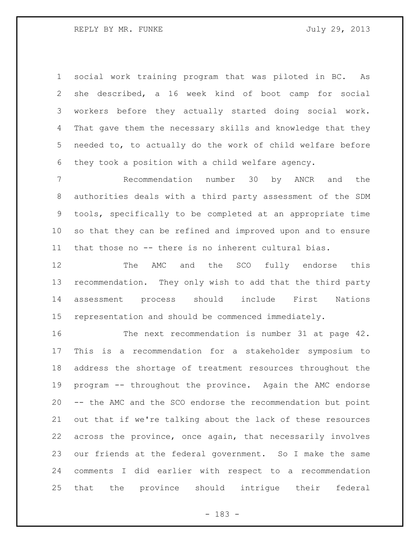social work training program that was piloted in BC. As she described, a 16 week kind of boot camp for social workers before they actually started doing social work. That gave them the necessary skills and knowledge that they needed to, to actually do the work of child welfare before they took a position with a child welfare agency.

 Recommendation number 30 by ANCR and the authorities deals with a third party assessment of the SDM tools, specifically to be completed at an appropriate time so that they can be refined and improved upon and to ensure that those no -- there is no inherent cultural bias.

 The AMC and the SCO fully endorse this recommendation. They only wish to add that the third party assessment process should include First Nations representation and should be commenced immediately.

 The next recommendation is number 31 at page 42. This is a recommendation for a stakeholder symposium to address the shortage of treatment resources throughout the program -- throughout the province. Again the AMC endorse -- the AMC and the SCO endorse the recommendation but point out that if we're talking about the lack of these resources across the province, once again, that necessarily involves our friends at the federal government. So I make the same comments I did earlier with respect to a recommendation that the province should intrigue their federal

- 183 -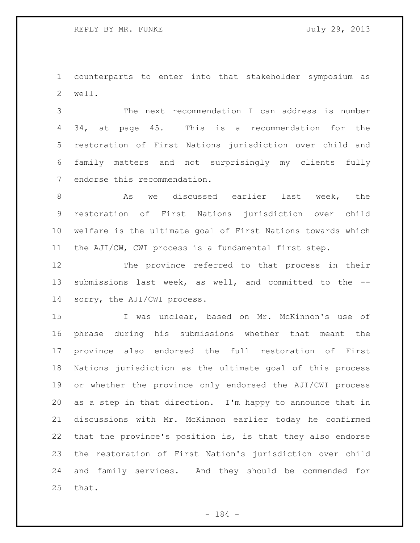counterparts to enter into that stakeholder symposium as well.

 The next recommendation I can address is number 34, at page 45. This is a recommendation for the restoration of First Nations jurisdiction over child and family matters and not surprisingly my clients fully endorse this recommendation.

8 as we discussed earlier last week, the restoration of First Nations jurisdiction over child welfare is the ultimate goal of First Nations towards which the AJI/CW, CWI process is a fundamental first step.

 The province referred to that process in their submissions last week, as well, and committed to the -- sorry, the AJI/CWI process.

 I was unclear, based on Mr. McKinnon's use of phrase during his submissions whether that meant the province also endorsed the full restoration of First Nations jurisdiction as the ultimate goal of this process or whether the province only endorsed the AJI/CWI process as a step in that direction. I'm happy to announce that in discussions with Mr. McKinnon earlier today he confirmed that the province's position is, is that they also endorse the restoration of First Nation's jurisdiction over child and family services. And they should be commended for that.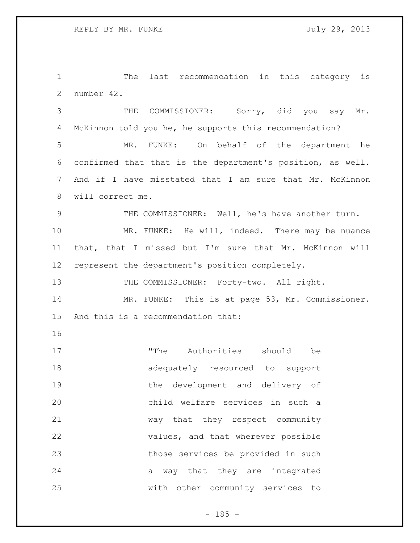The last recommendation in this category is number 42.

 THE COMMISSIONER: Sorry, did you say Mr. McKinnon told you he, he supports this recommendation? MR. FUNKE: On behalf of the department he confirmed that that is the department's position, as well. And if I have misstated that I am sure that Mr. McKinnon will correct me. 9 THE COMMISSIONER: Well, he's have another turn. MR. FUNKE: He will, indeed. There may be nuance that, that I missed but I'm sure that Mr. McKinnon will represent the department's position completely. 13 THE COMMISSIONER: Forty-two. All right. MR. FUNKE: This is at page 53, Mr. Commissioner. And this is a recommendation that: 17 The Authorities should be adequately resourced to support the development and delivery of child welfare services in such a

 way that they respect community values, and that wherever possible those services be provided in such 24 a way that they are integrated with other community services to

 $- 185 -$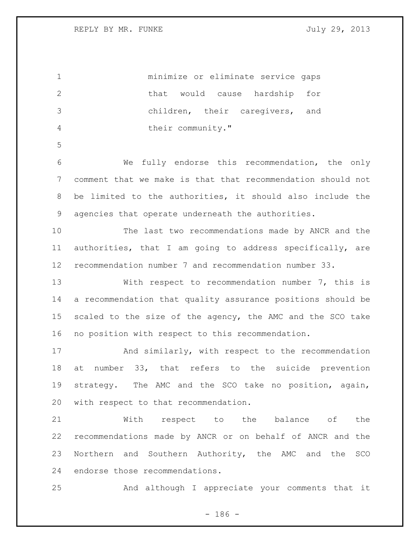minimize or eliminate service gaps 2 that would cause hardship for children, their caregivers, and 4 their community." We fully endorse this recommendation, the only comment that we make is that that recommendation should not be limited to the authorities, it should also include the agencies that operate underneath the authorities. The last two recommendations made by ANCR and the authorities, that I am going to address specifically, are recommendation number 7 and recommendation number 33. With respect to recommendation number 7, this is a recommendation that quality assurance positions should be 15 scaled to the size of the agency, the AMC and the SCO take no position with respect to this recommendation. And similarly, with respect to the recommendation at number 33, that refers to the suicide prevention strategy. The AMC and the SCO take no position, again, with respect to that recommendation. With respect to the balance of the recommendations made by ANCR or on behalf of ANCR and the Northern and Southern Authority, the AMC and the SCO endorse those recommendations. And although I appreciate your comments that it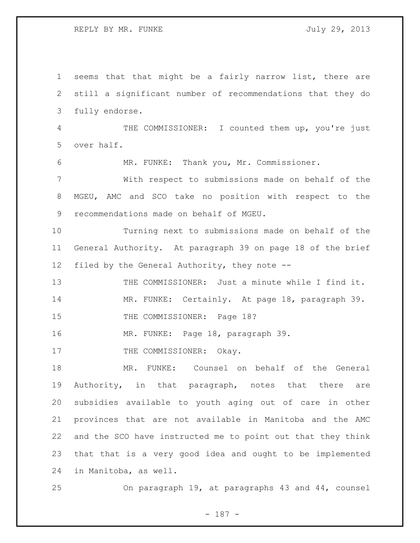seems that that might be a fairly narrow list, there are still a significant number of recommendations that they do fully endorse. THE COMMISSIONER: I counted them up, you're just over half. MR. FUNKE: Thank you, Mr. Commissioner. With respect to submissions made on behalf of the MGEU, AMC and SCO take no position with respect to the recommendations made on behalf of MGEU. Turning next to submissions made on behalf of the General Authority. At paragraph 39 on page 18 of the brief filed by the General Authority, they note -- THE COMMISSIONER: Just a minute while I find it. MR. FUNKE: Certainly. At page 18, paragraph 39. 15 THE COMMISSIONER: Page 18? MR. FUNKE: Page 18, paragraph 39. 17 THE COMMISSIONER: Okay. MR. FUNKE: Counsel on behalf of the General Authority, in that paragraph, notes that there are subsidies available to youth aging out of care in other provinces that are not available in Manitoba and the AMC and the SCO have instructed me to point out that they think that that is a very good idea and ought to be implemented in Manitoba, as well. On paragraph 19, at paragraphs 43 and 44, counsel

- 187 -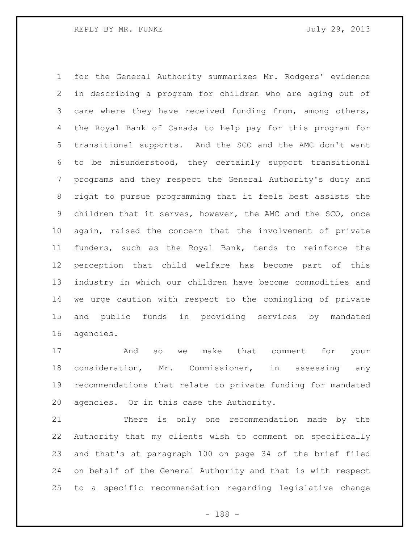for the General Authority summarizes Mr. Rodgers' evidence in describing a program for children who are aging out of care where they have received funding from, among others, the Royal Bank of Canada to help pay for this program for transitional supports. And the SCO and the AMC don't want to be misunderstood, they certainly support transitional programs and they respect the General Authority's duty and right to pursue programming that it feels best assists the children that it serves, however, the AMC and the SCO, once again, raised the concern that the involvement of private funders, such as the Royal Bank, tends to reinforce the perception that child welfare has become part of this industry in which our children have become commodities and we urge caution with respect to the comingling of private and public funds in providing services by mandated agencies.

 And so we make that comment for your consideration, Mr. Commissioner, in assessing any recommendations that relate to private funding for mandated agencies. Or in this case the Authority.

 There is only one recommendation made by the Authority that my clients wish to comment on specifically and that's at paragraph 100 on page 34 of the brief filed on behalf of the General Authority and that is with respect to a specific recommendation regarding legislative change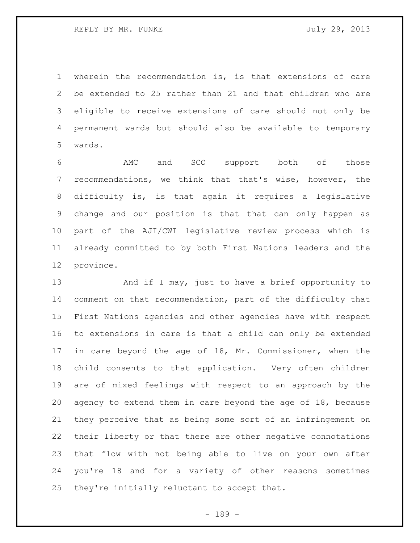wherein the recommendation is, is that extensions of care be extended to 25 rather than 21 and that children who are eligible to receive extensions of care should not only be permanent wards but should also be available to temporary wards.

 AMC and SCO support both of those recommendations, we think that that's wise, however, the difficulty is, is that again it requires a legislative change and our position is that that can only happen as part of the AJI/CWI legislative review process which is already committed to by both First Nations leaders and the province.

13 And if I may, just to have a brief opportunity to comment on that recommendation, part of the difficulty that First Nations agencies and other agencies have with respect to extensions in care is that a child can only be extended in care beyond the age of 18, Mr. Commissioner, when the child consents to that application. Very often children are of mixed feelings with respect to an approach by the agency to extend them in care beyond the age of 18, because they perceive that as being some sort of an infringement on their liberty or that there are other negative connotations that flow with not being able to live on your own after you're 18 and for a variety of other reasons sometimes they're initially reluctant to accept that.

- 189 -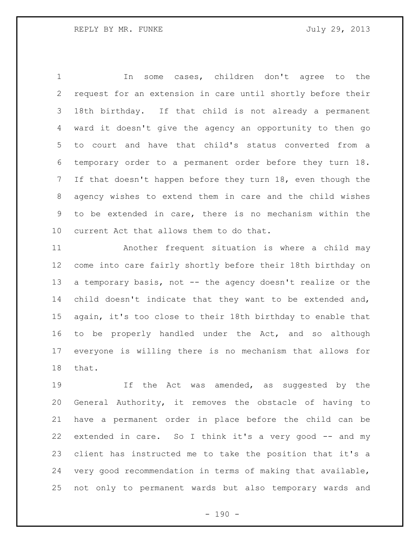In some cases, children don't agree to the request for an extension in care until shortly before their 18th birthday. If that child is not already a permanent ward it doesn't give the agency an opportunity to then go to court and have that child's status converted from a temporary order to a permanent order before they turn 18. If that doesn't happen before they turn 18, even though the agency wishes to extend them in care and the child wishes to be extended in care, there is no mechanism within the current Act that allows them to do that.

 Another frequent situation is where a child may come into care fairly shortly before their 18th birthday on 13 a temporary basis, not -- the agency doesn't realize or the child doesn't indicate that they want to be extended and, again, it's too close to their 18th birthday to enable that to be properly handled under the Act, and so although everyone is willing there is no mechanism that allows for that.

 If the Act was amended, as suggested by the General Authority, it removes the obstacle of having to have a permanent order in place before the child can be extended in care. So I think it's a very good -- and my client has instructed me to take the position that it's a very good recommendation in terms of making that available, not only to permanent wards but also temporary wards and

 $- 190 -$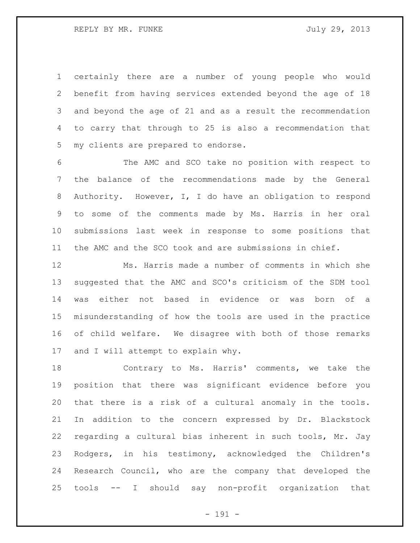REPLY BY MR. FUNKE SALLY 29, 2013

 certainly there are a number of young people who would benefit from having services extended beyond the age of 18 and beyond the age of 21 and as a result the recommendation to carry that through to 25 is also a recommendation that my clients are prepared to endorse.

 The AMC and SCO take no position with respect to the balance of the recommendations made by the General Authority. However, I, I do have an obligation to respond to some of the comments made by Ms. Harris in her oral submissions last week in response to some positions that the AMC and the SCO took and are submissions in chief.

 Ms. Harris made a number of comments in which she suggested that the AMC and SCO's criticism of the SDM tool was either not based in evidence or was born of a misunderstanding of how the tools are used in the practice of child welfare. We disagree with both of those remarks and I will attempt to explain why.

 Contrary to Ms. Harris' comments, we take the position that there was significant evidence before you that there is a risk of a cultural anomaly in the tools. In addition to the concern expressed by Dr. Blackstock regarding a cultural bias inherent in such tools, Mr. Jay Rodgers, in his testimony, acknowledged the Children's Research Council, who are the company that developed the tools -- I should say non-profit organization that

- 191 -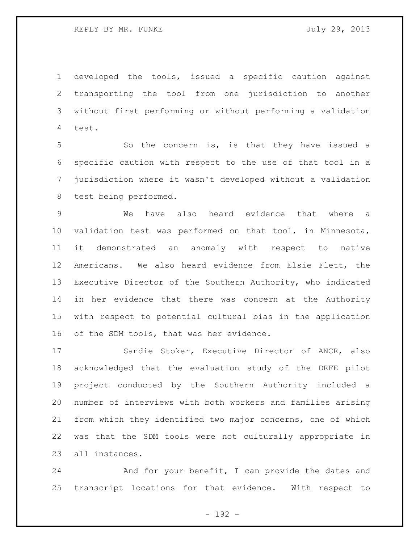developed the tools, issued a specific caution against transporting the tool from one jurisdiction to another without first performing or without performing a validation test.

 So the concern is, is that they have issued a specific caution with respect to the use of that tool in a jurisdiction where it wasn't developed without a validation test being performed.

 We have also heard evidence that where a validation test was performed on that tool, in Minnesota, it demonstrated an anomaly with respect to native Americans. We also heard evidence from Elsie Flett, the Executive Director of the Southern Authority, who indicated in her evidence that there was concern at the Authority with respect to potential cultural bias in the application 16 of the SDM tools, that was her evidence.

 Sandie Stoker, Executive Director of ANCR, also acknowledged that the evaluation study of the DRFE pilot project conducted by the Southern Authority included a number of interviews with both workers and families arising from which they identified two major concerns, one of which was that the SDM tools were not culturally appropriate in all instances.

 And for your benefit, I can provide the dates and transcript locations for that evidence. With respect to

- 192 -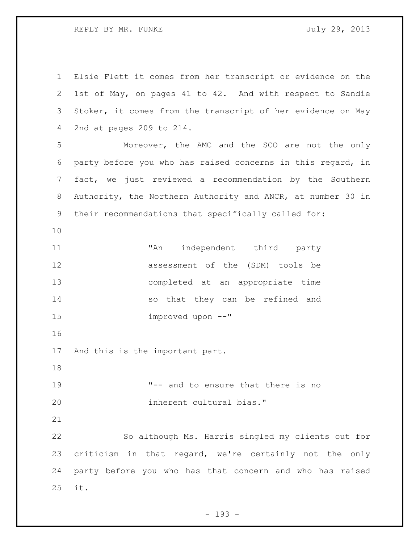REPLY BY MR. FUNKE SALLY 29, 2013

 Elsie Flett it comes from her transcript or evidence on the 1st of May, on pages 41 to 42. And with respect to Sandie Stoker, it comes from the transcript of her evidence on May 2nd at pages 209 to 214. Moreover, the AMC and the SCO are not the only party before you who has raised concerns in this regard, in fact, we just reviewed a recommendation by the Southern Authority, the Northern Authority and ANCR, at number 30 in their recommendations that specifically called for: "An independent third party assessment of the (SDM) tools be completed at an appropriate time so that they can be refined and improved upon --" And this is the important part. "-- and to ensure that there is no inherent cultural bias." So although Ms. Harris singled my clients out for criticism in that regard, we're certainly not the only party before you who has that concern and who has raised it.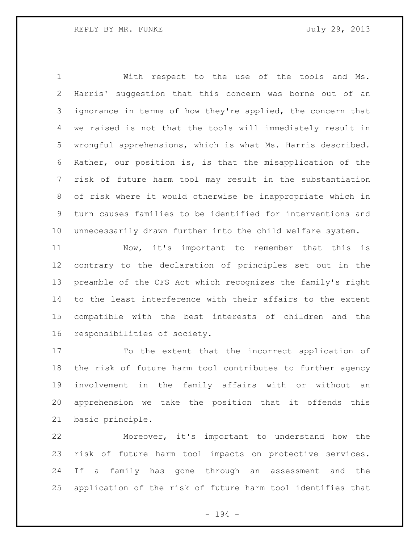With respect to the use of the tools and Ms. Harris' suggestion that this concern was borne out of an ignorance in terms of how they're applied, the concern that we raised is not that the tools will immediately result in wrongful apprehensions, which is what Ms. Harris described. Rather, our position is, is that the misapplication of the risk of future harm tool may result in the substantiation of risk where it would otherwise be inappropriate which in turn causes families to be identified for interventions and unnecessarily drawn further into the child welfare system.

 Now, it's important to remember that this is contrary to the declaration of principles set out in the preamble of the CFS Act which recognizes the family's right to the least interference with their affairs to the extent compatible with the best interests of children and the responsibilities of society.

 To the extent that the incorrect application of the risk of future harm tool contributes to further agency involvement in the family affairs with or without an apprehension we take the position that it offends this basic principle.

 Moreover, it's important to understand how the risk of future harm tool impacts on protective services. If a family has gone through an assessment and the application of the risk of future harm tool identifies that

- 194 -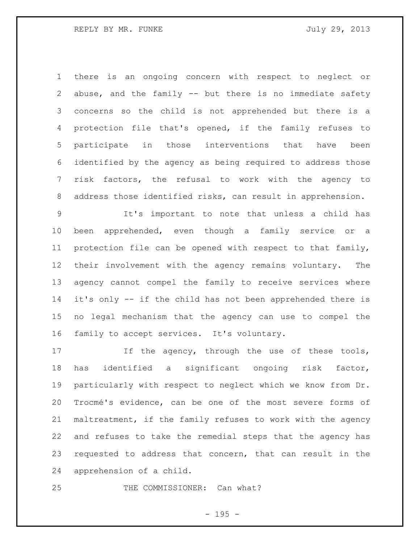there is an ongoing concern with respect to neglect or abuse, and the family -- but there is no immediate safety concerns so the child is not apprehended but there is a protection file that's opened, if the family refuses to participate in those interventions that have been identified by the agency as being required to address those risk factors, the refusal to work with the agency to address those identified risks, can result in apprehension.

 It's important to note that unless a child has been apprehended, even though a family service or a protection file can be opened with respect to that family, their involvement with the agency remains voluntary. The agency cannot compel the family to receive services where it's only -- if the child has not been apprehended there is no legal mechanism that the agency can use to compel the family to accept services. It's voluntary.

17 If the agency, through the use of these tools, has identified a significant ongoing risk factor, particularly with respect to neglect which we know from Dr. Trocmé's evidence, can be one of the most severe forms of maltreatment, if the family refuses to work with the agency and refuses to take the remedial steps that the agency has requested to address that concern, that can result in the apprehension of a child.

25 THE COMMISSIONER: Can what?

- 195 -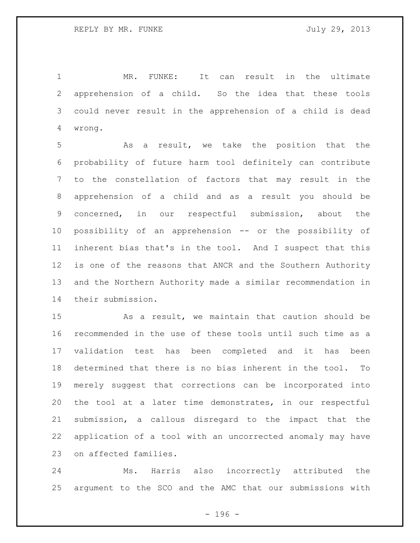MR. FUNKE: It can result in the ultimate apprehension of a child. So the idea that these tools could never result in the apprehension of a child is dead wrong.

 As a result, we take the position that the probability of future harm tool definitely can contribute to the constellation of factors that may result in the apprehension of a child and as a result you should be concerned, in our respectful submission, about the possibility of an apprehension -- or the possibility of inherent bias that's in the tool. And I suspect that this is one of the reasons that ANCR and the Southern Authority and the Northern Authority made a similar recommendation in their submission.

 As a result, we maintain that caution should be recommended in the use of these tools until such time as a validation test has been completed and it has been determined that there is no bias inherent in the tool. To merely suggest that corrections can be incorporated into the tool at a later time demonstrates, in our respectful submission, a callous disregard to the impact that the application of a tool with an uncorrected anomaly may have on affected families.

 Ms. Harris also incorrectly attributed the argument to the SCO and the AMC that our submissions with

- 196 -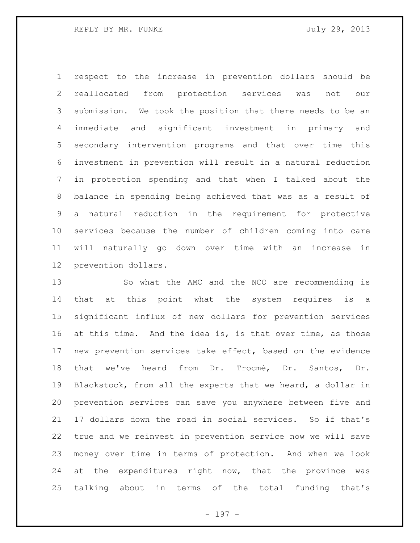respect to the increase in prevention dollars should be reallocated from protection services was not our submission. We took the position that there needs to be an immediate and significant investment in primary and secondary intervention programs and that over time this investment in prevention will result in a natural reduction in protection spending and that when I talked about the balance in spending being achieved that was as a result of a natural reduction in the requirement for protective services because the number of children coming into care will naturally go down over time with an increase in prevention dollars.

 So what the AMC and the NCO are recommending is that at this point what the system requires is a significant influx of new dollars for prevention services 16 at this time. And the idea is, is that over time, as those new prevention services take effect, based on the evidence that we've heard from Dr. Trocmé, Dr. Santos, Dr. Blackstock, from all the experts that we heard, a dollar in prevention services can save you anywhere between five and 17 dollars down the road in social services. So if that's true and we reinvest in prevention service now we will save money over time in terms of protection. And when we look at the expenditures right now, that the province was talking about in terms of the total funding that's

- 197 -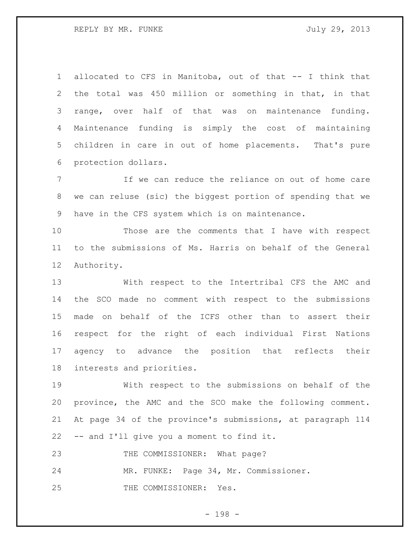REPLY BY MR. FUNKE SALLY 29, 2013

 allocated to CFS in Manitoba, out of that -- I think that the total was 450 million or something in that, in that range, over half of that was on maintenance funding. Maintenance funding is simply the cost of maintaining children in care in out of home placements. That's pure protection dollars.

 If we can reduce the reliance on out of home care we can reluse (sic) the biggest portion of spending that we have in the CFS system which is on maintenance.

 Those are the comments that I have with respect to the submissions of Ms. Harris on behalf of the General Authority.

 With respect to the Intertribal CFS the AMC and the SCO made no comment with respect to the submissions made on behalf of the ICFS other than to assert their respect for the right of each individual First Nations agency to advance the position that reflects their interests and priorities.

 With respect to the submissions on behalf of the province, the AMC and the SCO make the following comment. At page 34 of the province's submissions, at paragraph 114 -- and I'll give you a moment to find it.

23 THE COMMISSIONER: What page?

MR. FUNKE: Page 34, Mr. Commissioner.

25 THE COMMISSIONER: Yes.

- 198 -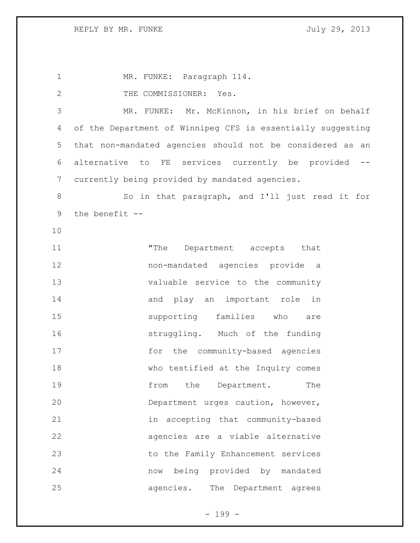MR. FUNKE: Paragraph 114. 2 THE COMMISSIONER: Yes. MR. FUNKE: Mr. McKinnon, in his brief on behalf of the Department of Winnipeg CFS is essentially suggesting that non-mandated agencies should not be considered as an alternative to FE services currently be provided -- currently being provided by mandated agencies. 8 So in that paragraph, and I'll just read it for the benefit -- 11 The Department accepts that non-mandated agencies provide a valuable service to the community 14 and play an important role in supporting families who are struggling. Much of the funding 17 for the community-based agencies who testified at the Inquiry comes **from** the Department. The Department urges caution, however, in accepting that community-based agencies are a viable alternative to the Family Enhancement services now being provided by mandated agencies. The Department agrees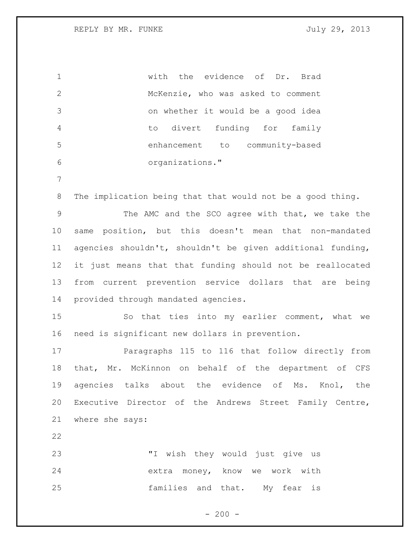| $\mathbf 1$     | with the evidence of Dr. Brad                              |
|-----------------|------------------------------------------------------------|
| $\mathbf{2}$    | McKenzie, who was asked to comment                         |
| 3               | on whether it would be a good idea                         |
| 4               | divert funding for<br>family<br>to                         |
| 5               | enhancement to community-based                             |
| 6               | organizations."                                            |
| $\overline{7}$  |                                                            |
| $8\,$           | The implication being that that would not be a good thing. |
| $\mathsf 9$     | The AMC and the SCO agree with that, we take the           |
| 10              | same position, but this doesn't mean that non-mandated     |
| 11              | agencies shouldn't, shouldn't be given additional funding, |
| 12 <sup>°</sup> | it just means that that funding should not be reallocated  |
| 13              | from current prevention service dollars that are being     |
| 14              | provided through mandated agencies.                        |
| 15              | So that ties into my earlier comment, what we              |
| 16              | need is significant new dollars in prevention.             |
| 17              | Paragraphs 115 to 116 that follow directly from            |
| 18              | Mr. McKinnon on behalf of the department of CFS<br>that,   |
| 19              | agencies talks about the evidence of Ms. Knol, the         |
| 20              | Executive Director of the Andrews Street Family Centre,    |
| 21              | where she says:                                            |
| 22              |                                                            |
| 23              | "I wish they would just give us                            |
| 24              | extra money, know we work with                             |
| 25              | families and that. My fear is                              |
|                 |                                                            |
|                 | $-200 -$                                                   |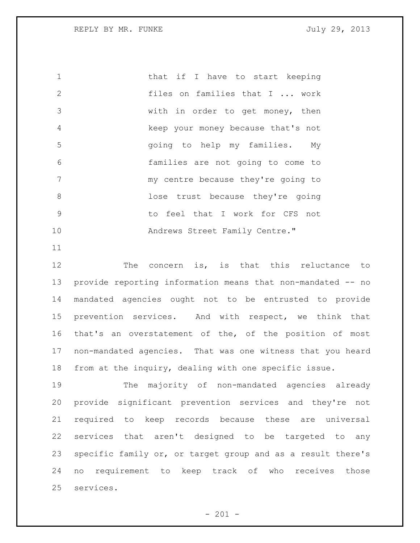1 that if I have to start keeping files on families that I ... work with in order to get money, then keep your money because that's not going to help my families. My families are not going to come to 7 my centre because they're going to lose trust because they're going to feel that I work for CFS not Andrews Street Family Centre."

 The concern is, is that this reluctance to provide reporting information means that non-mandated -- no mandated agencies ought not to be entrusted to provide prevention services. And with respect, we think that that's an overstatement of the, of the position of most non-mandated agencies. That was one witness that you heard from at the inquiry, dealing with one specific issue.

 The majority of non-mandated agencies already provide significant prevention services and they're not required to keep records because these are universal services that aren't designed to be targeted to any specific family or, or target group and as a result there's no requirement to keep track of who receives those services.

 $- 201 -$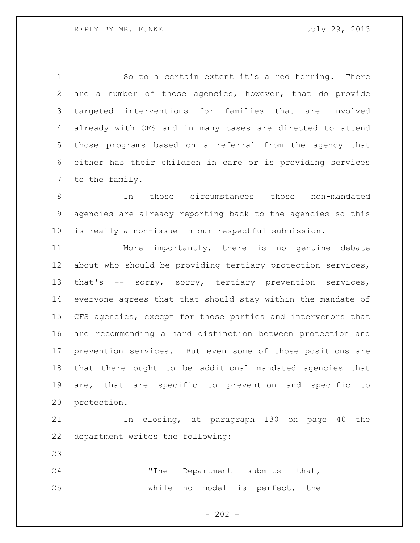So to a certain extent it's a red herring. There are a number of those agencies, however, that do provide targeted interventions for families that are involved already with CFS and in many cases are directed to attend those programs based on a referral from the agency that either has their children in care or is providing services to the family.

 In those circumstances those non-mandated agencies are already reporting back to the agencies so this is really a non-issue in our respectful submission.

 More importantly, there is no genuine debate about who should be providing tertiary protection services, that's -- sorry, sorry, tertiary prevention services, everyone agrees that that should stay within the mandate of CFS agencies, except for those parties and intervenors that are recommending a hard distinction between protection and prevention services. But even some of those positions are that there ought to be additional mandated agencies that are, that are specific to prevention and specific to protection.

 In closing, at paragraph 130 on page 40 the department writes the following:

24 The Department submits that, while no model is perfect, the

 $- 202 -$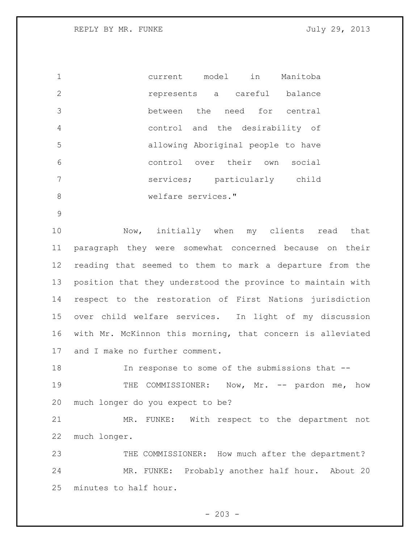current model in Manitoba represents a careful balance between the need for central control and the desirability of allowing Aboriginal people to have control over their own social services; particularly child 8 welfare services."

10 Mow, initially when my clients read that paragraph they were somewhat concerned because on their reading that seemed to them to mark a departure from the position that they understood the province to maintain with respect to the restoration of First Nations jurisdiction over child welfare services. In light of my discussion with Mr. McKinnon this morning, that concern is alleviated and I make no further comment.

18 In response to some of the submissions that --

19 THE COMMISSIONER: Now, Mr. -- pardon me, how much longer do you expect to be?

 MR. FUNKE: With respect to the department not much longer.

23 THE COMMISSIONER: How much after the department? MR. FUNKE: Probably another half hour. About 20 minutes to half hour.

 $- 203 -$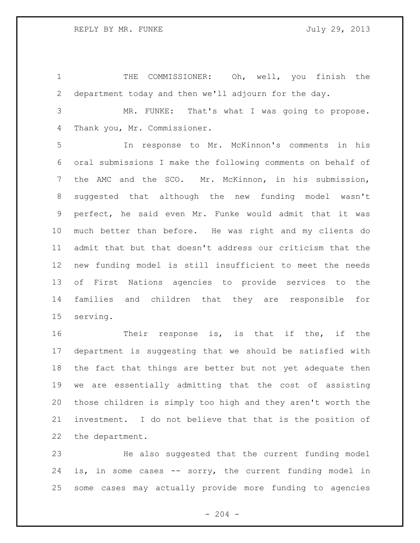THE COMMISSIONER: Oh, well, you finish the department today and then we'll adjourn for the day.

 MR. FUNKE: That's what I was going to propose. Thank you, Mr. Commissioner.

 In response to Mr. McKinnon's comments in his oral submissions I make the following comments on behalf of the AMC and the SCO. Mr. McKinnon, in his submission, suggested that although the new funding model wasn't perfect, he said even Mr. Funke would admit that it was much better than before. He was right and my clients do admit that but that doesn't address our criticism that the new funding model is still insufficient to meet the needs of First Nations agencies to provide services to the families and children that they are responsible for serving.

16 Their response is, is that if the, if the department is suggesting that we should be satisfied with the fact that things are better but not yet adequate then we are essentially admitting that the cost of assisting those children is simply too high and they aren't worth the investment. I do not believe that that is the position of the department.

 He also suggested that the current funding model is, in some cases -- sorry, the current funding model in some cases may actually provide more funding to agencies

 $-204 -$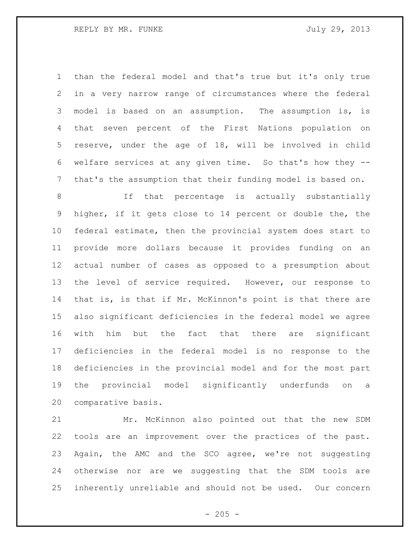than the federal model and that's true but it's only true in a very narrow range of circumstances where the federal model is based on an assumption. The assumption is, is that seven percent of the First Nations population on reserve, under the age of 18, will be involved in child welfare services at any given time. So that's how they -- that's the assumption that their funding model is based on.

8 1f that percentage is actually substantially higher, if it gets close to 14 percent or double the, the federal estimate, then the provincial system does start to provide more dollars because it provides funding on an actual number of cases as opposed to a presumption about the level of service required. However, our response to that is, is that if Mr. McKinnon's point is that there are also significant deficiencies in the federal model we agree with him but the fact that there are significant deficiencies in the federal model is no response to the deficiencies in the provincial model and for the most part the provincial model significantly underfunds on a comparative basis.

 Mr. McKinnon also pointed out that the new SDM tools are an improvement over the practices of the past. Again, the AMC and the SCO agree, we're not suggesting otherwise nor are we suggesting that the SDM tools are inherently unreliable and should not be used. Our concern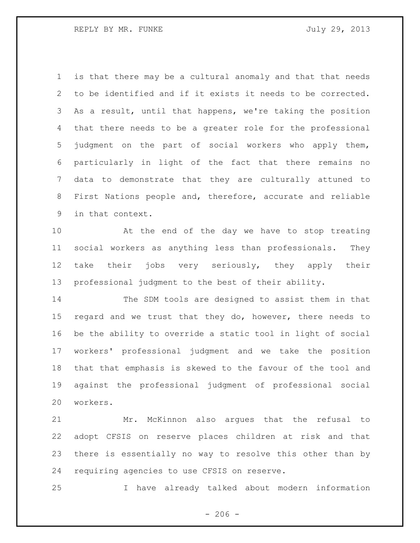REPLY BY MR. FUNKE SALLY 29, 2013

 is that there may be a cultural anomaly and that that needs to be identified and if it exists it needs to be corrected. As a result, until that happens, we're taking the position that there needs to be a greater role for the professional judgment on the part of social workers who apply them, particularly in light of the fact that there remains no data to demonstrate that they are culturally attuned to First Nations people and, therefore, accurate and reliable in that context.

 At the end of the day we have to stop treating social workers as anything less than professionals. They take their jobs very seriously, they apply their professional judgment to the best of their ability.

 The SDM tools are designed to assist them in that regard and we trust that they do, however, there needs to be the ability to override a static tool in light of social workers' professional judgment and we take the position that that emphasis is skewed to the favour of the tool and against the professional judgment of professional social workers.

 Mr. McKinnon also argues that the refusal to adopt CFSIS on reserve places children at risk and that there is essentially no way to resolve this other than by requiring agencies to use CFSIS on reserve.

I have already talked about modern information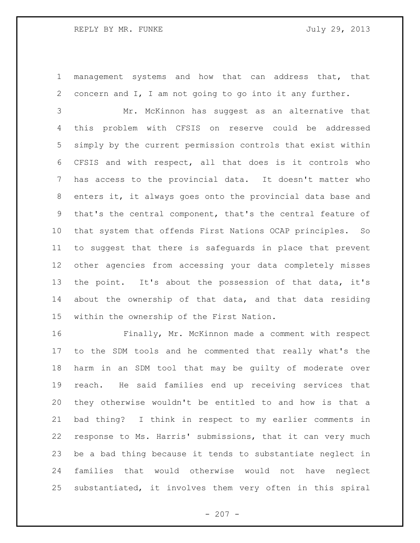management systems and how that can address that, that concern and I, I am not going to go into it any further.

 Mr. McKinnon has suggest as an alternative that this problem with CFSIS on reserve could be addressed simply by the current permission controls that exist within CFSIS and with respect, all that does is it controls who has access to the provincial data. It doesn't matter who enters it, it always goes onto the provincial data base and that's the central component, that's the central feature of that system that offends First Nations OCAP principles. So to suggest that there is safeguards in place that prevent other agencies from accessing your data completely misses the point. It's about the possession of that data, it's about the ownership of that data, and that data residing within the ownership of the First Nation.

 Finally, Mr. McKinnon made a comment with respect to the SDM tools and he commented that really what's the harm in an SDM tool that may be guilty of moderate over reach. He said families end up receiving services that they otherwise wouldn't be entitled to and how is that a bad thing? I think in respect to my earlier comments in response to Ms. Harris' submissions, that it can very much be a bad thing because it tends to substantiate neglect in families that would otherwise would not have neglect substantiated, it involves them very often in this spiral